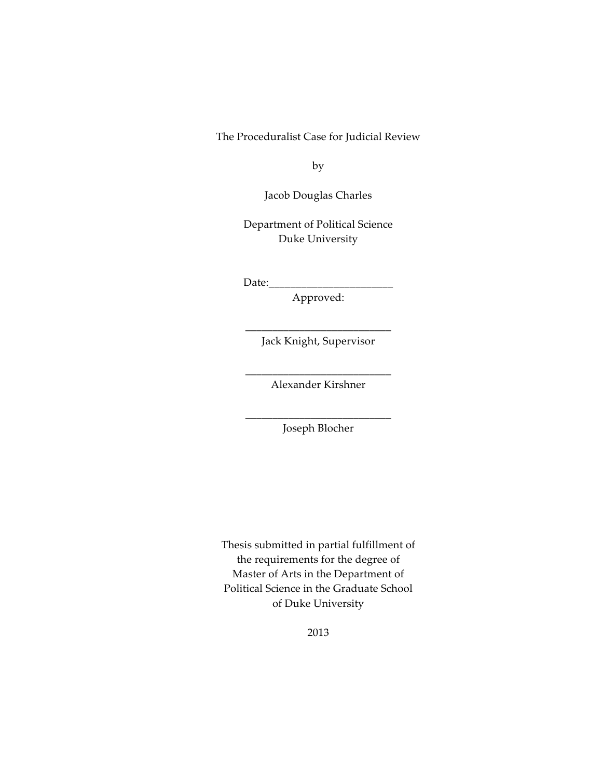The Proceduralist Case for Judicial Review

by

Jacob!Douglas Charles

Department of Political Science Duke University

 $Date:$ 

Approved:

\_\_\_\_\_\_\_\_\_\_\_\_\_\_\_\_\_\_\_\_\_\_\_\_\_\_\_ Jack Knight, Supervisor

\_\_\_\_\_\_\_\_\_\_\_\_\_\_\_\_\_\_\_\_\_\_\_\_\_\_\_ Alexander Kirshner

\_\_\_\_\_\_\_\_\_\_\_\_\_\_\_\_\_\_\_\_\_\_\_\_\_\_\_ Joseph!Blocher

Thesis submitted in partial fulfillment of the requirements for the degree of Master of Arts in the Department of Political Science in the Graduate School of Duke University

2013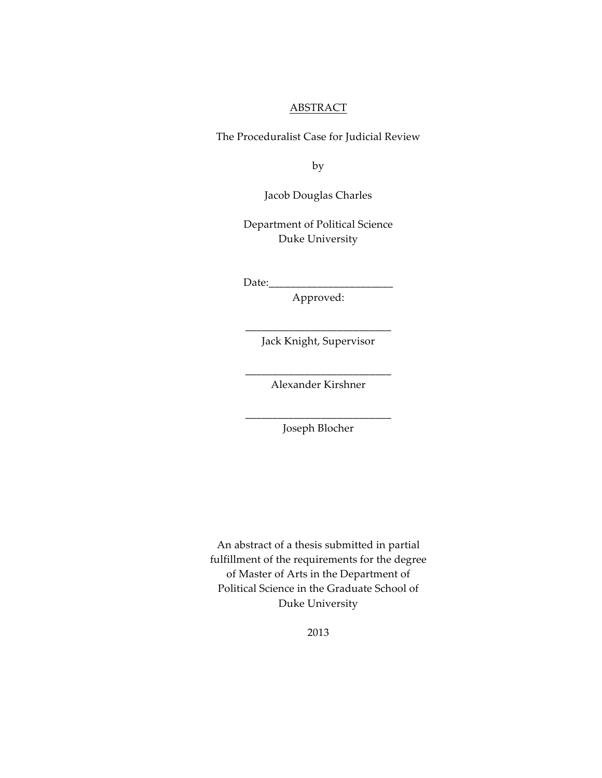#### ABSTRACT

The Proceduralist Case for Judicial Review

by

Jacob!Douglas Charles

Department of Political Science Duke University

 $Date:$ 

Approved:

\_\_\_\_\_\_\_\_\_\_\_\_\_\_\_\_\_\_\_\_\_\_\_\_\_\_\_ Jack Knight, Supervisor

\_\_\_\_\_\_\_\_\_\_\_\_\_\_\_\_\_\_\_\_\_\_\_\_\_\_\_ Alexander Kirshner

\_\_\_\_\_\_\_\_\_\_\_\_\_\_\_\_\_\_\_\_\_\_\_\_\_\_\_ Joseph!Blocher

An abstract of a thesis submitted in partial fulfillment of the requirements for the degree of Master of Arts in the Department of Political Science in the Graduate School of Duke University

2013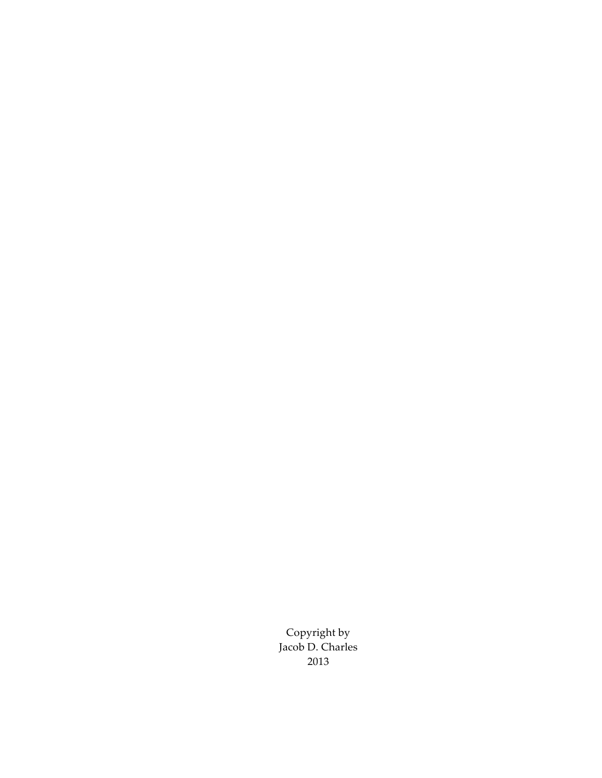Copyright by Jacob D. Charles 2013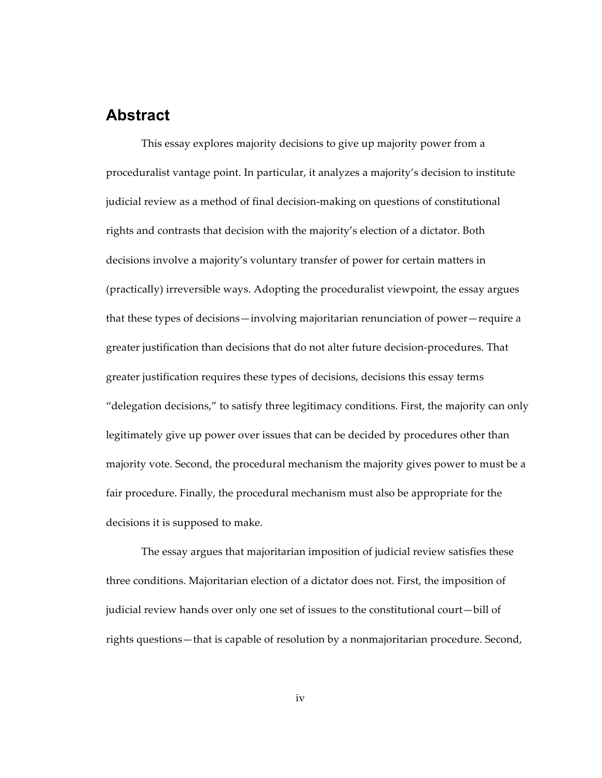## **Abstract**

This essay explores majority decisions to give up majority power from a proceduralist vantage point. In particular, it analyzes a majority's decision to institute judicial review as a method of final decision-making on questions of constitutional rights and contrasts that decision with the majority's election of a dictator. Both decisions involve a majority's voluntary transfer of power for certain matters in (practically) irreversible ways. Adopting the proceduralist viewpoint, the essay argues that these types of decisions—involving majoritarian renunciation of power—require a greater justification than decisions that do not alter future decision-procedures. That greater justification requires these types of decisions, decisions this essay terms "delegation decisions," to satisfy three legitimacy conditions. First, the majority can only legitimately give up power over issues that can be decided by procedures other than majority vote. Second, the procedural mechanism the majority gives power to must be a fair procedure. Finally, the procedural mechanism must also be appropriate for the decisions it is supposed to make.

The essay argues that majoritarian imposition of judicial review satisfies these three conditions. Majoritarian election of a dictator does not. First, the imposition of judicial review hands over only one set of issues to the constitutional court-bill of rights questions—that is capable of resolution by a nonmajoritarian procedure. Second,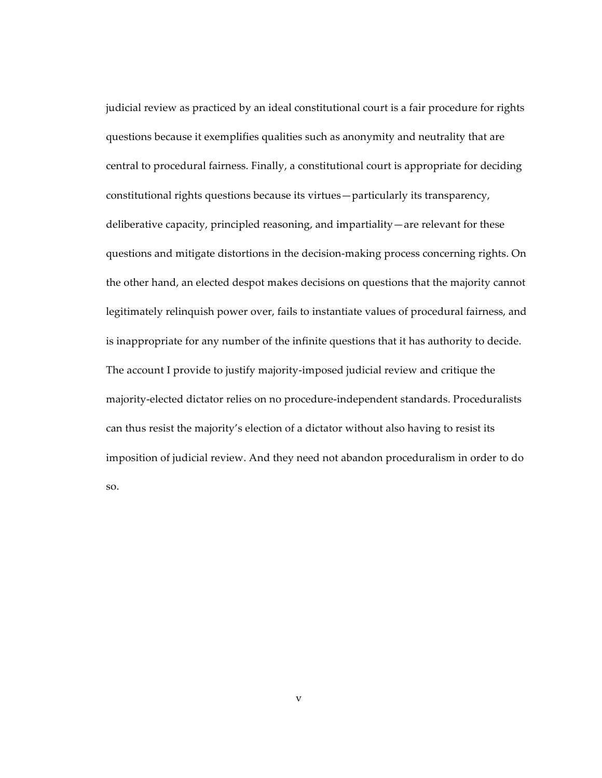judicial review as practiced by an ideal constitutional court is a fair procedure for rights questions because it exemplifies qualities such as anonymity and neutrality that are central to procedural fairness. Finally, a constitutional court is appropriate for deciding constitutional rights questions because its virtues—particularly its transparency, deliberative capacity, principled reasoning, and impartiality—are relevant for these questions and mitigate distortions in the decision-making process concerning rights. On the other hand, an elected despot makes decisions on questions that the majority cannot legitimately relinquish power over, fails to instantiate values of procedural fairness, and is inappropriate for any number of the infinite questions that it has authority to decide. The account I provide to justify majority-imposed judicial review and critique the majority-elected dictator relies on no procedure-independent standards. Proceduralists can thus resist the majority's election of a dictator without also having to resist its imposition of judicial review. And they need not abandon proceduralism in order to do so.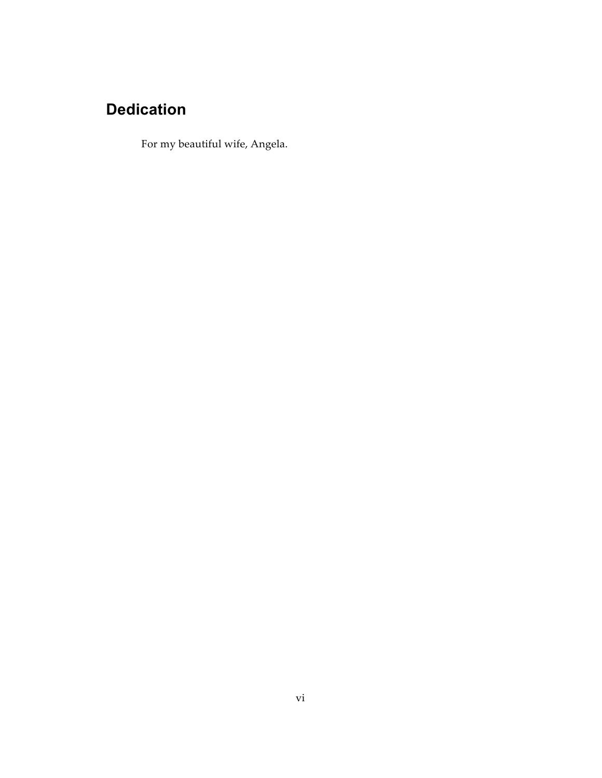# **Dedication**

For my beautiful wife, Angela.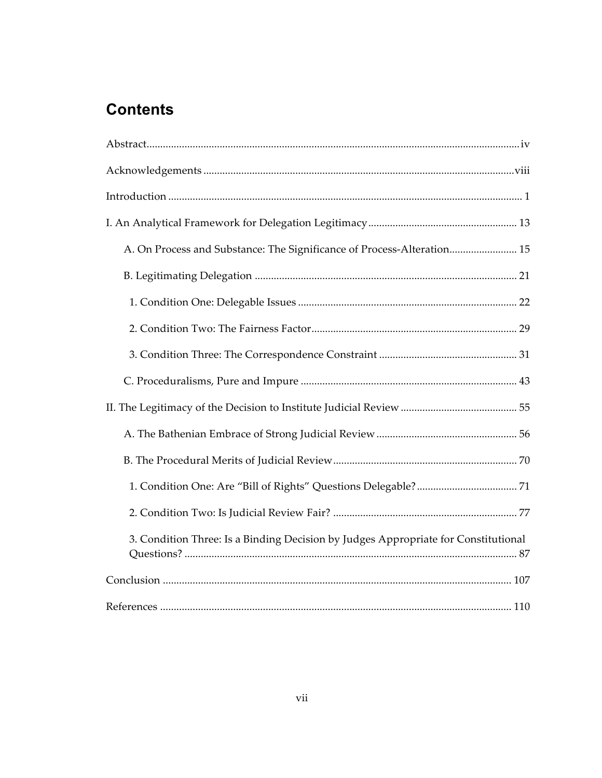## **Contents**

| A. On Process and Substance: The Significance of Process-Alteration 15             |
|------------------------------------------------------------------------------------|
|                                                                                    |
|                                                                                    |
|                                                                                    |
|                                                                                    |
|                                                                                    |
|                                                                                    |
|                                                                                    |
|                                                                                    |
|                                                                                    |
|                                                                                    |
| 3. Condition Three: Is a Binding Decision by Judges Appropriate for Constitutional |
|                                                                                    |
|                                                                                    |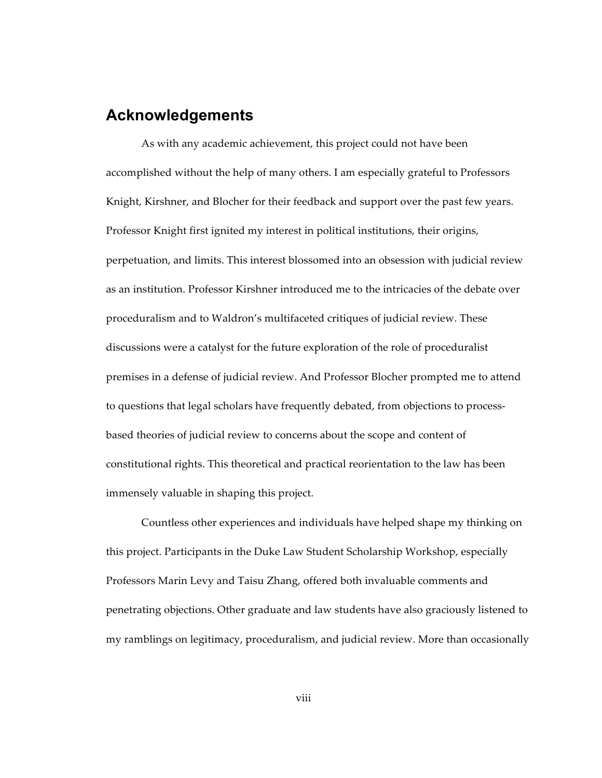### **Acknowledgements**

As with any academic achievement, this project could not have been accomplished without the help of many others. I am especially grateful to Professors Knight, Kirshner, and Blocher for their feedback and support over the past few years. Professor Knight first ignited my interest in political institutions, their origins, perpetuation, and limits. This interest blossomed into an obsession with judicial review as an institution. Professor Kirshner introduced me to the intricacies of the debate over proceduralism and to Waldron's multifaceted critiques of judicial review. These discussions were a catalyst for the future exploration of the role of proceduralist premises in a defense of judicial review. And Professor Blocher prompted me to attend to questions that legal scholars have frequently debated, from objections to processbased theories of judicial review to concerns about the scope and content of constitutional rights. This theoretical and practical reorientation to the law has been immensely valuable in shaping this project.

Countless other experiences and individuals have helped shape my thinking on this project. Participants in the Duke Law Student Scholarship Workshop, especially Professors Marin Levy and Taisu Zhang, offered both invaluable comments and penetrating objections. Other graduate and law students have also graciously listened to my ramblings on legitimacy, proceduralism, and judicial review. More than occasionally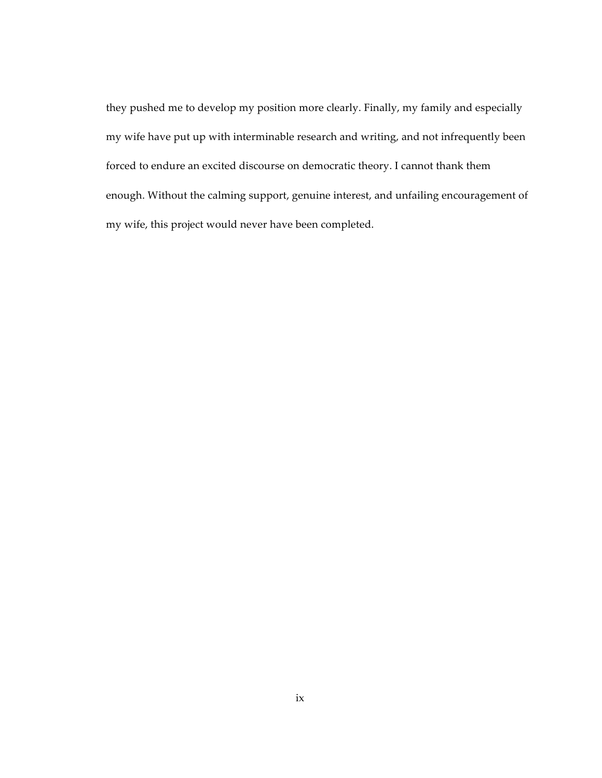they pushed me to develop my position more clearly. Finally, my family and especially my wife have put up with interminable research and writing, and not infrequently been forced to endure an excited discourse on democratic theory. I cannot thank them enough. Without the calming support, genuine interest, and unfailing encouragement of my wife, this project would never have been completed.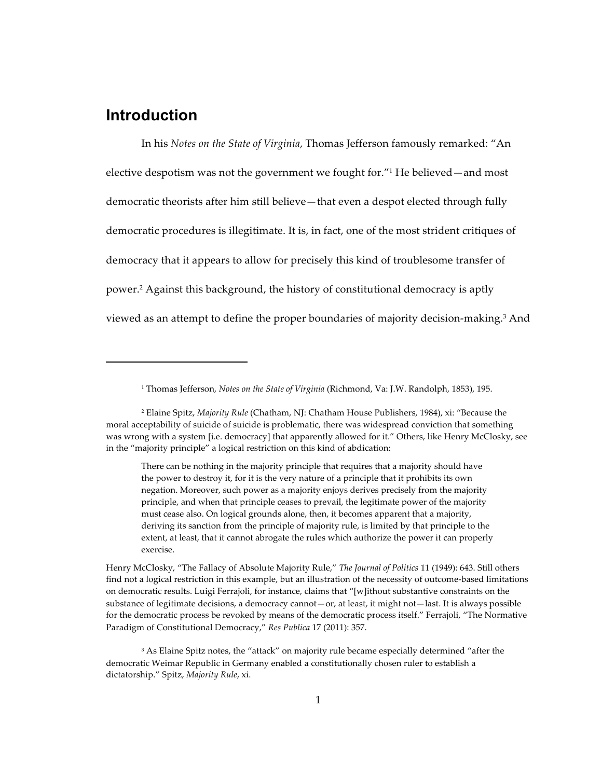## **Introduction**

In his Notes on the State of Virginia, Thomas Jefferson famously remarked: "An elective despotism was not the government we fought for."<sup>1</sup> He believed-and most democratic theorists after him still believe—that even a despot elected through fully democratic procedures is illegitimate. It is, in fact, one of the most strident critiques of democracy that it appears to allow for precisely this kind of troublesome transfer of power.<sup>2</sup> Against this background, the history of constitutional democracy is aptly viewed as an attempt to define the proper boundaries of majority decision-making.<sup>3</sup> And

<sup>&</sup>lt;sup>1</sup> Thomas Jefferson, Notes on the State of Virginia (Richmond, Va: J.W. Randolph, 1853), 195.

<sup>&</sup>lt;sup>2</sup> Elaine Spitz, Majority Rule (Chatham, NJ: Chatham House Publishers, 1984), xi: "Because the moral acceptability of suicide of suicide is problematic, there was widespread conviction that something was wrong with a system [i.e. democracy] that apparently allowed for it." Others, like Henry McClosky, see in the "majority principle" a logical restriction on this kind of abdication:

There can be nothing in the majority principle that requires that a majority should have the power to destroy it, for it is the very nature of a principle that it prohibits its own negation. Moreover, such power as a majority enjoys derives precisely from the majority principle, and when that principle ceases to prevail, the legitimate power of the majority must cease also. On logical grounds alone, then, it becomes apparent that a majority, deriving its sanction from the principle of majority rule, is limited by that principle to the extent, at least, that it cannot abrogate the rules which authorize the power it can properly exercise.

Henry McClosky, "The Fallacy of Absolute Majority Rule," The Journal of Politics 11 (1949): 643. Still others find not a logical restriction in this example, but an illustration of the necessity of outcome-based limitations on democratic results. Luigi Ferrajoli, for instance, claims that "[w]ithout substantive constraints on the substance of legitimate decisions, a democracy cannot-or, at least, it might not-last. It is always possible for the democratic process be revoked by means of the democratic process itself." Ferrajoli, "The Normative Paradigm of Constitutional Democracy," Res Publica 17 (2011): 357.

<sup>&</sup>lt;sup>3</sup> As Elaine Spitz notes, the "attack" on majority rule became especially determined "after the democratic Weimar Republic in Germany enabled a constitutionally chosen ruler to establish a dictatorship." Spitz, Majority Rule, xi.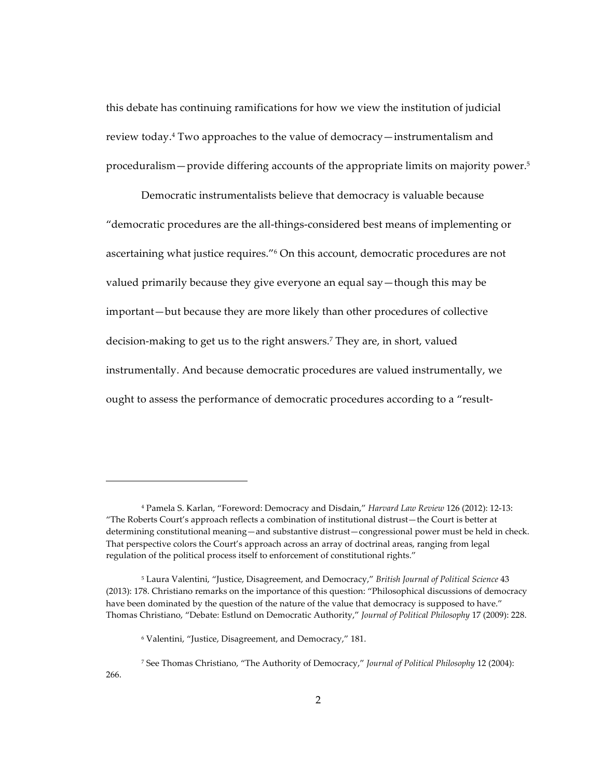this debate has continuing ramifications for how we view the institution of judicial review today.<sup>4</sup> Two approaches to the value of democracy — instrumentalism and proceduralism – provide differing accounts of the appropriate limits on majority power.<sup>5</sup>

Democratic instrumentalists believe that democracy is valuable because "democratic procedures are the all-things-considered best means of implementing or ascertaining what justice requires."<sup>6</sup> On this account, democratic procedures are not valued primarily because they give everyone an equal say—though this may be important—but because they are more likely than other procedures of collective decision-making to get us to the right answers.<sup>7</sup> They are, in short, valued instrumentally. And because democratic procedures are valued instrumentally, we ought to assess the performance of democratic procedures according to a "result-

<sup>&</sup>lt;sup>4</sup> Pamela S. Karlan, "Foreword: Democracy and Disdain," Harvard Law Review 126 (2012): 12-13: "The Roberts Court's approach reflects a combination of institutional distrust-the Court is better at determining constitutional meaning—and substantive distrust—congressional power must be held in check. That perspective colors the Court's approach across an array of doctrinal areas, ranging from legal regulation of the political process itself to enforcement of constitutional rights."

<sup>&</sup>lt;sup>5</sup> Laura Valentini, "Justice, Disagreement, and Democracy," British Journal of Political Science 43 (2013): 178. Christiano remarks on the importance of this question: "Philosophical discussions of democracy have been dominated by the question of the nature of the value that democracy is supposed to have." Thomas Christiano, "Debate: Estlund on Democratic Authority," Journal of Political Philosophy 17 (2009): 228.

<sup>&</sup>lt;sup>6</sup> Valentini, "Justice, Disagreement, and Democracy," 181.

<sup>&</sup>lt;sup>7</sup> See Thomas Christiano, "The Authority of Democracy," Journal of Political Philosophy 12 (2004):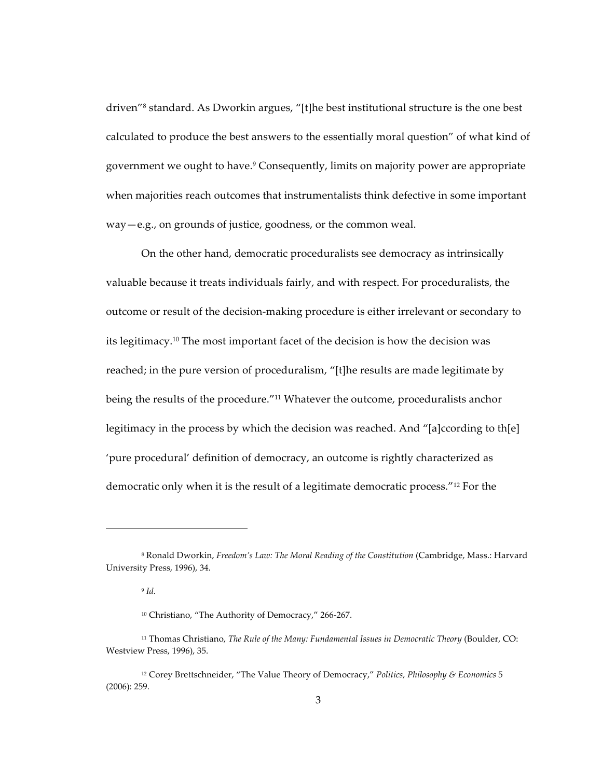driven"<sup>8</sup> standard. As Dworkin argues, "[t]he best institutional structure is the one best calculated to produce the best answers to the essentially moral question" of what kind of government we ought to have.<sup>9</sup> Consequently, limits on majority power are appropriate when majorities reach outcomes that instrumentalists think defective in some important  $way-e.g.,$  on grounds of justice, goodness, or the common weal.

On the other hand, democratic proceduralists see democracy as intrinsically valuable because it treats individuals fairly, and with respect. For proceduralists, the outcome or result of the decision-making procedure is either irrelevant or secondary to its legitimacy.<sup>10</sup> The most important facet of the decision is how the decision was reached; in the pure version of proceduralism, "[t]he results are made legitimate by being the results of the procedure."<sup>11</sup> Whatever the outcome, proceduralists anchor legitimacy in the process by which the decision was reached. And "[a]ccording to th[e] 'pure procedural' definition of democracy, an outcome is rightly characterized as democratic only when it is the result of a legitimate democratic process."<sup>12</sup> For the

<sup>&</sup>lt;sup>8</sup> Ronald Dworkin, Freedom's Law: The Moral Reading of the Constitution (Cambridge, Mass.: Harvard University Press, 1996), 34.

 $9$  Id.

<sup>&</sup>lt;sup>10</sup> Christiano, "The Authority of Democracy," 266-267.

<sup>&</sup>lt;sup>11</sup> Thomas Christiano, The Rule of the Many: Fundamental Issues in Democratic Theory (Boulder, CO: Westview Press, 1996), 35.

<sup>&</sup>lt;sup>12</sup> Corey Brettschneider, "The Value Theory of Democracy," Politics, Philosophy & Economics 5  $(2006): 259.$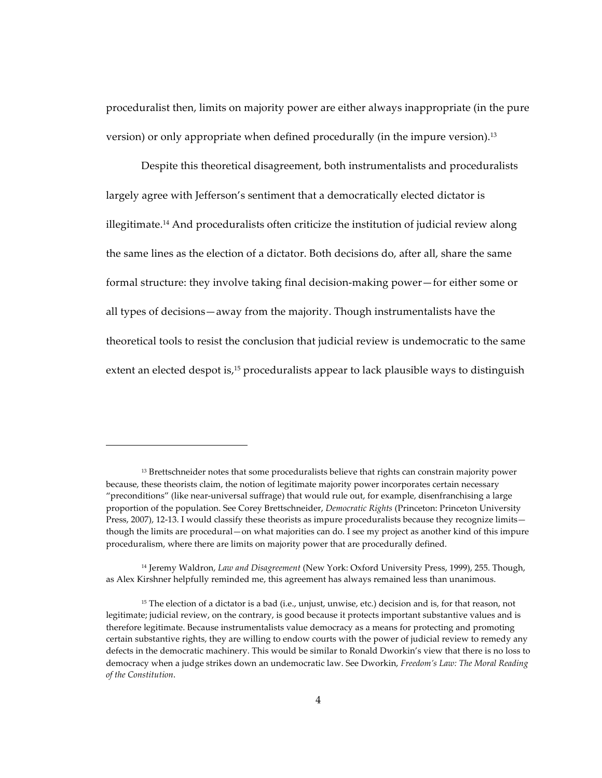proceduralist then, limits on majority power are either always inappropriate (in the pure version) or only appropriate when defined procedurally (in the impure version).<sup>13</sup>

Despite this theoretical disagreement, both instrumentalists and proceduralists largely agree with Jefferson's sentiment that a democratically elected dictator is illegitimate.<sup>14</sup> And proceduralists often criticize the institution of judicial review along the same lines as the election of a dictator. Both decisions do, after all, share the same formal structure: they involve taking final decision-making power—for either some or all types of decisions—away from the majority. Though instrumentalists have the theoretical tools to resist the conclusion that judicial review is undemocratic to the same extent an elected despot is, $15$  proceduralists appear to lack plausible ways to distinguish

 $13$  Brettschneider notes that some proceduralists believe that rights can constrain majority power because, these theorists claim, the notion of legitimate majority power incorporates certain necessary "preconditions" (like near-universal suffrage) that would rule out, for example, disenfranchising a large proportion of the population. See Corey Brettschneider, *Democratic Rights* (Princeton: Princeton University Press, 2007), 12-13. I would classify these theorists as impure proceduralists because they recognize limits though the limits are procedural—on what majorities can do. I see my project as another kind of this impure proceduralism, where there are limits on majority power that are procedurally defined.

<sup>&</sup>lt;sup>14</sup> Jeremy Waldron, *Law and Disagreement* (New York: Oxford University Press, 1999), 255. Though, as Alex Kirshner helpfully reminded me, this agreement has always remained less than unanimous.

<sup>&</sup>lt;sup>15</sup> The election of a dictator is a bad (i.e., unjust, unwise, etc.) decision and is, for that reason, not legitimate; judicial review, on the contrary, is good because it protects important substantive values and is therefore legitimate. Because instrumentalists value democracy as a means for protecting and promoting certain substantive rights, they are willing to endow courts with the power of judicial review to remedy any defects in the democratic machinery. This would be similar to Ronald Dworkin's view that there is no loss to democracy when a judge strikes down an undemocratic law. See Dworkin, *Freedom's Law: The Moral Reading*  $of$  the Constitution.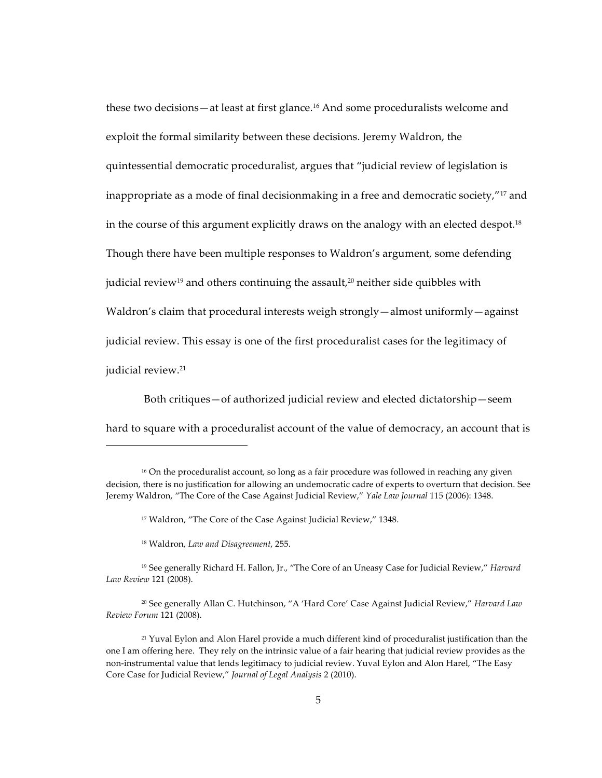these two decisions—at least at first glance.<sup>16</sup> And some proceduralists welcome and exploit the formal similarity between these decisions. Jeremy Waldron, the quintessential democratic proceduralist, argues that "judicial review of legislation is inappropriate as a mode of final decisionmaking in a free and democratic society,"<sup>17</sup> and in the course of this argument explicitly draws on the analogy with an elected despot.<sup>18</sup> Though there have been multiple responses to Waldron's argument, some defending judicial review<sup>19</sup> and others continuing the assault,<sup>20</sup> neither side quibbles with Waldron's claim that procedural interests weigh strongly—almost uniformly—against judicial review. This essay is one of the first proceduralist cases for the legitimacy of judicial review.<sup>21</sup>

Both critiques—of authorized judicial review and elected dictatorship—seem hard to square with a proceduralist account of the value of democracy, an account that is

 $16$  On the proceduralist account, so long as a fair procedure was followed in reaching any given decision, there is no justification for allowing an undemocratic cadre of experts to overturn that decision. See Jeremy Waldron, "The Core of the Case Against Judicial Review," Yale Law Journal 115 (2006): 1348.

<sup>&</sup>lt;sup>17</sup> Waldron, "The Core of the Case Against Judicial Review," 1348.

<sup>&</sup>lt;sup>18</sup> Waldron, Law and Disagreement, 255.

<sup>&</sup>lt;sup>19</sup> See generally Richard H. Fallon, Jr., "The Core of an Uneasy Case for Judicial Review," *Harvard Law&Review&*121!(2008).

<sup>&</sup>lt;sup>20</sup> See generally Allan C. Hutchinson, "A 'Hard Core' Case Against Judicial Review," *Harvard Law Review&Forum&*121!(2008).

<sup>&</sup>lt;sup>21</sup> Yuval Eylon and Alon Harel provide a much different kind of proceduralist justification than the one I am offering here. They rely on the intrinsic value of a fair hearing that judicial review provides as the non-instrumental value that lends legitimacy to judicial review. Yuval Eylon and Alon Harel, "The Easy Core Case for Judicial Review," *Journal of Legal Analysis* 2 (2010).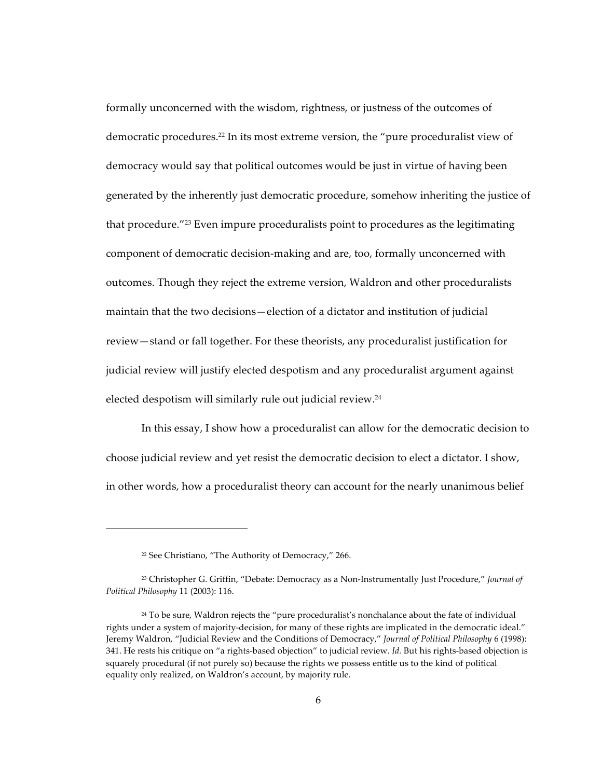formally unconcerned with the wisdom, rightness, or justness of the outcomes of democratic procedures.<sup>22</sup> In its most extreme version, the "pure proceduralist view of democracy would say that political outcomes would be just in virtue of having been generated by the inherently just democratic procedure, somehow inheriting the justice of that procedure."<sup>23</sup> Even impure proceduralists point to procedures as the legitimating component of democratic decision-making and are, too, formally unconcerned with outcomes. Though they reject the extreme version, Waldron and other proceduralists maintain that the two decisions—election of a dictator and institution of judicial review - stand or fall together. For these theorists, any proceduralist justification for judicial review will justify elected despotism and any proceduralist argument against elected despotism will similarly rule out judicial review.<sup>24</sup>

In this essay, I show how a proceduralist can allow for the democratic decision to choose judicial review and yet resist the democratic decision to elect a dictator. I show, in other words, how a proceduralist theory can account for the nearly unanimous belief

<sup>&</sup>lt;sup>22</sup> See Christiano, "The Authority of Democracy," 266.

<sup>&</sup>lt;sup>23</sup> Christopher G. Griffin, "Debate: Democracy as a Non-Instrumentally Just Procedure," Journal of Political Philosophy 11 (2003): 116.

<sup>&</sup>lt;sup>24</sup> To be sure, Waldron rejects the "pure proceduralist's nonchalance about the fate of individual rights under a system of majority-decision, for many of these rights are implicated in the democratic ideal." Jeremy Waldron, "Judicial Review and the Conditions of Democracy," Journal of Political Philosophy 6 (1998): 341. He rests his critique on "a rights-based objection" to judicial review. Id. But his rights-based objection is squarely procedural (if not purely so) because the rights we possess entitle us to the kind of political equality only realized, on Waldron's account, by majority rule.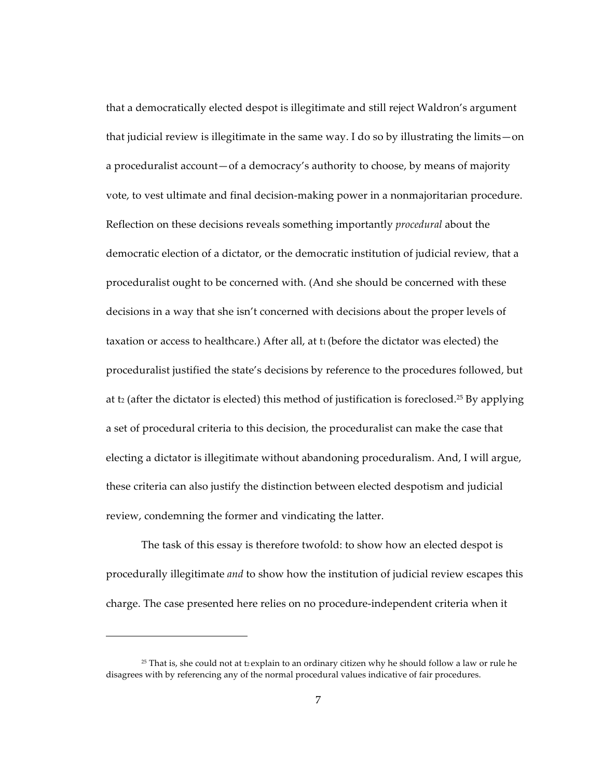that a democratically elected despot is illegitimate and still reject Waldron's argument that judicial review is illegitimate in the same way. I do so by illustrating the limits  $-\text{on}$ a proceduralist account-of a democracy's authority to choose, by means of majority vote, to vest ultimate and final decision-making power in a nonmajoritarian procedure. Reflection on these decisions reveals something importantly *procedural* about the democratic election of a dictator, or the democratic institution of judicial review, that a proceduralist ought to be concerned with. (And she should be concerned with these decisions in a way that she isn't concerned with decisions about the proper levels of taxation or access to healthcare.) After all, at t<sub>1</sub> (before the dictator was elected) the proceduralist justified the state's decisions by reference to the procedures followed, but at t2 (after the dictator is elected) this method of justification is foreclosed.<sup>25</sup> By applying a set of procedural criteria to this decision, the proceduralist can make the case that electing a dictator is illegitimate without abandoning proceduralism. And, I will argue, these criteria can also justify the distinction between elected despotism and judicial review, condemning the former and vindicating the latter.

The task of this essay is therefore twofold: to show how an elected despot is procedurally illegitimate *and* to show how the institution of judicial review escapes this charge. The case presented here relies on no procedure-independent criteria when it

<sup>&</sup>lt;sup>25</sup> That is, she could not at t2 explain to an ordinary citizen why he should follow a law or rule he disagrees with by referencing any of the normal procedural values indicative of fair procedures.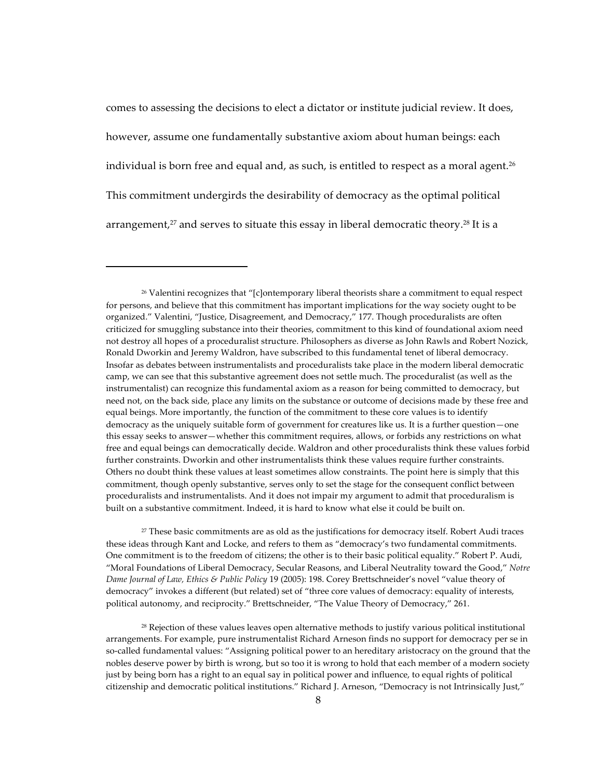comes to assessing the decisions to elect a dictator or institute judicial review. It does, however, assume one fundamentally substantive axiom about human beings: each individual is born free and equal and, as such, is entitled to respect as a moral agent.<sup>26</sup> This commitment undergirds the desirability of democracy as the optimal political arrangement,<sup>27</sup> and serves to situate this essay in liberal democratic theory.<sup>28</sup> It is a

<sup>27</sup> These basic commitments are as old as the justifications for democracy itself. Robert Audi traces these ideas through Kant and Locke, and refers to them as "democracy's two fundamental commitments. One commitment is to the freedom of citizens; the other is to their basic political equality." Robert P. Audi, "Moral Foundations of Liberal Democracy, Secular Reasons, and Liberal Neutrality toward the Good," Notre Dame Journal of Law, Ethics & Public Policy 19 (2005): 198. Corey Brettschneider's novel "value theory of democracy" invokes a different (but related) set of "three core values of democracy: equality of interests, political autonomy, and reciprocity." Brettschneider, "The Value Theory of Democracy," 261.

<sup>28</sup> Rejection of these values leaves open alternative methods to justify various political institutional arrangements. For example, pure instrumentalist Richard Arneson finds no support for democracy per se in so-called fundamental values: "Assigning political power to an hereditary aristocracy on the ground that the nobles deserve power by birth is wrong, but so too it is wrong to hold that each member of a modern society just by being born has a right to an equal say in political power and influence, to equal rights of political citizenship and democratic political institutions." Richard J. Arneson, "Democracy is not Intrinsically Just,"

<sup>&</sup>lt;sup>26</sup> Valentini recognizes that "[c]ontemporary liberal theorists share a commitment to equal respect for persons, and believe that this commitment has important implications for the way society ought to be organized." Valentini, "Justice, Disagreement, and Democracy," 177. Though proceduralists are often criticized for smuggling substance into their theories, commitment to this kind of foundational axiom need not destroy all hopes of a proceduralist structure. Philosophers as diverse as John Rawls and Robert Nozick, Ronald Dworkin and Jeremy Waldron, have subscribed to this fundamental tenet of liberal democracy. Insofar as debates between instrumentalists and proceduralists take place in the modern liberal democratic camp, we can see that this substantive agreement does not settle much. The proceduralist (as well as the instrumentalist) can recognize this fundamental axiom as a reason for being committed to democracy, but need not, on the back side, place any limits on the substance or outcome of decisions made by these free and equal beings. More importantly, the function of the commitment to these core values is to identify democracy as the uniquely suitable form of government for creatures like us. It is a further question—one this essay seeks to answer-whether this commitment requires, allows, or forbids any restrictions on what free and equal beings can democratically decide. Waldron and other proceduralists think these values forbid further constraints. Dworkin and other instrumentalists think these values require further constraints. Others no doubt think these values at least sometimes allow constraints. The point here is simply that this commitment, though openly substantive, serves only to set the stage for the consequent conflict between proceduralists and instrumentalists. And it does not impair my argument to admit that proceduralism is built on a substantive commitment. Indeed, it is hard to know what else it could be built on.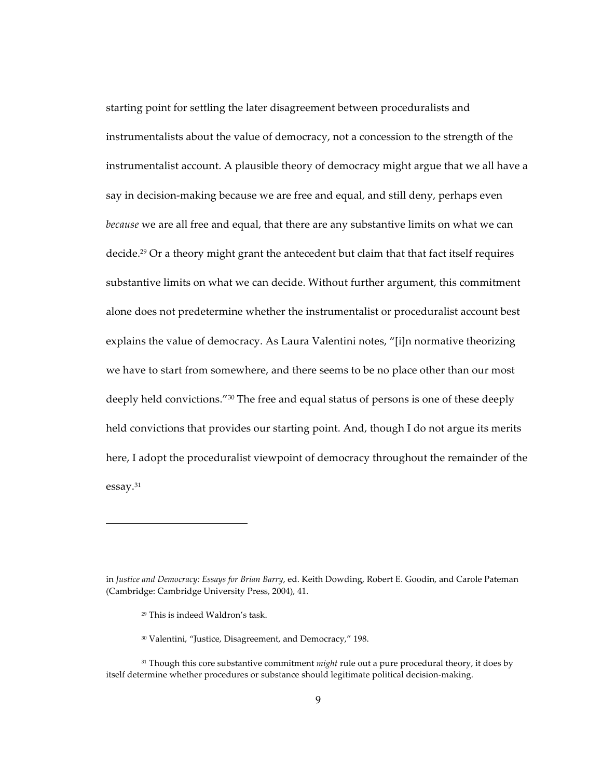starting point for settling the later disagreement between proceduralists and instrumentalists about the value of democracy, not a concession to the strength of the instrumentalist account. A plausible theory of democracy might argue that we all have a say in decision-making because we are free and equal, and still deny, perhaps even because we are all free and equal, that there are any substantive limits on what we can decide.<sup>29</sup> Or a theory might grant the antecedent but claim that that fact itself requires substantive limits on what we can decide. Without further argument, this commitment alone does not predetermine whether the instrumentalist or proceduralist account best explains the value of democracy. As Laura Valentini notes, "[i]n normative theorizing we have to start from somewhere, and there seems to be no place other than our most deeply held convictions."<sup>30</sup> The free and equal status of persons is one of these deeply held convictions that provides our starting point. And, though I do not argue its merits here, I adopt the proceduralist viewpoint of democracy throughout the remainder of the  $essay.<sup>31</sup>$ 

- <sup>29</sup> This is indeed Waldron's task.
- <sup>30</sup> Valentini, "Justice, Disagreement, and Democracy," 198.

in Justice and Democracy: Essays for Brian Barry, ed. Keith Dowding, Robert E. Goodin, and Carole Pateman (Cambridge: Cambridge University Press, 2004), 41.

<sup>31</sup> Though this core substantive commitment *might* rule out a pure procedural theory, it does by itself determine whether procedures or substance should legitimate political decision-making.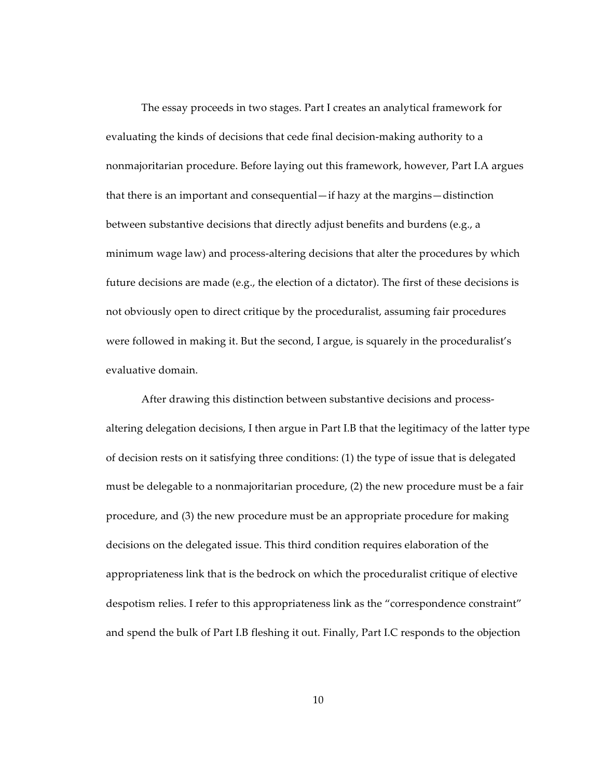The essay proceeds in two stages. Part I creates an analytical framework for evaluating the kinds of decisions that cede final decision-making authority to a nonmajoritarian procedure. Before laying out this framework, however, Part I.A argues that there is an important and consequential—if hazy at the margins—distinction between substantive decisions that directly adjust benefits and burdens (e.g., a minimum wage law) and process-altering decisions that alter the procedures by which future decisions are made (e.g., the election of a dictator). The first of these decisions is not obviously open to direct critique by the proceduralist, assuming fair procedures were followed in making it. But the second, I argue, is squarely in the proceduralist's evaluative domain.

After drawing this distinction between substantive decisions and processaltering delegation decisions, I then argue in Part I.B that the legitimacy of the latter type of decision rests on it satisfying three conditions: (1) the type of issue that is delegated must be delegable to a nonmajoritarian procedure,  $(2)$  the new procedure must be a fair procedure, and (3) the new procedure must be an appropriate procedure for making decisions on the delegated issue. This third condition requires elaboration of the appropriateness link that is the bedrock on which the proceduralist critique of elective despotism relies. I refer to this appropriateness link as the "correspondence constraint" and spend the bulk of Part I.B fleshing it out. Finally, Part I.C responds to the objection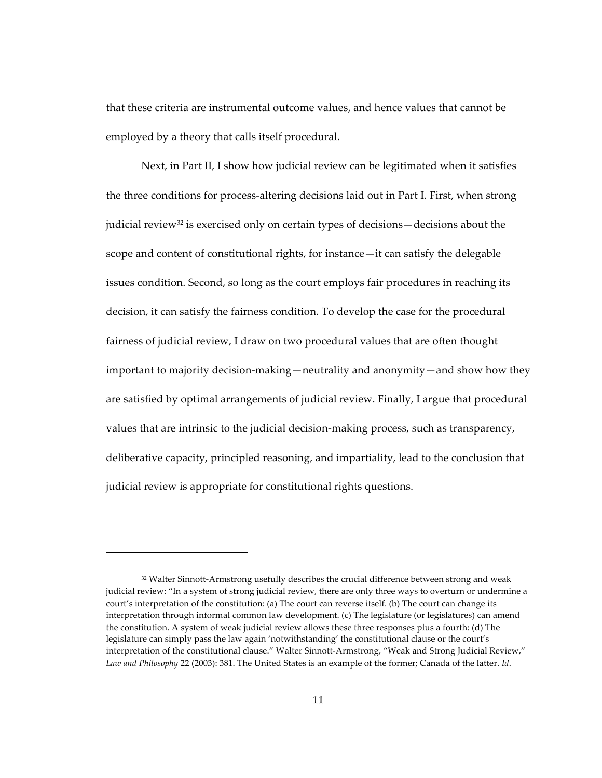that these criteria are instrumental outcome values, and hence values that cannot be employed by a theory that calls itself procedural.

Next, in Part II, I show how judicial review can be legitimated when it satisfies the three conditions for process-altering decisions laid out in Part I. First, when strong judicial review<sup>32</sup> is exercised only on certain types of decisions—decisions about the scope and content of constitutional rights, for instance—it can satisfy the delegable issues condition. Second, so long as the court employs fair procedures in reaching its decision, it can satisfy the fairness condition. To develop the case for the procedural fairness of judicial review, I draw on two procedural values that are often thought important to majority decision-making—neutrality and anonymity—and show how they are satisfied by optimal arrangements of judicial review. Finally, I argue that procedural values that are intrinsic to the judicial decision-making process, such as transparency, deliberative capacity, principled reasoning, and impartiality, lead to the conclusion that judicial review is appropriate for constitutional rights questions.

<sup>32</sup> Walter Sinnott-Armstrong usefully describes the crucial difference between strong and weak judicial review: "In a system of strong judicial review, there are only three ways to overturn or undermine a court's interpretation of the constitution: (a) The court can reverse itself. (b) The court can change its interpretation through informal common law development. (c) The legislature (or legislatures) can amend the constitution. A system of weak judicial review allows these three responses plus a fourth: (d) The legislature can simply pass the law again 'notwithstanding' the constitutional clause or the court's interpretation of the constitutional clause." Walter Sinnott-Armstrong, "Weak and Strong Judicial Review," *Law and Philosophy* 22 (2003): 381. The United States is an example of the former; Canada of the latter. *Id*.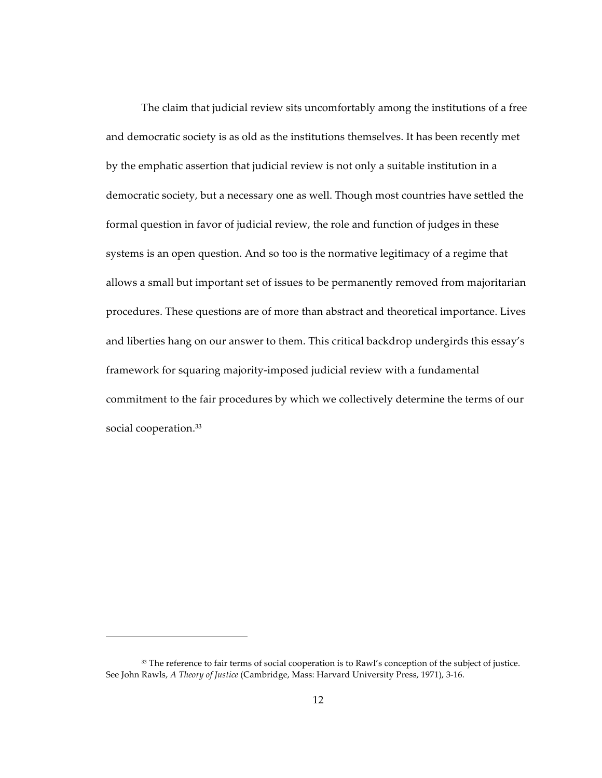The claim that judicial review sits uncomfortably among the institutions of a free and democratic society is as old as the institutions themselves. It has been recently met by the emphatic assertion that judicial review is not only a suitable institution in a democratic society, but a necessary one as well. Though most countries have settled the formal question in favor of judicial review, the role and function of judges in these systems is an open question. And so too is the normative legitimacy of a regime that allows a small but important set of issues to be permanently removed from majoritarian procedures. These questions are of more than abstract and theoretical importance. Lives and liberties hang on our answer to them. This critical backdrop undergirds this essay's framework for squaring majority-imposed judicial review with a fundamental commitment to the fair procedures by which we collectively determine the terms of our social cooperation.<sup>33</sup>

<sup>33</sup> The reference to fair terms of social cooperation is to Rawl's conception of the subject of justice. See John Rawls, *A Theory of Justice* (Cambridge, Mass: Harvard University Press, 1971), 3-16.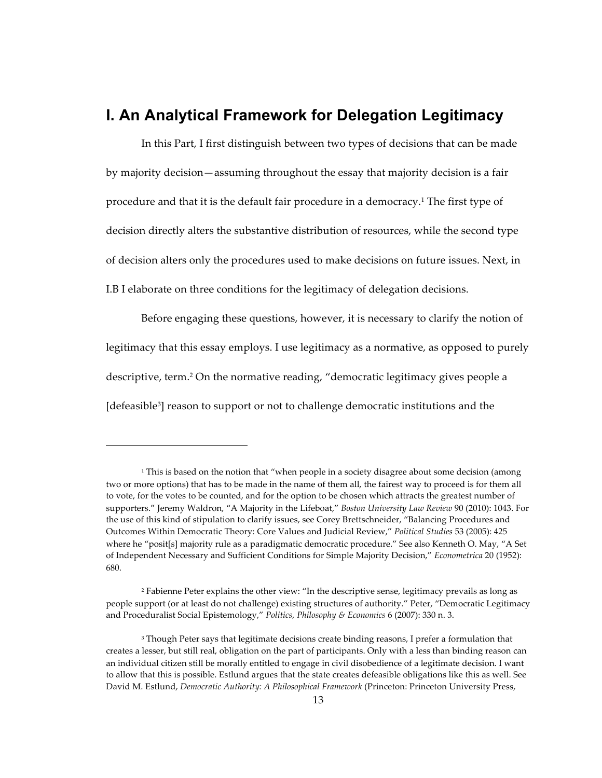## **I. An Analytical Framework for Delegation Legitimacy**

In this Part, I first distinguish between two types of decisions that can be made by majority decision—assuming throughout the essay that majority decision is a fair procedure and that it is the default fair procedure in a democracy.<sup>1</sup> The first type of decision directly alters the substantive distribution of resources, while the second type of decision alters only the procedures used to make decisions on future issues. Next, in I.B I elaborate on three conditions for the legitimacy of delegation decisions.

Before engaging these questions, however, it is necessary to clarify the notion of legitimacy that this essay employs. I use legitimacy as a normative, as opposed to purely descriptive, term.<sup>2</sup> On the normative reading, "democratic legitimacy gives people a [defeasible<sup>3</sup>] reason to support or not to challenge democratic institutions and the

 $1$  This is based on the notion that "when people in a society disagree about some decision (among two or more options) that has to be made in the name of them all, the fairest way to proceed is for them all to vote, for the votes to be counted, and for the option to be chosen which attracts the greatest number of supporters." Jeremy Waldron, "A Majority in the Lifeboat," *Boston University Law Review* 90 (2010): 1043. For the use of this kind of stipulation to clarify issues, see Corey Brettschneider, "Balancing Procedures and Outcomes Within Democratic Theory: Core Values and Judicial Review," Political Studies 53 (2005): 425 where he "posit[s] majority rule as a paradigmatic democratic procedure." See also Kenneth O. May, "A Set of Independent Necessary and Sufficient Conditions for Simple Majority Decision," *Econometrica* 20 (1952): 680.

<sup>&</sup>lt;sup>2</sup> Fabienne Peter explains the other view: "In the descriptive sense, legitimacy prevails as long as people support (or at least do not challenge) existing structures of authority." Peter, "Democratic Legitimacy and Proceduralist Social Epistemology," Politics, Philosophy & Economics 6 (2007): 330 n. 3.

<sup>&</sup>lt;sup>3</sup> Though Peter says that legitimate decisions create binding reasons, I prefer a formulation that creates a lesser, but still real, obligation on the part of participants. Only with a less than binding reason can an individual citizen still be morally entitled to engage in civil disobedience of a legitimate decision. I want to allow that this is possible. Estlund argues that the state creates defeasible obligations like this as well. See David M. Estlund, *Democratic Authority: A Philosophical Framework* (Princeton: Princeton University Press,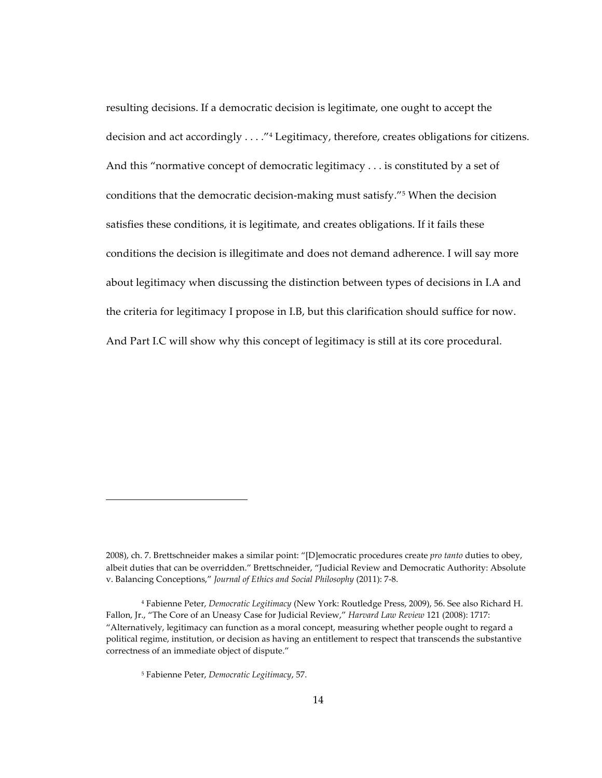resulting decisions. If a democratic decision is legitimate, one ought to accept the decision and act accordingly . . . . "<sup>4</sup> Legitimacy, therefore, creates obligations for citizens. And this "normative concept of democratic legitimacy . . . is constituted by a set of conditions that the democratic decision-making must satisfy."<sup>5</sup> When the decision satisfies these conditions, it is legitimate, and creates obligations. If it fails these conditions the decision is illegitimate and does not demand adherence. I will say more about legitimacy when discussing the distinction between types of decisions in I.A and the criteria for legitimacy I propose in I.B, but this clarification should suffice for now. And Part I.C will show why this concept of legitimacy is still at its core procedural.

<sup>2008),</sup> ch. 7. Brettschneider makes a similar point: "[D]emocratic procedures create pro tanto duties to obey, albeit duties that can be overridden." Brettschneider, "Judicial Review and Democratic Authority: Absolute v. Balancing Conceptions," Journal of Ethics and Social Philosophy (2011): 7-8.

<sup>&</sup>lt;sup>4</sup> Fabienne Peter, Democratic Legitimacy (New York: Routledge Press, 2009), 56. See also Richard H. Fallon, Jr., "The Core of an Uneasy Case for Judicial Review," Harvard Law Review 121 (2008): 1717: "Alternatively, legitimacy can function as a moral concept, measuring whether people ought to regard a political regime, institution, or decision as having an entitlement to respect that transcends the substantive correctness of an immediate object of dispute."

<sup>&</sup>lt;sup>5</sup> Fabienne Peter, Democratic Legitimacy, 57.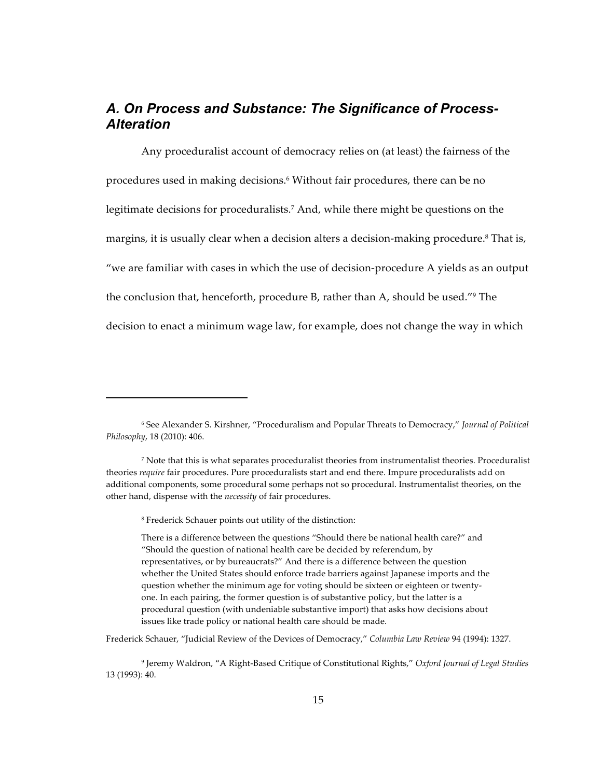#### A. On Process and Substance: The Significance of Process-**Alteration**

Any proceduralist account of democracy relies on (at least) the fairness of the procedures used in making decisions.<sup>6</sup> Without fair procedures, there can be no legitimate decisions for proceduralists.<sup>7</sup> And, while there might be questions on the margins, it is usually clear when a decision alters a decision-making procedure.<sup>8</sup> That is, "we are familiar with cases in which the use of decision-procedure A yields as an output the conclusion that, henceforth, procedure B, rather than A, should be used."<sup>9</sup> The decision to enact a minimum wage law, for example, does not change the way in which

There is a difference between the questions "Should there be national health care?" and "Should the question of national health care be decided by referendum, by representatives, or by bureaucrats?" And there is a difference between the question whether the United States should enforce trade barriers against Japanese imports and the question whether the minimum age for voting should be sixteen or eighteen or twentyone. In each pairing, the former question is of substantive policy, but the latter is a procedural question (with undeniable substantive import) that asks how decisions about issues like trade policy or national health care should be made.

Frederick Schauer, "Judicial Review of the Devices of Democracy," Columbia Law Review 94 (1994): 1327.

<sup>9</sup> Jeremy Waldron, "A Right-Based Critique of Constitutional Rights," Oxford Journal of Legal Studies 13 (1993): 40.

<sup>&</sup>lt;sup>6</sup> See Alexander S. Kirshner, "Proceduralism and Popular Threats to Democracy," Journal of Political Philosophy, 18 (2010): 406.

<sup>&</sup>lt;sup>7</sup> Note that this is what separates proceduralist theories from instrumentalist theories. Proceduralist theories require fair procedures. Pure proceduralists start and end there. Impure proceduralists add on additional components, some procedural some perhaps not so procedural. Instrumentalist theories, on the other hand, dispense with the necessity of fair procedures.

<sup>&</sup>lt;sup>8</sup> Frederick Schauer points out utility of the distinction: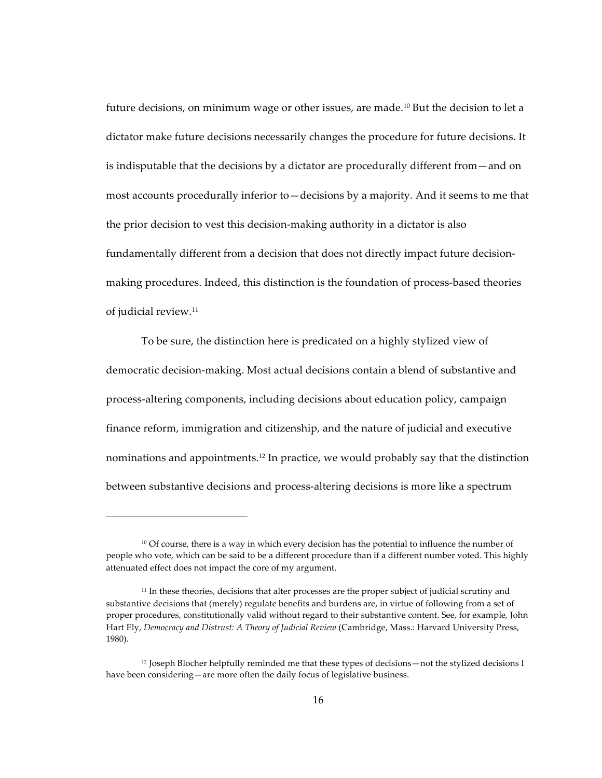future decisions, on minimum wage or other issues, are made.<sup>10</sup> But the decision to let a dictator make future decisions necessarily changes the procedure for future decisions. It is indisputable that the decisions by a dictator are procedurally different from—and on most accounts procedurally inferior to—decisions by a majority. And it seems to me that the prior decision to vest this decision-making authority in a dictator is also fundamentally different from a decision that does not directly impact future decisionmaking procedures. Indeed, this distinction is the foundation of process-based theories of judicial review.<sup>11</sup>

To be sure, the distinction here is predicated on a highly stylized view of democratic decision-making. Most actual decisions contain a blend of substantive and process-altering components, including decisions about education policy, campaign finance reform, immigration and citizenship, and the nature of judicial and executive nominations and appointments.<sup>12</sup> In practice, we would probably say that the distinction between substantive decisions and process-altering decisions is more like a spectrum

 $10$  Of course, there is a way in which every decision has the potential to influence the number of people who vote, which can be said to be a different procedure than if a different number voted. This highly attenuated effect does not impact the core of my argument.

<sup>&</sup>lt;sup>11</sup> In these theories, decisions that alter processes are the proper subject of judicial scrutiny and substantive decisions that (merely) regulate benefits and burdens are, in virtue of following from a set of proper procedures, constitutionally valid without regard to their substantive content. See, for example, John Hart Ely, *Democracy and Distrust: A Theory of Judicial Review* (Cambridge, Mass.: Harvard University Press, 1980).

 $12$  Joseph Blocher helpfully reminded me that these types of decisions—not the stylized decisions I have been considering—are more often the daily focus of legislative business.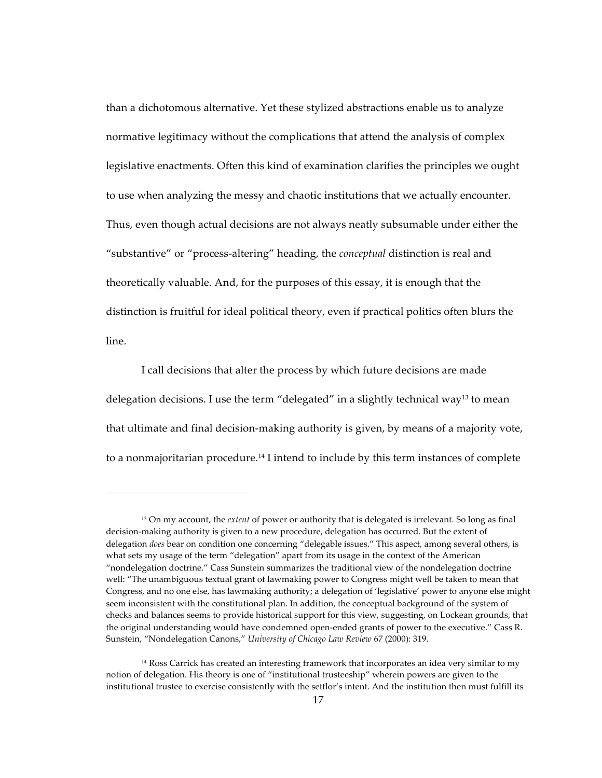than a dichotomous alternative. Yet these stylized abstractions enable us to analyze normative legitimacy without the complications that attend the analysis of complex legislative enactments. Often this kind of examination clarifies the principles we ought to use when analyzing the messy and chaotic institutions that we actually encounter. Thus, even though actual decisions are not always neatly subsumable under either the "substantive" or "process-altering" heading, the *conceptual* distinction is real and theoretically valuable. And, for the purposes of this essay, it is enough that the distinction is fruitful for ideal political theory, even if practical politics often blurs the line.

I call decisions that alter the process by which future decisions are made delegation decisions. I use the term "delegated" in a slightly technical way<sup>13</sup> to mean that ultimate and final decision-making authority is given, by means of a majority vote, to a nonmajoritarian procedure.<sup>14</sup> I intend to include by this term instances of complete

<sup>&</sup>lt;sup>13</sup> On my account, the *extent* of power or authority that is delegated is irrelevant. So long as final decision-making authority is given to a new procedure, delegation has occurred. But the extent of delegation *does* bear on condition one concerning "delegable issues." This aspect, among several others, is what sets my usage of the term "delegation" apart from its usage in the context of the American "nondelegation doctrine." Cass Sunstein summarizes the traditional view of the nondelegation doctrine well: "The unambiguous textual grant of lawmaking power to Congress might well be taken to mean that Congress, and no one else, has lawmaking authority; a delegation of 'legislative' power to anyone else might seem inconsistent with the constitutional plan. In addition, the conceptual background of the system of checks and balances seems to provide historical support for this view, suggesting, on Lockean grounds, that the original understanding would have condemned open-ended grants of power to the executive." Cass R. Sunstein, "Nondelegation Canons," *University of Chicago Law Review 67 (2000): 319.* 

<sup>&</sup>lt;sup>14</sup> Ross Carrick has created an interesting framework that incorporates an idea very similar to my notion of delegation. His theory is one of "institutional trusteeship" wherein powers are given to the institutional trustee to exercise consistently with the settlor's intent. And the institution then must fulfill its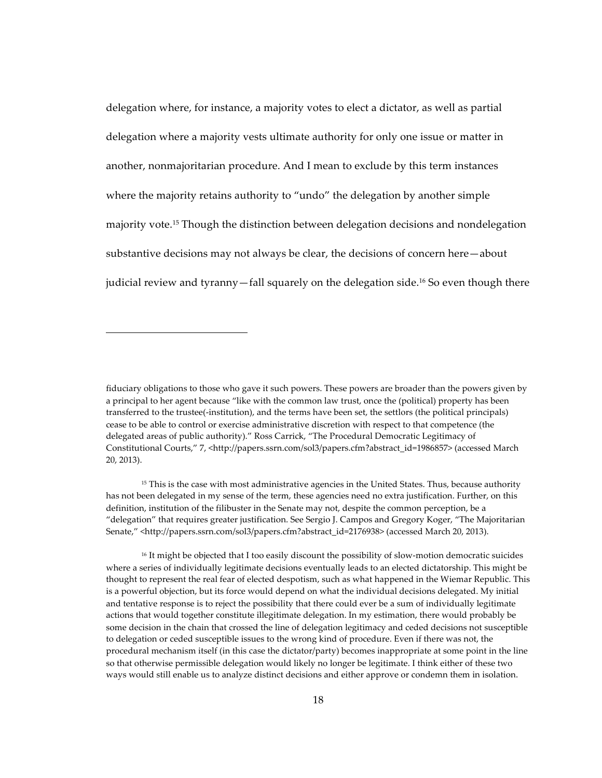delegation where, for instance, a majority votes to elect a dictator, as well as partial delegation where a majority vests ultimate authority for only one issue or matter in another, nonmajoritarian procedure. And I mean to exclude by this term instances where the majority retains authority to "undo" the delegation by another simple majority vote.<sup>15</sup> Though the distinction between delegation decisions and nondelegation substantive decisions may not always be clear, the decisions of concern here—about judicial review and tyranny—fall squarely on the delegation side.<sup>16</sup> So even though there

fiduciary obligations to those who gave it such powers. These powers are broader than the powers given by a principal to her agent because "like with the common law trust, once the (political) property has been transferred to the trustee(-institution), and the terms have been set, the settlors (the political principals) cease to be able to control or exercise administrative discretion with respect to that competence (the delegated areas of public authority)." Ross Carrick, "The Procedural Democratic Legitimacy of Constitutional Courts," 7, <http://papers.ssrn.com/sol3/papers.cfm?abstract\_id=1986857> (accessed March 20, 2013).

<sup>&</sup>lt;sup>15</sup> This is the case with most administrative agencies in the United States. Thus, because authority has not been delegated in my sense of the term, these agencies need no extra justification. Further, on this definition, institution of the filibuster in the Senate may not, despite the common perception, be a "delegation" that requires greater justification. See Sergio J. Campos and Gregory Koger, "The Majoritarian Senate," <http://papers.ssrn.com/sol3/papers.cfm?abstract\_id=2176938> (accessed March 20, 2013).

<sup>&</sup>lt;sup>16</sup> It might be objected that I too easily discount the possibility of slow-motion democratic suicides where a series of individually legitimate decisions eventually leads to an elected dictatorship. This might be thought to represent the real fear of elected despotism, such as what happened in the Wiemar Republic. This is a powerful objection, but its force would depend on what the individual decisions delegated. My initial and tentative response is to reject the possibility that there could ever be a sum of individually legitimate actions that would together constitute illegitimate delegation. In my estimation, there would probably be some decision in the chain that crossed the line of delegation legitimacy and ceded decisions not susceptible to delegation or ceded susceptible issues to the wrong kind of procedure. Even if there was not, the procedural mechanism itself (in this case the dictator/party) becomes inappropriate at some point in the line so that otherwise permissible delegation would likely no longer be legitimate. I think either of these two ways would still enable us to analyze distinct decisions and either approve or condemn them in isolation.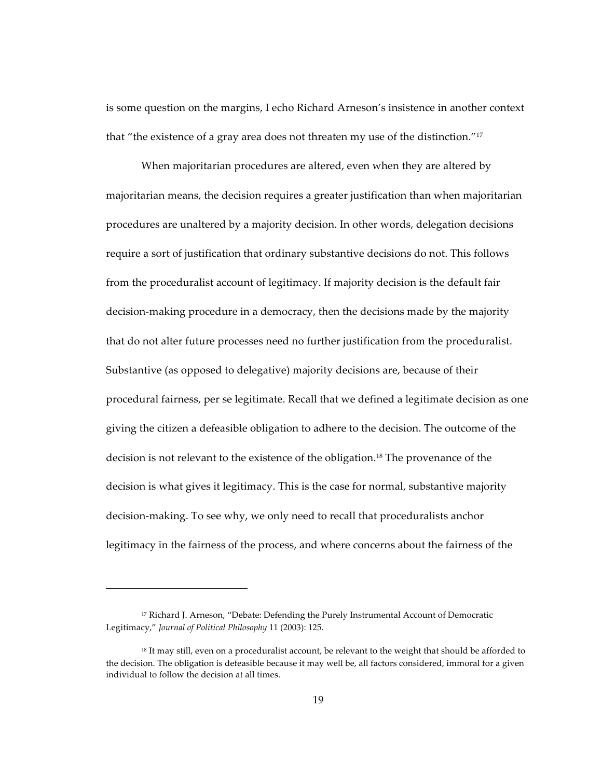is some question on the margins, I echo Richard Arneson's insistence in another context that "the existence of a gray area does not threaten my use of the distinction."<sup>17</sup>

When majoritarian procedures are altered, even when they are altered by majoritarian means, the decision requires a greater justification than when majoritarian procedures are unaltered by a majority decision. In other words, delegation decisions require a sort of justification that ordinary substantive decisions do not. This follows from the proceduralist account of legitimacy. If majority decision is the default fair decision-making procedure in a democracy, then the decisions made by the majority that do not alter future processes need no further justification from the proceduralist. Substantive (as opposed to delegative) majority decisions are, because of their procedural fairness, per se legitimate. Recall that we defined a legitimate decision as one giving the citizen a defeasible obligation to adhere to the decision. The outcome of the decision is not relevant to the existence of the obligation.<sup>18</sup> The provenance of the decision is what gives it legitimacy. This is the case for normal, substantive majority decision-making. To see why, we only need to recall that proceduralists anchor legitimacy in the fairness of the process, and where concerns about the fairness of the

<sup>&</sup>lt;sup>17</sup> Richard J. Arneson, "Debate: Defending the Purely Instrumental Account of Democratic Legitimacy," *Journal of Political Philosophy* 11 (2003): 125.

<sup>&</sup>lt;sup>18</sup> It may still, even on a proceduralist account, be relevant to the weight that should be afforded to the decision. The obligation is defeasible because it may well be, all factors considered, immoral for a given individual to follow the decision at all times.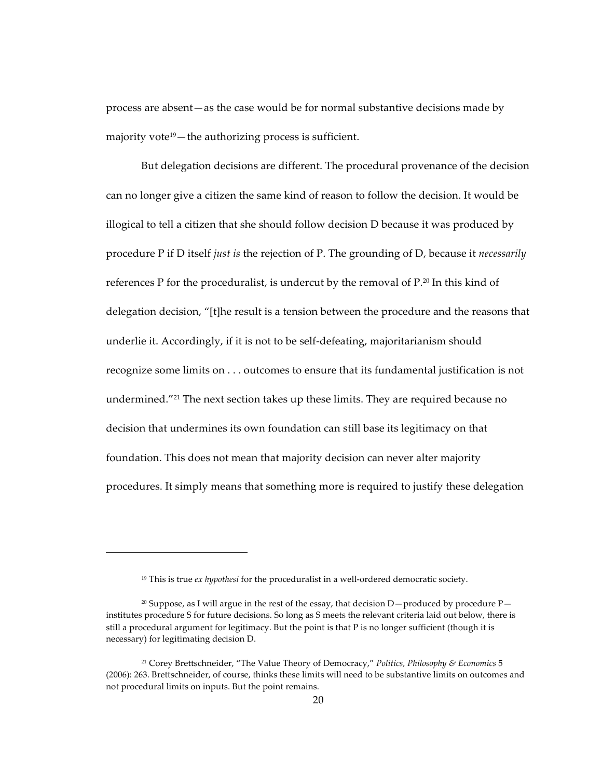process are absent—as the case would be for normal substantive decisions made by majority vote<sup>19</sup> $-$ the authorizing process is sufficient.

But delegation decisions are different. The procedural provenance of the decision can no longer give a citizen the same kind of reason to follow the decision. It would be illogical to tell a citizen that she should follow decision D because it was produced by procedure P if D itself *just is* the rejection of P. The grounding of D, because it *necessarily* references P for the proceduralist, is undercut by the removal of  $P^{20}$  In this kind of delegation decision, "[t] he result is a tension between the procedure and the reasons that underlie it. Accordingly, if it is not to be self-defeating, majoritarianism should recognize some limits on . . . outcomes to ensure that its fundamental justification is not undermined."<sup>21</sup> The next section takes up these limits. They are required because no decision that undermines its own foundation can still base its legitimacy on that foundation. This does not mean that majority decision can never alter majority procedures. It simply means that something more is required to justify these delegation

 $19$  This is true ex hypothesi for the proceduralist in a well-ordered democratic society.

<sup>&</sup>lt;sup>20</sup> Suppose, as I will argue in the rest of the essay, that decision D—produced by procedure  $P$ institutes procedure S for future decisions. So long as S meets the relevant criteria laid out below, there is still a procedural argument for legitimacy. But the point is that P is no longer sufficient (though it is necessary) for legitimating decision D.

<sup>&</sup>lt;sup>21</sup> Corey Brettschneider, "The Value Theory of Democracy," Politics, Philosophy & Economics 5 (2006): 263. Brettschneider, of course, thinks these limits will need to be substantive limits on outcomes and not procedural limits on inputs. But the point remains.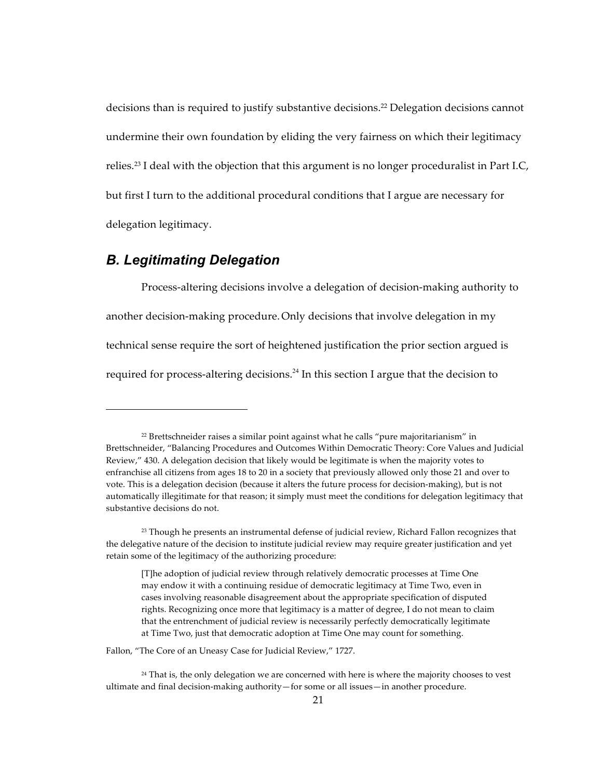decisions than is required to justify substantive decisions.<sup>22</sup> Delegation decisions cannot undermine their own foundation by eliding the very fairness on which their legitimacy relies.<sup>23</sup> I deal with the objection that this argument is no longer proceduralist in Part I.C, but first I turn to the additional procedural conditions that I argue are necessary for delegation legitimacy.

#### *B. Legitimating Delegation*

!!!!!!!!!!!!!!!!!!!!!!!!!!!!!!!!!!!!!!!!!!!!!!!!!!!!!!

Process-altering decisions involve a delegation of decision-making authority to another decision-making procedure. Only decisions that involve delegation in my technical sense require the sort of heightened justification the prior section argued is required for process-altering decisions.<sup>24</sup> In this section I argue that the decision to

Fallon, "The Core of an Uneasy Case for Judicial Review," 1727.

 $22$  Brettschneider raises a similar point against what he calls "pure majoritarianism" in Brettschneider, "Balancing Procedures and Outcomes Within Democratic Theory: Core Values and Judicial Review," 430. A delegation decision that likely would be legitimate is when the majority votes to enfranchise all citizens from ages 18 to 20 in a society that previously allowed only those 21 and over to vote. This is a delegation decision (because it alters the future process for decision-making), but is not automatically illegitimate for that reason; it simply must meet the conditions for delegation legitimacy that substantive decisions do not.

 $23$  Though he presents an instrumental defense of judicial review, Richard Fallon recognizes that the delegative nature of the decision to institute judicial review may require greater justification and yet retain some of the legitimacy of the authorizing procedure:

<sup>[</sup>T]he adoption of judicial review through relatively democratic processes at Time One may endow it with a continuing residue of democratic legitimacy at Time Two, even in cases involving reasonable disagreement about the appropriate specification of disputed rights. Recognizing once more that legitimacy is a matter of degree, I do not mean to claim that the entrenchment of judicial review is necessarily perfectly democratically legitimate at Time Two, just that democratic adoption at Time One may count for something.

<sup>&</sup>lt;sup>24</sup> That is, the only delegation we are concerned with here is where the majority chooses to vest ultimate and final decision-making authority—for some or all issues—in another procedure.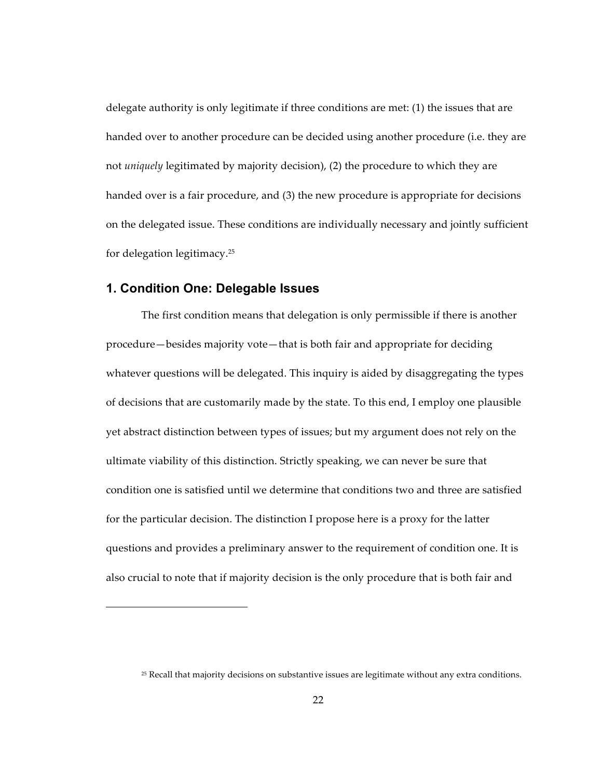delegate authority is only legitimate if three conditions are met: (1) the issues that are handed over to another procedure can be decided using another procedure (i.e. they are not *uniquely* legitimated by majority decision), (2) the procedure to which they are handed over is a fair procedure, and (3) the new procedure is appropriate for decisions on the delegated issue. These conditions are individually necessary and jointly sufficient for delegation legitimacy.25

#### **1. Condition One: Delegable Issues**

!!!!!!!!!!!!!!!!!!!!!!!!!!!!!!!!!!!!!!!!!!!!!!!!!!!!!!

The first condition means that delegation is only permissible if there is another procedure—besides majority vote—that is both fair and appropriate for deciding whatever questions will be delegated. This inquiry is aided by disaggregating the types of decisions that are customarily made by the state. To this end, I employ one plausible yet abstract distinction between types of issues; but my argument does not rely on the ultimate viability of this distinction. Strictly speaking, we can never be sure that condition one is satisfied until we determine that conditions two and three are satisfied for the particular decision. The distinction I propose here is a proxy for the latter questions and provides a preliminary answer to the requirement of condition one. It is also crucial to note that if majority decision is the only procedure that is both fair and

<sup>&</sup>lt;sup>25</sup> Recall that majority decisions on substantive issues are legitimate without any extra conditions.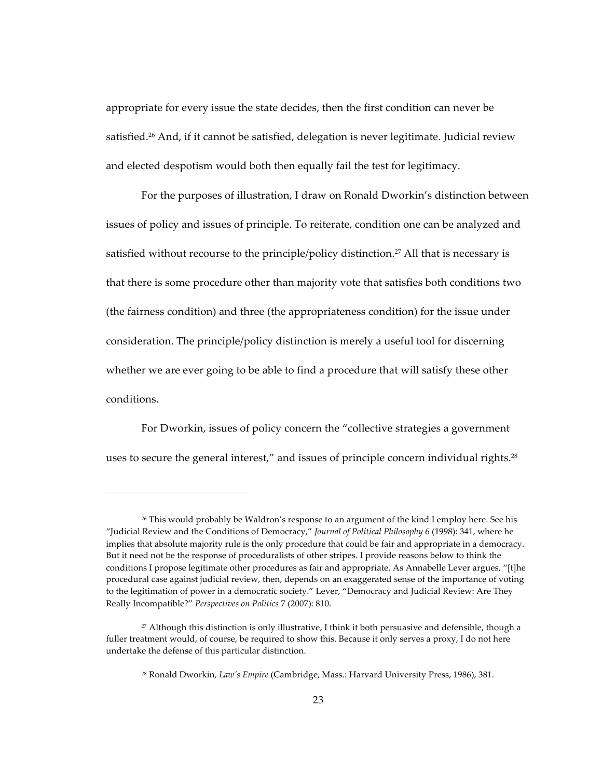appropriate for every issue the state decides, then the first condition can never be satisfied.<sup>26</sup> And, if it cannot be satisfied, delegation is never legitimate. Judicial review and elected despotism would both then equally fail the test for legitimacy.

For the purposes of illustration, I draw on Ronald Dworkin's distinction between issues of policy and issues of principle. To reiterate, condition one can be analyzed and satisfied without recourse to the principle/policy distinction.<sup>27</sup> All that is necessary is that there is some procedure other than majority vote that satisfies both conditions two (the fairness condition) and three (the appropriateness condition) for the issue under consideration. The principle/policy distinction is merely a useful tool for discerning whether we are ever going to be able to find a procedure that will satisfy these other conditions.

For Dworkin, issues of policy concern the "collective strategies a government" uses to secure the general interest," and issues of principle concern individual rights.<sup>28</sup>

 $26$  This would probably be Waldron's response to an argument of the kind I employ here. See his "Judicial Review and the Conditions of Democracy," *Journal of Political Philosophy* 6 (1998): 341, where he implies that absolute majority rule is the only procedure that could be fair and appropriate in a democracy. But it need not be the response of proceduralists of other stripes. I provide reasons below to think the conditions I propose legitimate other procedures as fair and appropriate. As Annabelle Lever argues, "[t]he procedural case against judicial review, then, depends on an exaggerated sense of the importance of voting to the legitimation of power in a democratic society." Lever, "Democracy and Judicial Review: Are They Really Incompatible?" *Perspectives on Politics* 7 (2007): 810.

 $27$  Although this distinction is only illustrative, I think it both persuasive and defensible, though a fuller treatment would, of course, be required to show this. Because it only serves a proxy, I do not here undertake the defense of this particular distinction.

<sup>&</sup>lt;sup>28</sup> Ronald Dworkin, *Law's Empire* (Cambridge, Mass.: Harvard University Press, 1986), 381.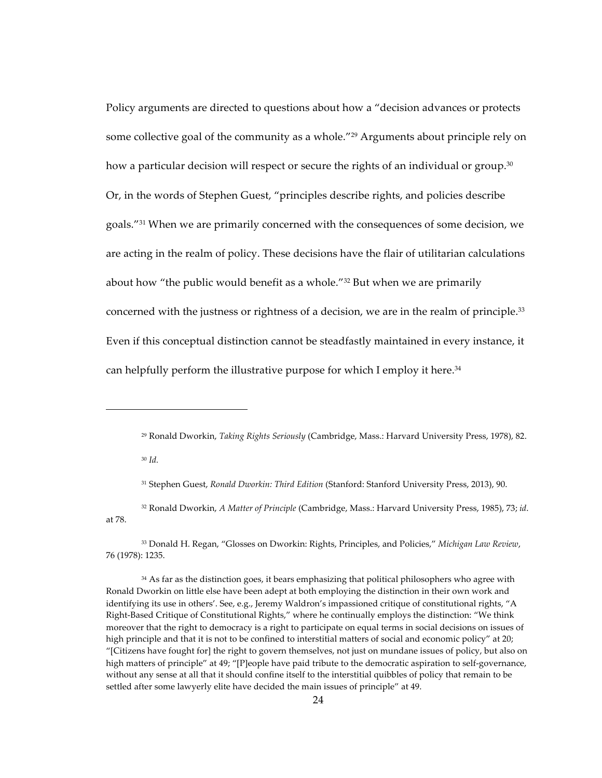Policy arguments are directed to questions about how a "decision advances or protects some collective goal of the community as a whole."<sup>29</sup> Arguments about principle rely on how a particular decision will respect or secure the rights of an individual or group. $30$ Or, in the words of Stephen Guest, "principles describe rights, and policies describe goals."<sup>31</sup> When we are primarily concerned with the consequences of some decision, we are acting in the realm of policy. These decisions have the flair of utilitarian calculations about how "the public would benefit as a whole." $32$  But when we are primarily concerned with the justness or rightness of a decision, we are in the realm of principle.<sup>33</sup> Even if this conceptual distinction cannot be steadfastly maintained in every instance, it can helpfully perform the illustrative purpose for which I employ it here.<sup>34</sup>

<sup>30</sup> *Id.*

!!!!!!!!!!!!!!!!!!!!!!!!!!!!!!!!!!!!!!!!!!!!!!!!!!!!!!

<sup>33</sup> Donald H. Regan, "Glosses on Dworkin: Rights, Principles, and Policies," *Michigan Law Review*, 76 (1978): 1235.

<sup>34</sup> As far as the distinction goes, it bears emphasizing that political philosophers who agree with Ronald Dworkin on little else have been adept at both employing the distinction in their own work and identifying its use in others'. See, e.g., Jeremy Waldron's impassioned critique of constitutional rights, "A Right-Based Critique of Constitutional Rights," where he continually employs the distinction: "We think moreover that the right to democracy is a right to participate on equal terms in social decisions on issues of high principle and that it is not to be confined to interstitial matters of social and economic policy" at 20; "[Citizens have fought for] the right to govern themselves, not just on mundane issues of policy, but also on high matters of principle" at 49; "[P]eople have paid tribute to the democratic aspiration to self-governance, without any sense at all that it should confine itself to the interstitial quibbles of policy that remain to be settled after some lawyerly elite have decided the main issues of principle" at 49.

<sup>&</sup>lt;sup>29</sup> Ronald Dworkin, *Taking Rights Seriously* (Cambridge, Mass.: Harvard University Press, 1978), 82.

<sup>&</sup>lt;sup>31</sup> Stephen Guest, *Ronald Dworkin: Third Edition* (Stanford: Stanford University Press, 2013), 90.

<sup>&</sup>lt;sup>32</sup> Ronald Dworkin, *A Matter of Principle* (Cambridge, Mass.: Harvard University Press, 1985), 73; *id*. at!78.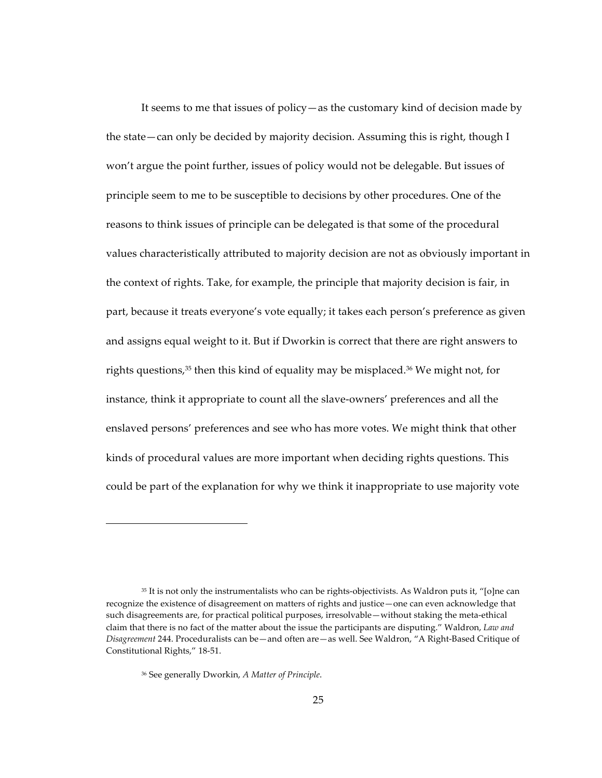It seems to me that issues of policy—as the customary kind of decision made by the state—can only be decided by majority decision. Assuming this is right, though I won't argue the point further, issues of policy would not be delegable. But issues of principle seem to me to be susceptible to decisions by other procedures. One of the reasons to think issues of principle can be delegated is that some of the procedural values characteristically attributed to majority decision are not as obviously important in the context of rights. Take, for example, the principle that majority decision is fair, in part, because it treats everyone's vote equally; it takes each person's preference as given and assigns equal weight to it. But if Dworkin is correct that there are right answers to rights questions,<sup>35</sup> then this kind of equality may be misplaced.<sup>36</sup> We might not, for instance, think it appropriate to count all the slave-owners' preferences and all the enslaved persons' preferences and see who has more votes. We might think that other kinds of procedural values are more important when deciding rights questions. This could be part of the explanation for why we think it inappropriate to use majority vote

 $35$  It is not only the instrumentalists who can be rights-objectivists. As Waldron puts it, "[o]ne can recognize the existence of disagreement on matters of rights and justice—one can even acknowledge that such disagreements are, for practical political purposes, irresolvable—without staking the meta-ethical claim that there is no fact of the matter about the issue the participants are disputing." Waldron, *Law and Disagreement* 244. Proceduralists can be—and often are—as well. See Waldron, "A Right-Based Critique of Constitutional Rights," 18-51.

<sup>&</sup>lt;sup>36</sup> See generally Dworkin, *A Matter of Principle*.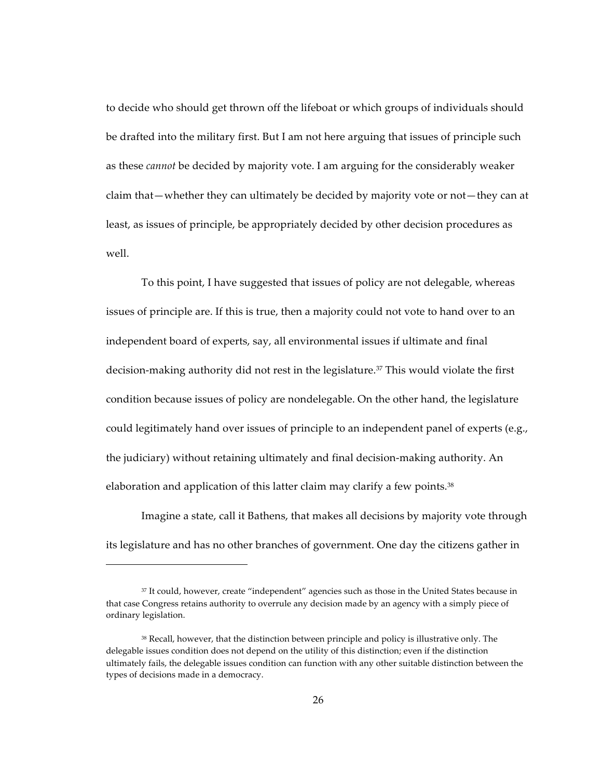to decide who should get thrown off the lifeboat or which groups of individuals should be drafted into the military first. But I am not here arguing that issues of principle such as these *cannot* be decided by majority vote. I am arguing for the considerably weaker claim that—whether they can ultimately be decided by majority vote or not—they can at least, as issues of principle, be appropriately decided by other decision procedures as well.

To this point, I have suggested that issues of policy are not delegable, whereas issues of principle are. If this is true, then a majority could not vote to hand over to an independent board of experts, say, all environmental issues if ultimate and final decision-making authority did not rest in the legislature.<sup>37</sup> This would violate the first condition because issues of policy are nondelegable. On the other hand, the legislature could legitimately hand over issues of principle to an independent panel of experts (e.g., the judiciary) without retaining ultimately and final decision-making authority. An elaboration and application of this latter claim may clarify a few points.<sup>38</sup>

Imagine a state, call it Bathens, that makes all decisions by majority vote through its legislature and has no other branches of government. One day the citizens gather in

<sup>&</sup>lt;sup>37</sup> It could, however, create "independent" agencies such as those in the United States because in that case Congress retains authority to overrule any decision made by an agency with a simply piece of ordinary legislation.

<sup>&</sup>lt;sup>38</sup> Recall, however, that the distinction between principle and policy is illustrative only. The delegable issues condition does not depend on the utility of this distinction; even if the distinction ultimately fails, the delegable issues condition can function with any other suitable distinction between the types of decisions made in a democracy.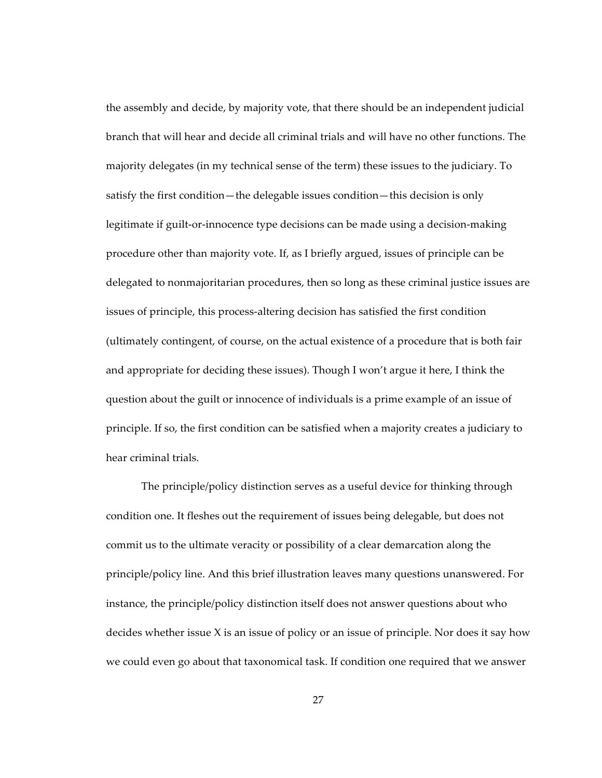the assembly and decide, by majority vote, that there should be an independent judicial branch that will hear and decide all criminal trials and will have no other functions. The majority delegates (in my technical sense of the term) these issues to the judiciary. To satisfy the first condition—the delegable issues condition—this decision is only legitimate if guilt-or-innocence type decisions can be made using a decision-making procedure other than majority vote. If, as I briefly argued, issues of principle can be delegated to nonmajoritarian procedures, then so long as these criminal justice issues are issues of principle, this process-altering decision has satisfied the first condition (ultimately contingent, of course, on the actual existence of a procedure that is both fair and appropriate for deciding these issues). Though I won't argue it here, I think the question about the guilt or innocence of individuals is a prime example of an issue of principle. If so, the first condition can be satisfied when a majority creates a judiciary to hear criminal trials.

The principle/policy distinction serves as a useful device for thinking through condition one. It fleshes out the requirement of issues being delegable, but does not commit us to the ultimate veracity or possibility of a clear demarcation along the principle/policy line. And this brief illustration leaves many questions unanswered. For instance, the principle/policy distinction itself does not answer questions about who decides whether issue  $X$  is an issue of policy or an issue of principle. Nor does it say how we could even go about that taxonomical task. If condition one required that we answer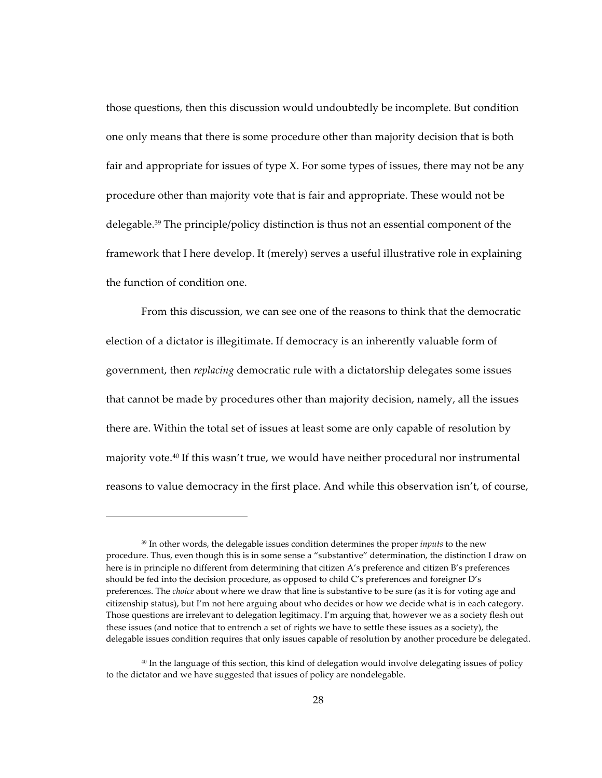those questions, then this discussion would undoubtedly be incomplete. But condition one only means that there is some procedure other than majority decision that is both fair and appropriate for issues of type X. For some types of issues, there may not be any procedure other than majority vote that is fair and appropriate. These would not be delegable.<sup>39</sup> The principle/policy distinction is thus not an essential component of the framework that I here develop. It (merely) serves a useful illustrative role in explaining the function of condition one.

From this discussion, we can see one of the reasons to think that the democratic election of a dictator is illegitimate. If democracy is an inherently valuable form of government, then *replacing* democratic rule with a dictatorship delegates some issues that cannot be made by procedures other than majority decision, namely, all the issues there are. Within the total set of issues at least some are only capable of resolution by majority vote.<sup>40</sup> If this wasn't true, we would have neither procedural nor instrumental reasons to value democracy in the first place. And while this observation isn't, of course,

<sup>&</sup>lt;sup>39</sup> In other words, the delegable issues condition determines the proper *inputs* to the new procedure. Thus, even though this is in some sense a "substantive" determination, the distinction I draw on here is in principle no different from determining that citizen A's preference and citizen B's preferences should be fed into the decision procedure, as opposed to child C's preferences and foreigner D's preferences. The *choice* about where we draw that line is substantive to be sure (as it is for voting age and citizenship status), but I'm not here arguing about who decides or how we decide what is in each category. Those questions are irrelevant to delegation legitimacy. I'm arguing that, however we as a society flesh out these issues (and notice that to entrench a set of rights we have to settle these issues as a society), the delegable issues condition requires that only issues capable of resolution by another procedure be delegated.

<sup>&</sup>lt;sup>40</sup> In the language of this section, this kind of delegation would involve delegating issues of policy to the dictator and we have suggested that issues of policy are nondelegable.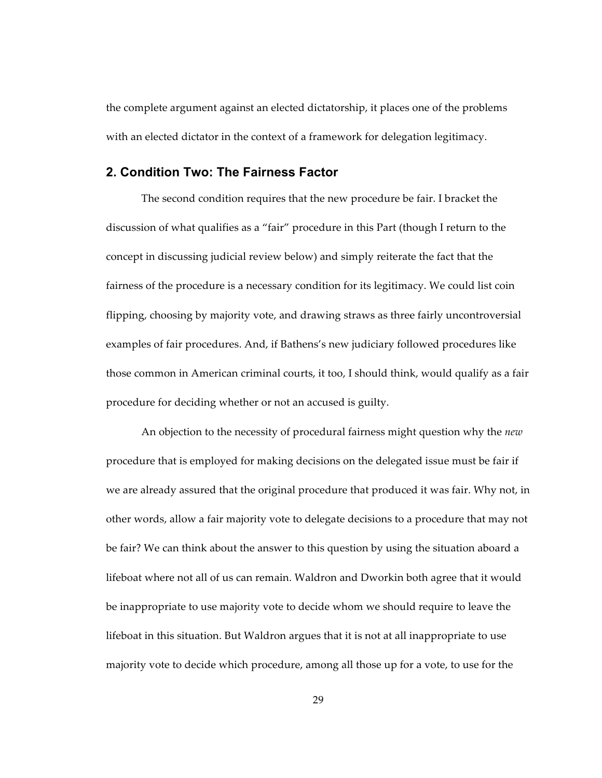the complete argument against an elected dictatorship, it places one of the problems with an elected dictator in the context of a framework for delegation legitimacy.

### **2. Condition Two: The Fairness Factor**

The second condition requires that the new procedure be fair. I bracket the discussion of what qualifies as a "fair" procedure in this Part (though I return to the concept in discussing judicial review below) and simply reiterate the fact that the fairness of the procedure is a necessary condition for its legitimacy. We could list coin flipping, choosing by majority vote, and drawing straws as three fairly uncontroversial examples of fair procedures. And, if Bathens's new judiciary followed procedures like those common in American criminal courts, it too, I should think, would qualify as a fair procedure for deciding whether or not an accused is guilty.

An objection to the necessity of procedural fairness might question why the *new* procedure that is employed for making decisions on the delegated issue must be fair if we are already assured that the original procedure that produced it was fair. Why not, in other words, allow a fair majority vote to delegate decisions to a procedure that may not be fair? We can think about the answer to this question by using the situation aboard a lifeboat where not all of us can remain. Waldron and Dworkin both agree that it would be inappropriate to use majority vote to decide whom we should require to leave the lifeboat in this situation. But Waldron argues that it is not at all inappropriate to use majority vote to decide which procedure, among all those up for a vote, to use for the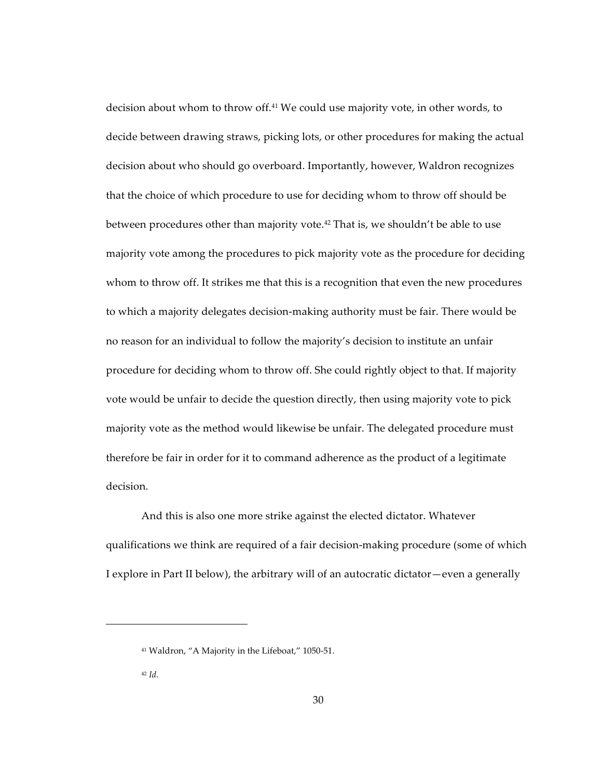decision about whom to throw off.<sup>41</sup> We could use majority vote, in other words, to decide between drawing straws, picking lots, or other procedures for making the actual decision about who should go overboard. Importantly, however, Waldron recognizes that the choice of which procedure to use for deciding whom to throw off should be between procedures other than majority vote.<sup>42</sup> That is, we shouldn't be able to use majority vote among the procedures to pick majority vote as the procedure for deciding whom to throw off. It strikes me that this is a recognition that even the new procedures to which a majority delegates decision-making authority must be fair. There would be no reason for an individual to follow the majority's decision to institute an unfair procedure for deciding whom to throw off. She could rightly object to that. If majority vote would be unfair to decide the question directly, then using majority vote to pick majority vote as the method would likewise be unfair. The delegated procedure must therefore be fair in order for it to command adherence as the product of a legitimate decision.

And this is also one more strike against the elected dictator. Whatever qualifications we think are required of a fair decision-making procedure (some of which I explore in Part II below), the arbitrary will of an autocratic dictator—even a generally

<sup>&</sup>lt;sup>41</sup> Waldron, "A Majority in the Lifeboat," 1050-51.

 $42$  *Id.*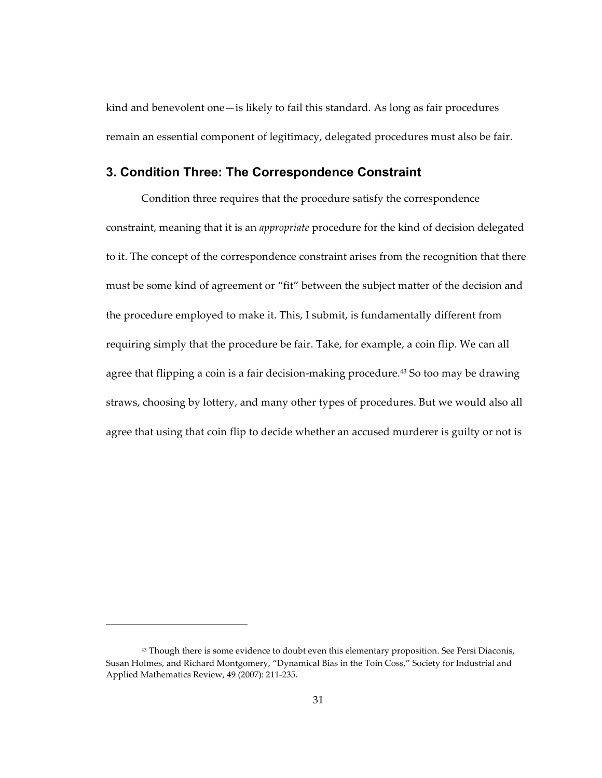kind and benevolent one-is likely to fail this standard. As long as fair procedures remain an essential component of legitimacy, delegated procedures must also be fair.

### 3. Condition Three: The Correspondence Constraint

Condition three requires that the procedure satisfy the correspondence constraint, meaning that it is an *appropriate* procedure for the kind of decision delegated to it. The concept of the correspondence constraint arises from the recognition that there must be some kind of agreement or "fit" between the subject matter of the decision and the procedure employed to make it. This, I submit, is fundamentally different from requiring simply that the procedure be fair. Take, for example, a coin flip. We can all agree that flipping a coin is a fair decision-making procedure.<sup>43</sup> So too may be drawing straws, choosing by lottery, and many other types of procedures. But we would also all agree that using that coin flip to decide whether an accused murderer is guilty or not is

<sup>&</sup>lt;sup>43</sup> Though there is some evidence to doubt even this elementary proposition. See Persi Diaconis, Susan Holmes, and Richard Montgomery, "Dynamical Bias in the Toin Coss," Society for Industrial and Applied Mathematics Review, 49 (2007): 211-235.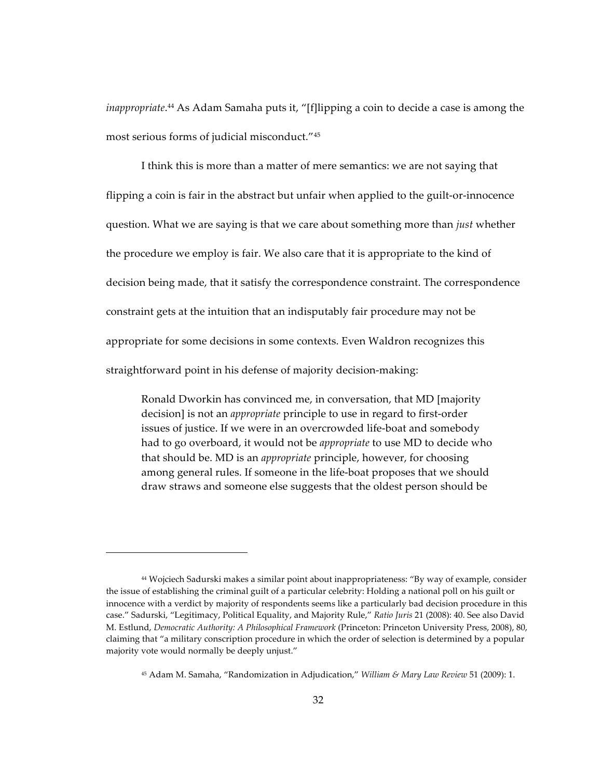inappropriate.<sup>44</sup> As Adam Samaha puts it, "[f]lipping a coin to decide a case is among the most serious forms of judicial misconduct."<sup>45</sup>

I think this is more than a matter of mere semantics: we are not saying that flipping a coin is fair in the abstract but unfair when applied to the guilt-or-innocence question. What we are saying is that we care about something more than *just* whether the procedure we employ is fair. We also care that it is appropriate to the kind of decision being made, that it satisfy the correspondence constraint. The correspondence constraint gets at the intuition that an indisputably fair procedure may not be appropriate for some decisions in some contexts. Even Waldron recognizes this straightforward point in his defense of majority decision-making:

Ronald Dworkin has convinced me, in conversation, that MD [majority decision] is not an *appropriate* principle to use in regard to first-order issues of justice. If we were in an overcrowded life-boat and somebody had to go overboard, it would not be *appropriate* to use MD to decide who that should be. MD is an *appropriate* principle, however, for choosing among general rules. If someone in the life-boat proposes that we should draw straws and someone else suggests that the oldest person should be

<sup>&</sup>lt;sup>44</sup> Wojciech Sadurski makes a similar point about inappropriateness: "By way of example, consider the issue of establishing the criminal guilt of a particular celebrity: Holding a national poll on his guilt or innocence with a verdict by majority of respondents seems like a particularly bad decision procedure in this case." Sadurski, "Legitimacy, Political Equality, and Majority Rule," Ratio Juris 21 (2008): 40. See also David M. Estlund, Democratic Authority: A Philosophical Framework (Princeton: Princeton University Press, 2008), 80, claiming that "a military conscription procedure in which the order of selection is determined by a popular majority vote would normally be deeply unjust."

<sup>&</sup>lt;sup>45</sup> Adam M. Samaha, "Randomization in Adjudication," William & Mary Law Review 51 (2009): 1.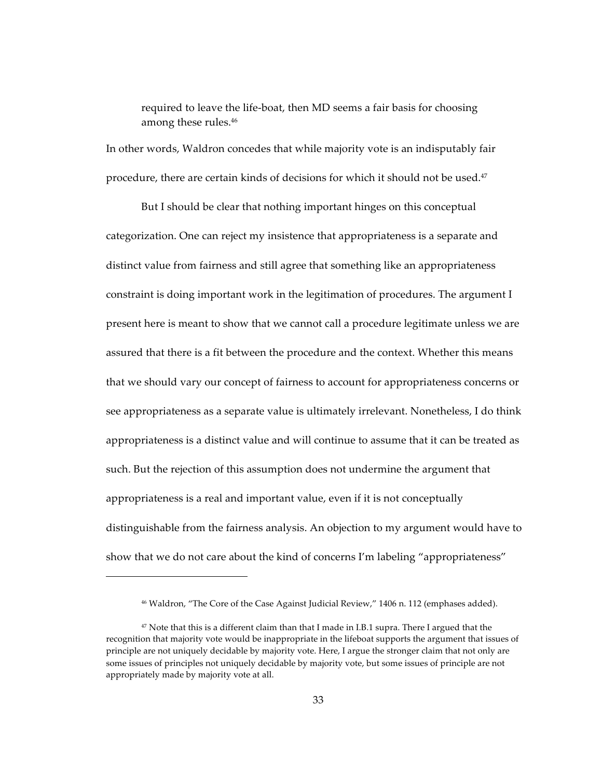required to leave the life-boat, then MD seems a fair basis for choosing among these rules.<sup>46</sup>

In other words, Waldron concedes that while majority vote is an indisputably fair procedure, there are certain kinds of decisions for which it should not be used.<sup>47</sup>

But I should be clear that nothing important hinges on this conceptual categorization. One can reject my insistence that appropriateness is a separate and distinct value from fairness and still agree that something like an appropriateness constraint is doing important work in the legitimation of procedures. The argument  $I$ present here is meant to show that we cannot call a procedure legitimate unless we are assured that there is a fit between the procedure and the context. Whether this means that we should vary our concept of fairness to account for appropriateness concerns or see appropriateness as a separate value is ultimately irrelevant. Nonetheless, I do think appropriateness is a distinct value and will continue to assume that it can be treated as such. But the rejection of this assumption does not undermine the argument that appropriateness is a real and important value, even if it is not conceptually distinguishable from the fairness analysis. An objection to my argument would have to show that we do not care about the kind of concerns I'm labeling "appropriateness"

<sup>&</sup>lt;sup>46</sup> Waldron, "The Core of the Case Against Judicial Review," 1406 n. 112 (emphases added).

 $47$  Note that this is a different claim than that I made in I.B.1 supra. There I argued that the recognition that majority vote would be inappropriate in the lifeboat supports the argument that issues of principle are not uniquely decidable by majority vote. Here, I argue the stronger claim that not only are some issues of principles not uniquely decidable by majority vote, but some issues of principle are not appropriately made by majority vote at all.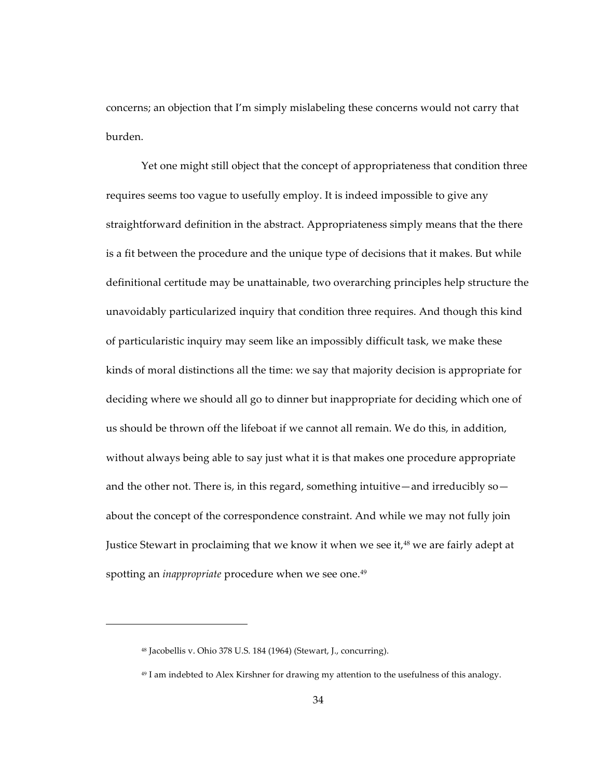concerns; an objection that I'm simply mislabeling these concerns would not carry that burden.

Yet one might still object that the concept of appropriateness that condition three requires seems too vague to usefully employ. It is indeed impossible to give any straightforward definition in the abstract. Appropriateness simply means that the there is a fit between the procedure and the unique type of decisions that it makes. But while definitional certitude may be unattainable, two overarching principles help structure the unavoidably particularized inquiry that condition three requires. And though this kind of particularistic inquiry may seem like an impossibly difficult task, we make these kinds of moral distinctions all the time: we say that majority decision is appropriate for deciding where we should all go to dinner but inappropriate for deciding which one of us should be thrown off the lifeboat if we cannot all remain. We do this, in addition, without always being able to say just what it is that makes one procedure appropriate and the other not. There is, in this regard, something intuitive—and irreducibly so about the concept of the correspondence constraint. And while we may not fully join Justice Stewart in proclaiming that we know it when we see it,<sup>48</sup> we are fairly adept at spotting an *inappropriate* procedure when we see one.<sup>49</sup>

 $48$  Jacobellis v. Ohio 378 U.S. 184 (1964) (Stewart, J., concurring).

<sup>&</sup>lt;sup>49</sup> I am indebted to Alex Kirshner for drawing my attention to the usefulness of this analogy.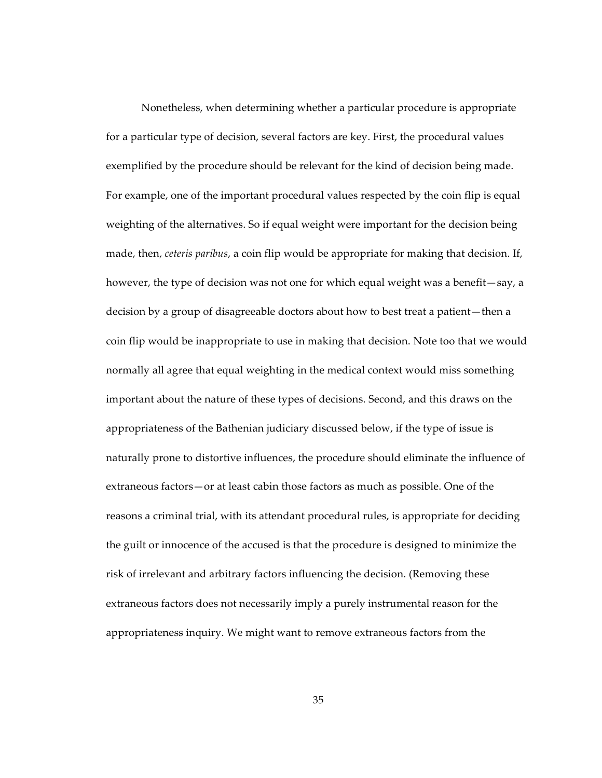Nonetheless, when determining whether a particular procedure is appropriate for a particular type of decision, several factors are key. First, the procedural values exemplified by the procedure should be relevant for the kind of decision being made. For example, one of the important procedural values respected by the coin flip is equal weighting of the alternatives. So if equal weight were important for the decision being made, then, *ceteris paribus*, a coin flip would be appropriate for making that decision. If, however, the type of decision was not one for which equal weight was a benefit—say, a decision by a group of disagreeable doctors about how to best treat a patient—then a coin flip would be inappropriate to use in making that decision. Note too that we would normally all agree that equal weighting in the medical context would miss something important about the nature of these types of decisions. Second, and this draws on the appropriateness of the Bathenian judiciary discussed below, if the type of issue is naturally prone to distortive influences, the procedure should eliminate the influence of extraneous factors—or at least cabin those factors as much as possible. One of the reasons a criminal trial, with its attendant procedural rules, is appropriate for deciding the guilt or innocence of the accused is that the procedure is designed to minimize the risk of irrelevant and arbitrary factors influencing the decision. (Removing these extraneous factors does not necessarily imply a purely instrumental reason for the appropriateness inquiry. We might want to remove extraneous factors from the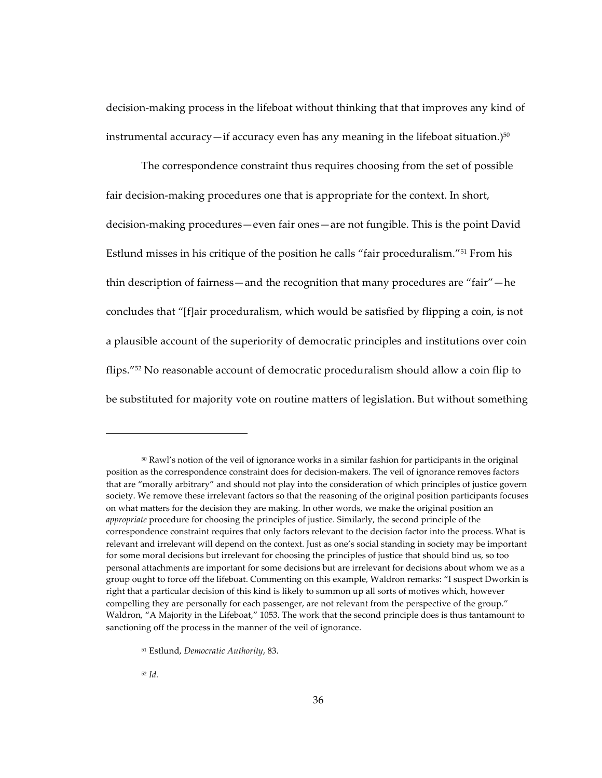decision-making process in the lifeboat without thinking that that improves any kind of instrumental accuracy—if accuracy even has any meaning in the lifeboat situation.) $50$ 

The correspondence constraint thus requires choosing from the set of possible fair decision-making procedures one that is appropriate for the context. In short, decision-making procedures—even fair ones—are not fungible. This is the point David Estlund misses in his critique of the position he calls "fair proceduralism."<sup>51</sup> From his thin description of fairness—and the recognition that many procedures are "fair"—he concludes that "[f]air proceduralism, which would be satisfied by flipping a coin, is not a plausible account of the superiority of democratic principles and institutions over coin flips."<sup>52</sup> No reasonable account of democratic proceduralism should allow a coin flip to be substituted for majority vote on routine matters of legislation. But without something

 $52$  Id.

<sup>&</sup>lt;sup>50</sup> Rawl's notion of the veil of ignorance works in a similar fashion for participants in the original position as the correspondence constraint does for decision-makers. The veil of ignorance removes factors that are "morally arbitrary" and should not play into the consideration of which principles of justice govern society. We remove these irrelevant factors so that the reasoning of the original position participants focuses on what matters for the decision they are making. In other words, we make the original position an appropriate procedure for choosing the principles of justice. Similarly, the second principle of the correspondence constraint requires that only factors relevant to the decision factor into the process. What is relevant and irrelevant will depend on the context. Just as one's social standing in society may be important for some moral decisions but irrelevant for choosing the principles of justice that should bind us, so too personal attachments are important for some decisions but are irrelevant for decisions about whom we as a group ought to force off the lifeboat. Commenting on this example, Waldron remarks: "I suspect Dworkin is right that a particular decision of this kind is likely to summon up all sorts of motives which, however compelling they are personally for each passenger, are not relevant from the perspective of the group." Waldron, "A Majority in the Lifeboat," 1053. The work that the second principle does is thus tantamount to sanctioning off the process in the manner of the veil of ignorance.

<sup>&</sup>lt;sup>51</sup> Estlund, Democratic Authority, 83.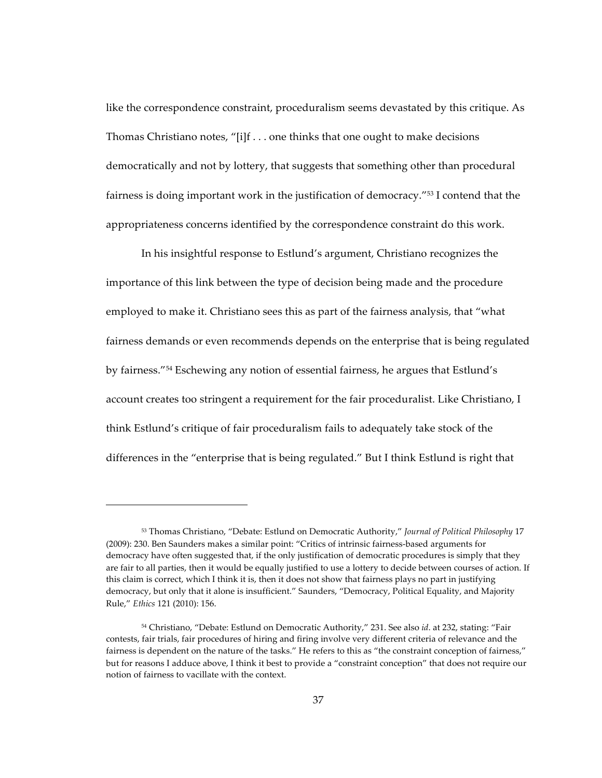like the correspondence constraint, proceduralism seems devastated by this critique. As Thomas Christiano notes, "[i]f  $\dots$  one thinks that one ought to make decisions democratically and not by lottery, that suggests that something other than procedural fairness is doing important work in the justification of democracy."<sup>53</sup> I contend that the appropriateness concerns identified by the correspondence constraint do this work.

In his insightful response to Estlund's argument, Christiano recognizes the importance of this link between the type of decision being made and the procedure employed to make it. Christiano sees this as part of the fairness analysis, that "what fairness demands or even recommends depends on the enterprise that is being regulated by fairness."<sup>54</sup> Eschewing any notion of essential fairness, he argues that Estlund's account creates too stringent a requirement for the fair proceduralist. Like Christiano, I think Estlund's critique of fair proceduralism fails to adequately take stock of the differences in the "enterprise that is being regulated." But I think Estlund is right that

<sup>53</sup> Thomas Christiano, "Debate: Estlund on Democratic Authority," Journal of Political Philosophy 17 (2009): 230. Ben Saunders makes a similar point: "Critics of intrinsic fairness-based arguments for democracy have often suggested that, if the only justification of democratic procedures is simply that they are fair to all parties, then it would be equally justified to use a lottery to decide between courses of action. If this claim is correct, which I think it is, then it does not show that fairness plays no part in justifying democracy, but only that it alone is insufficient." Saunders, "Democracy, Political Equality, and Majority Rule," Ethics 121 (2010): 156.

<sup>&</sup>lt;sup>54</sup> Christiano, "Debate: Estlund on Democratic Authority," 231. See also id. at 232, stating: "Fair contests, fair trials, fair procedures of hiring and firing involve very different criteria of relevance and the fairness is dependent on the nature of the tasks." He refers to this as "the constraint conception of fairness," but for reasons I adduce above, I think it best to provide a "constraint conception" that does not require our notion of fairness to vacillate with the context.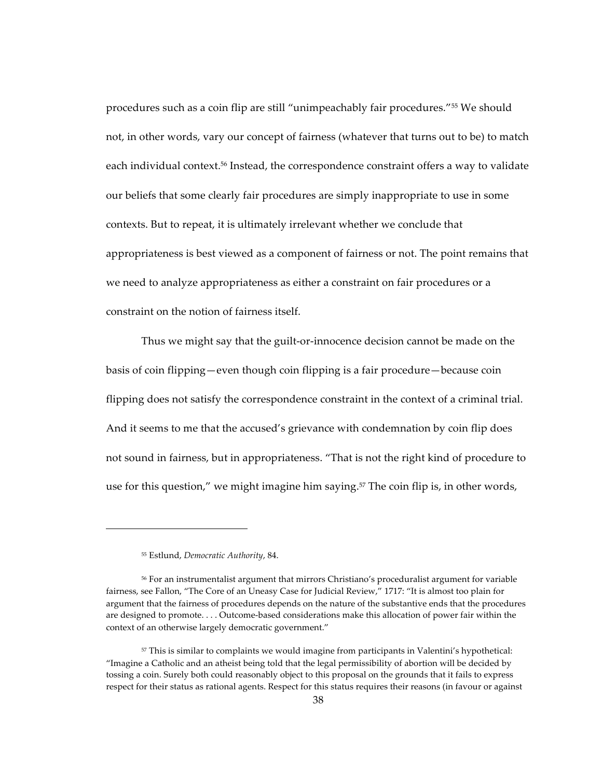procedures such as a coin flip are still "unimpeachably fair procedures."<sup>55</sup> We should not, in other words, vary our concept of fairness (whatever that turns out to be) to match each individual context.<sup>56</sup> Instead, the correspondence constraint offers a way to validate our beliefs that some clearly fair procedures are simply inappropriate to use in some contexts. But to repeat, it is ultimately irrelevant whether we conclude that appropriateness is best viewed as a component of fairness or not. The point remains that we need to analyze appropriateness as either a constraint on fair procedures or a constraint on the notion of fairness itself.

Thus we might say that the guilt-or-innocence decision cannot be made on the basis of coin flipping—even though coin flipping is a fair procedure—because coin flipping does not satisfy the correspondence constraint in the context of a criminal trial. And it seems to me that the accused's grievance with condemnation by coin flip does not sound in fairness, but in appropriateness. "That is not the right kind of procedure to use for this question," we might imagine him saying. $57$  The coin flip is, in other words,

<sup>&</sup>lt;sup>55</sup> Estlund, *Democratic Authority*, 84.

<sup>&</sup>lt;sup>56</sup> For an instrumentalist argument that mirrors Christiano's proceduralist argument for variable fairness, see Fallon, "The Core of an Uneasy Case for Judicial Review," 1717: "It is almost too plain for argument that the fairness of procedures depends on the nature of the substantive ends that the procedures are designed to promote.... Outcome-based considerations make this allocation of power fair within the context of an otherwise largely democratic government."

<sup>&</sup>lt;sup>57</sup> This is similar to complaints we would imagine from participants in Valentini's hypothetical: "Imagine a Catholic and an atheist being told that the legal permissibility of abortion will be decided by tossing a coin. Surely both could reasonably object to this proposal on the grounds that it fails to express respect for their status as rational agents. Respect for this status requires their reasons (in favour or against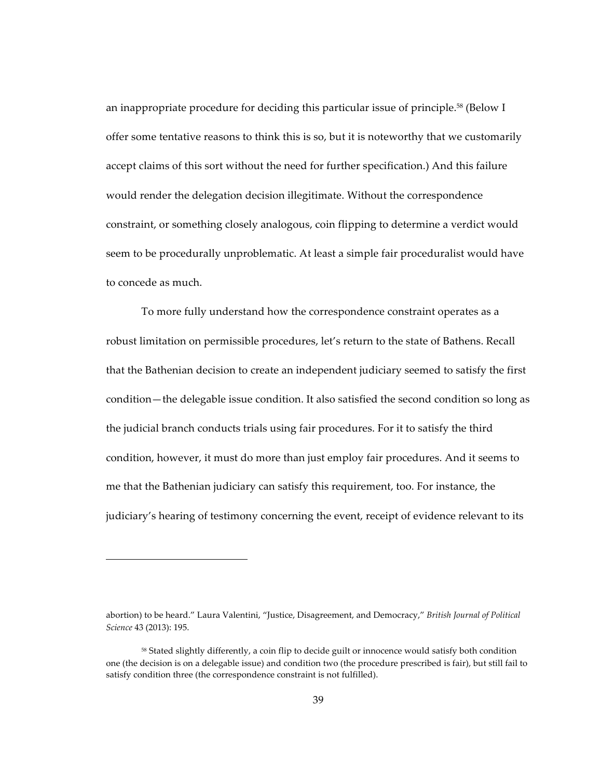an inappropriate procedure for deciding this particular issue of principle.<sup>58</sup> (Below I offer some tentative reasons to think this is so, but it is noteworthy that we customarily accept claims of this sort without the need for further specification.) And this failure would render the delegation decision illegitimate. Without the correspondence constraint, or something closely analogous, coin flipping to determine a verdict would seem to be procedurally unproblematic. At least a simple fair proceduralist would have to concede as much.

To more fully understand how the correspondence constraint operates as a robust limitation on permissible procedures, let's return to the state of Bathens. Recall that the Bathenian decision to create an independent judiciary seemed to satisfy the first condition-the delegable issue condition. It also satisfied the second condition so long as the judicial branch conducts trials using fair procedures. For it to satisfy the third condition, however, it must do more than just employ fair procedures. And it seems to me that the Bathenian judiciary can satisfy this requirement, too. For instance, the judiciary's hearing of testimony concerning the event, receipt of evidence relevant to its

abortion) to be heard." Laura Valentini, "Justice, Disagreement, and Democracy," British Journal of Political Science 43 (2013): 195.

<sup>&</sup>lt;sup>58</sup> Stated slightly differently, a coin flip to decide guilt or innocence would satisfy both condition one (the decision is on a delegable issue) and condition two (the procedure prescribed is fair), but still fail to satisfy condition three (the correspondence constraint is not fulfilled).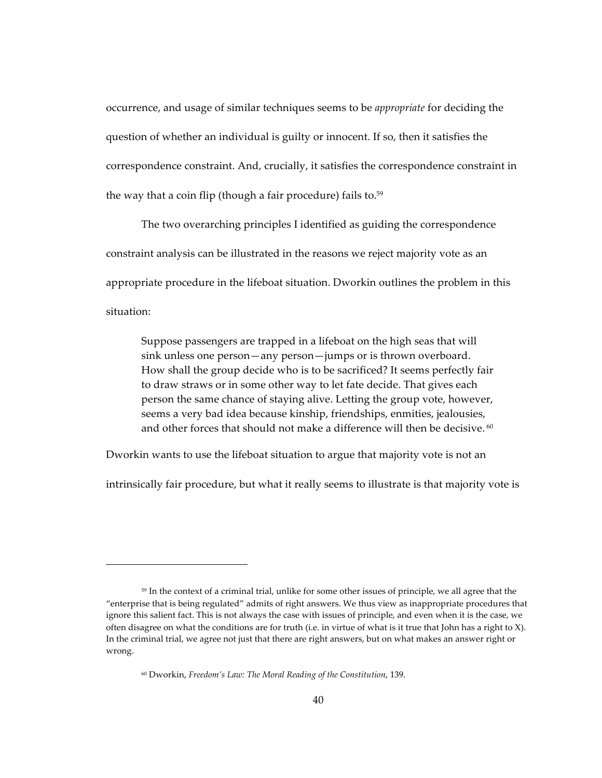occurrence, and usage of similar techniques seems to be *appropriate* for deciding the question of whether an individual is guilty or innocent. If so, then it satisfies the correspondence constraint. And, crucially, it satisfies the correspondence constraint in the way that a coin flip (though a fair procedure) fails to. $59$ 

The two overarching principles I identified as guiding the correspondence constraint analysis can be illustrated in the reasons we reject majority vote as an appropriate procedure in the lifeboat situation. Dworkin outlines the problem in this situation:

Suppose passengers are trapped in a lifeboat on the high seas that will sink unless one person—any person—jumps or is thrown overboard. How shall the group decide who is to be sacrificed? It seems perfectly fair to draw straws or in some other way to let fate decide. That gives each person the same chance of staying alive. Letting the group vote, however, seems a very bad idea because kinship, friendships, enmities, jealousies, and other forces that should not make a difference will then be decisive.  $60$ 

Dworkin wants to use the lifeboat situation to argue that majority vote is not an

intrinsically fair procedure, but what it really seems to illustrate is that majority vote is

<sup>&</sup>lt;sup>59</sup> In the context of a criminal trial, unlike for some other issues of principle, we all agree that the "enterprise that is being regulated" admits of right answers. We thus view as inappropriate procedures that ignore this salient fact. This is not always the case with issues of principle, and even when it is the case, we often disagree on what the conditions are for truth (i.e. in virtue of what is it true that John has a right to  $X$ ). In the criminal trial, we agree not just that there are right answers, but on what makes an answer right or wrong.

<sup>&</sup>lt;sup>60</sup> Dworkin, *Freedom's Law: The Moral Reading of the Constitution*, 139.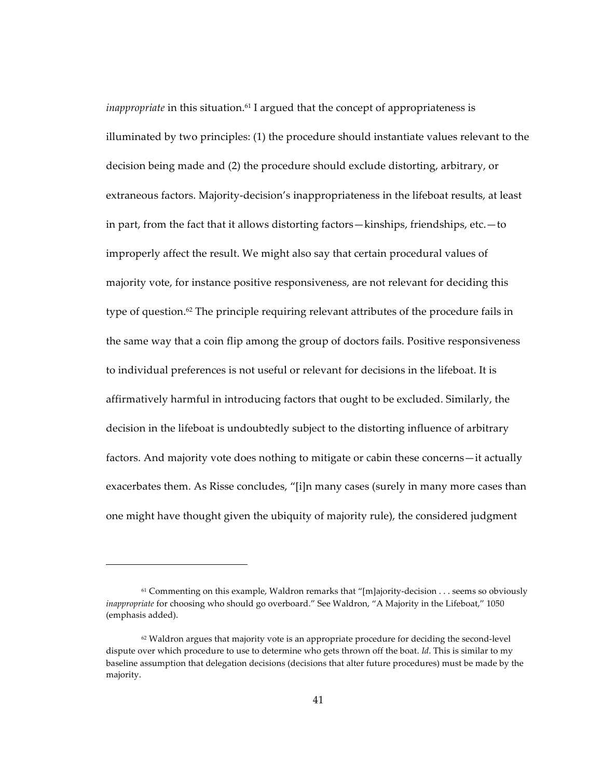*inappropriate* in this situation.<sup>61</sup> I argued that the concept of appropriateness is illuminated by two principles:  $(1)$  the procedure should instantiate values relevant to the decision being made and (2) the procedure should exclude distorting, arbitrary, or extraneous factors. Majority-decision's inappropriateness in the lifeboat results, at least in part, from the fact that it allows distorting factors—kinships, friendships, etc.—to improperly affect the result. We might also say that certain procedural values of majority vote, for instance positive responsiveness, are not relevant for deciding this type of question.<sup>62</sup> The principle requiring relevant attributes of the procedure fails in the same way that a coin flip among the group of doctors fails. Positive responsiveness to individual preferences is not useful or relevant for decisions in the lifeboat. It is affirmatively harmful in introducing factors that ought to be excluded. Similarly, the decision in the lifeboat is undoubtedly subject to the distorting influence of arbitrary factors. And majority vote does nothing to mitigate or cabin these concerns—it actually exacerbates them. As Risse concludes, "[i]n many cases (surely in many more cases than one might have thought given the ubiquity of majority rule), the considered judgment

 $61$  Commenting on this example, Waldron remarks that "[m]ajority-decision . . . seems so obviously *inappropriate* for choosing who should go overboard." See Waldron, "A Majority in the Lifeboat," 1050 (emphasis added).

 $62$  Waldron argues that majority vote is an appropriate procedure for deciding the second-level dispute over which procedure to use to determine who gets thrown off the boat. *Id*. This is similar to my baseline assumption that delegation decisions (decisions that alter future procedures) must be made by the majority.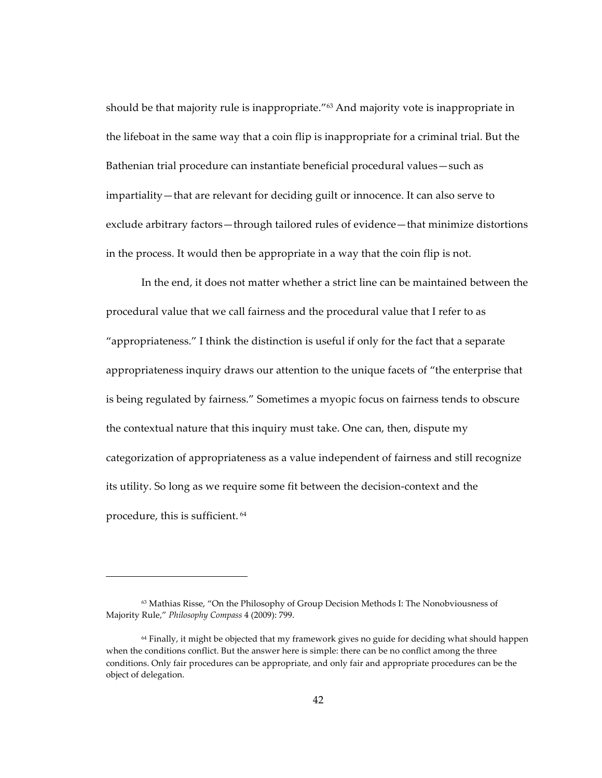should be that majority rule is inappropriate."<sup>63</sup> And majority vote is inappropriate in the lifeboat in the same way that a coin flip is inappropriate for a criminal trial. But the Bathenian trial procedure can instantiate beneficial procedural values—such as impartiality - that are relevant for deciding guilt or innocence. It can also serve to exclude arbitrary factors—through tailored rules of evidence—that minimize distortions in the process. It would then be appropriate in a way that the coin flip is not.

In the end, it does not matter whether a strict line can be maintained between the procedural value that we call fairness and the procedural value that I refer to as "appropriateness." I think the distinction is useful if only for the fact that a separate appropriateness inquiry draws our attention to the unique facets of "the enterprise that is being regulated by fairness." Sometimes a myopic focus on fairness tends to obscure the contextual nature that this inquiry must take. One can, then, dispute my categorization of appropriateness as a value independent of fairness and still recognize its utility. So long as we require some fit between the decision-context and the procedure, this is sufficient.<sup>64</sup>

<sup>&</sup>lt;sup>63</sup> Mathias Risse, "On the Philosophy of Group Decision Methods I: The Nonobviousness of Majority Rule," Philosophy Compass 4 (2009): 799.

<sup>&</sup>lt;sup>64</sup> Finally, it might be objected that my framework gives no guide for deciding what should happen when the conditions conflict. But the answer here is simple: there can be no conflict among the three conditions. Only fair procedures can be appropriate, and only fair and appropriate procedures can be the object of delegation.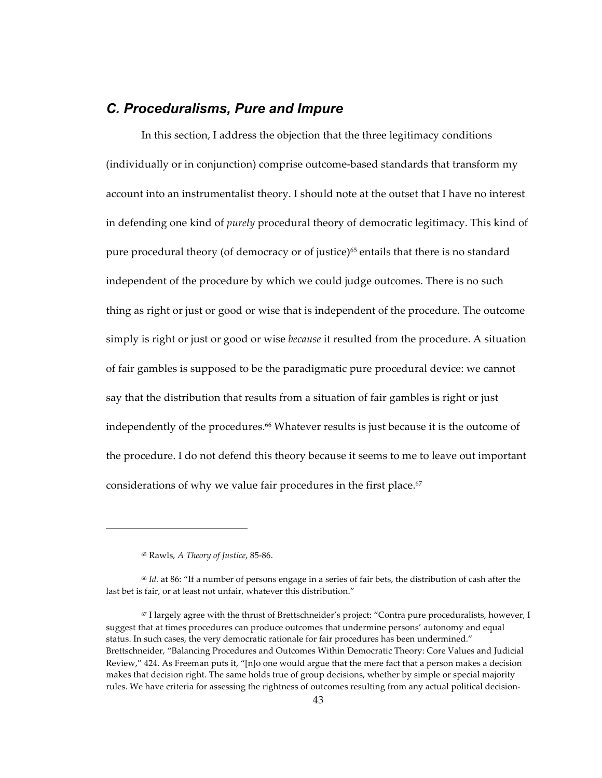## C. Proceduralisms, Pure and Impure

In this section, I address the objection that the three legitimacy conditions (individually or in conjunction) comprise outcome-based standards that transform my account into an instrumentalist theory. I should note at the outset that I have no interest in defending one kind of *purely* procedural theory of democratic legitimacy. This kind of pure procedural theory (of democracy or of justice)<sup>65</sup> entails that there is no standard independent of the procedure by which we could judge outcomes. There is no such thing as right or just or good or wise that is independent of the procedure. The outcome simply is right or just or good or wise *because* it resulted from the procedure. A situation of fair gambles is supposed to be the paradigmatic pure procedural device: we cannot say that the distribution that results from a situation of fair gambles is right or just independently of the procedures.<sup>66</sup> Whatever results is just because it is the outcome of the procedure. I do not defend this theory because it seems to me to leave out important considerations of why we value fair procedures in the first place.<sup>67</sup>

<sup>&</sup>lt;sup>65</sup> Rawls, A Theory of Justice, 85-86.

 $66$  Id. at 86: "If a number of persons engage in a series of fair bets, the distribution of cash after the last bet is fair, or at least not unfair, whatever this distribution."

<sup>67</sup> I largely agree with the thrust of Brettschneider's project: "Contra pure proceduralists, however, I suggest that at times procedures can produce outcomes that undermine persons' autonomy and equal status. In such cases, the very democratic rationale for fair procedures has been undermined." Brettschneider, "Balancing Procedures and Outcomes Within Democratic Theory: Core Values and Judicial Review," 424. As Freeman puts it, "[n]o one would argue that the mere fact that a person makes a decision makes that decision right. The same holds true of group decisions, whether by simple or special majority rules. We have criteria for assessing the rightness of outcomes resulting from any actual political decision-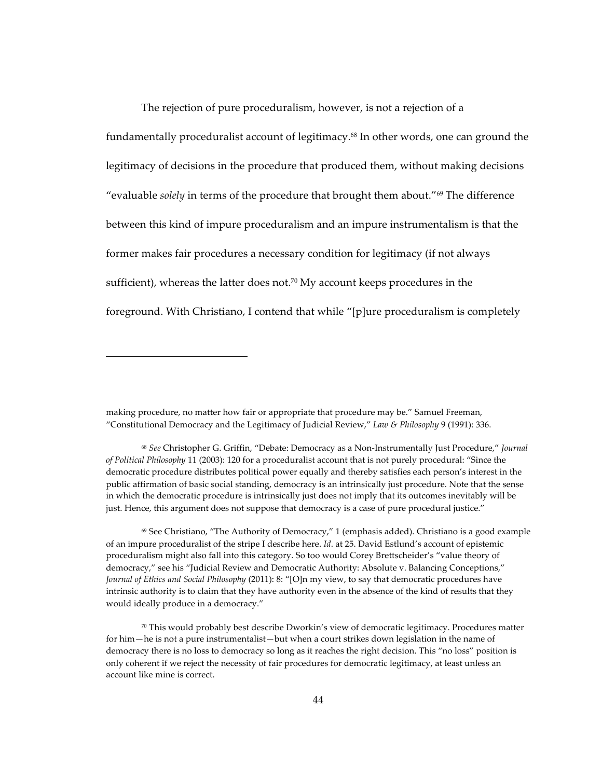The rejection of pure proceduralism, however, is not a rejection of a fundamentally proceduralist account of legitimacy.<sup>68</sup> In other words, one can ground the legitimacy of decisions in the procedure that produced them, without making decisions "evaluable solely in terms of the procedure that brought them about."<sup>69</sup> The difference between this kind of impure proceduralism and an impure instrumentalism is that the former makes fair procedures a necessary condition for legitimacy (if not always sufficient), whereas the latter does not.<sup>70</sup> My account keeps procedures in the foreground. With Christiano, I contend that while "[p]ure proceduralism is completely

making procedure, no matter how fair or appropriate that procedure may be." Samuel Freeman, "Constitutional Democracy and the Legitimacy of Judicial Review," Law & Philosophy 9 (1991): 336.

<sup>&</sup>lt;sup>68</sup> See Christopher G. Griffin, "Debate: Democracy as a Non-Instrumentally Just Procedure," Journal of Political Philosophy 11 (2003): 120 for a proceduralist account that is not purely procedural: "Since the democratic procedure distributes political power equally and thereby satisfies each person's interest in the public affirmation of basic social standing, democracy is an intrinsically just procedure. Note that the sense in which the democratic procedure is intrinsically just does not imply that its outcomes inevitably will be just. Hence, this argument does not suppose that democracy is a case of pure procedural justice."

 $\%$  See Christiano, "The Authority of Democracy," 1 (emphasis added). Christiano is a good example of an impure proceduralist of the stripe I describe here. Id. at 25. David Estlund's account of epistemic proceduralism might also fall into this category. So too would Corey Brettscheider's "value theory of democracy," see his "Judicial Review and Democratic Authority: Absolute v. Balancing Conceptions," Journal of Ethics and Social Philosophy (2011): 8: "[O]n my view, to say that democratic procedures have intrinsic authority is to claim that they have authority even in the absence of the kind of results that they would ideally produce in a democracy."

 $70$  This would probably best describe Dworkin's view of democratic legitimacy. Procedures matter for him—he is not a pure instrumentalist—but when a court strikes down legislation in the name of democracy there is no loss to democracy so long as it reaches the right decision. This "no loss" position is only coherent if we reject the necessity of fair procedures for democratic legitimacy, at least unless an account like mine is correct.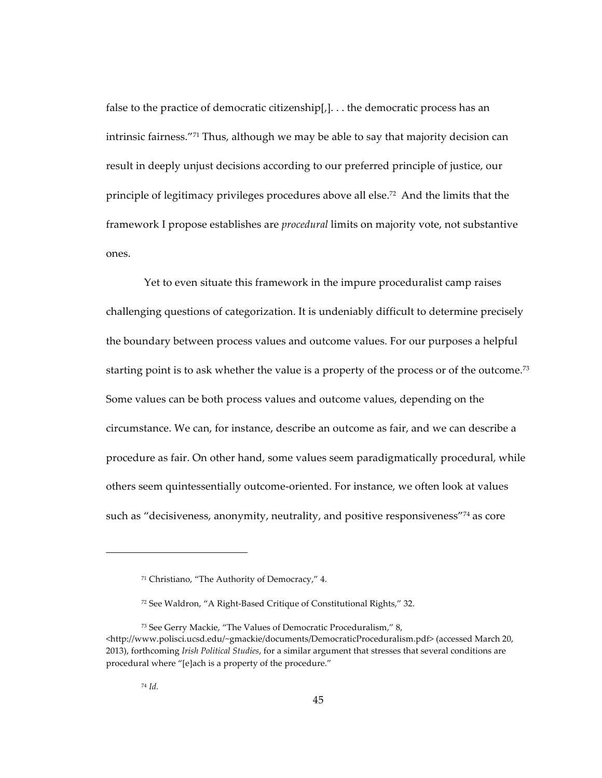false to the practice of democratic citizenship $[,$ ... the democratic process has an intrinsic fairness."<sup>71</sup> Thus, although we may be able to say that majority decision can result in deeply unjust decisions according to our preferred principle of justice, our principle of legitimacy privileges procedures above all else.<sup>72</sup> And the limits that the framework I propose establishes are *procedural* limits on majority vote, not substantive ones.

Yet to even situate this framework in the impure proceduralist camp raises challenging questions of categorization. It is undeniably difficult to determine precisely the boundary between process values and outcome values. For our purposes a helpful starting point is to ask whether the value is a property of the process or of the outcome.<sup>73</sup> Some values can be both process values and outcome values, depending on the circumstance. We can, for instance, describe an outcome as fair, and we can describe a procedure as fair. On other hand, some values seem paradigmatically procedural, while others seem quintessentially outcome-oriented. For instance, we often look at values such as "decisiveness, anonymity, neutrality, and positive responsiveness"<sup>74</sup> as core

<sup>&</sup>lt;sup>71</sup> Christiano, "The Authority of Democracy," 4.

<sup>&</sup>lt;sup>72</sup> See Waldron, "A Right-Based Critique of Constitutional Rights," 32.

<sup>&</sup>lt;sup>73</sup> See Gerry Mackie, "The Values of Democratic Proceduralism," 8, <http://www.polisci.ucsd.edu/~gmackie/documents/DemocraticProceduralism.pdf> (accessed March 20, 2013), forthcoming Irish Political Studies, for a similar argument that stresses that several conditions are procedural where "[e]ach is a property of the procedure."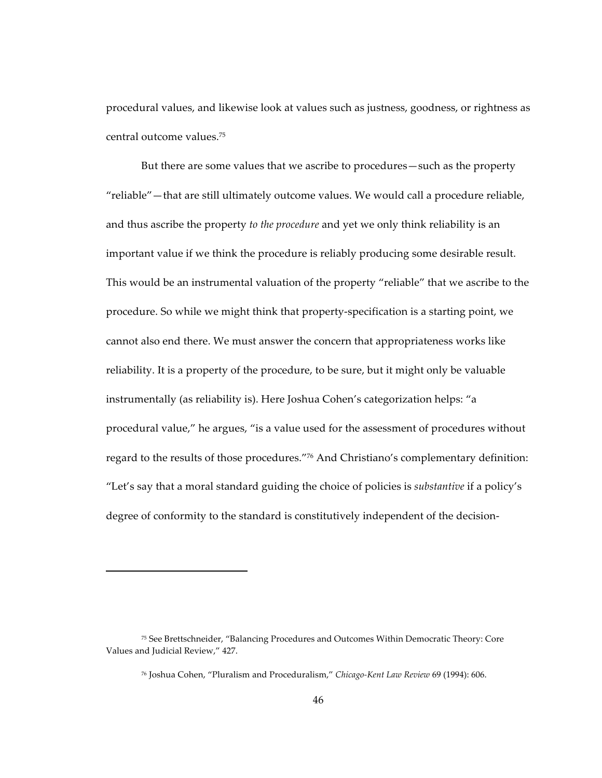procedural values, and likewise look at values such as justness, goodness, or rightness as central outcome values.<sup>75</sup>

But there are some values that we ascribe to procedures—such as the property "reliable" - that are still ultimately outcome values. We would call a procedure reliable, and thus ascribe the property to the procedure and yet we only think reliability is an important value if we think the procedure is reliably producing some desirable result. This would be an instrumental valuation of the property "reliable" that we ascribe to the procedure. So while we might think that property-specification is a starting point, we cannot also end there. We must answer the concern that appropriateness works like reliability. It is a property of the procedure, to be sure, but it might only be valuable instrumentally (as reliability is). Here Joshua Cohen's categorization helps: "a procedural value," he argues, "is a value used for the assessment of procedures without regard to the results of those procedures."76 And Christiano's complementary definition: "Let's say that a moral standard guiding the choice of policies is *substantive* if a policy's degree of conformity to the standard is constitutively independent of the decision-

<sup>75</sup> See Brettschneider, "Balancing Procedures and Outcomes Within Democratic Theory: Core Values and Judicial Review," 427.

<sup>76</sup> Joshua Cohen, "Pluralism and Proceduralism," Chicago-Kent Law Review 69 (1994): 606.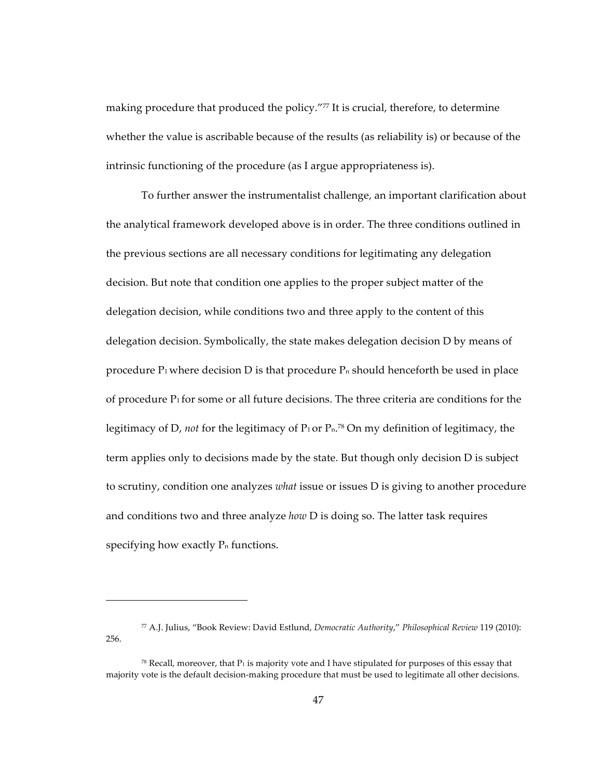making procedure that produced the policy."77 It is crucial, therefore, to determine whether the value is ascribable because of the results (as reliability is) or because of the intrinsic functioning of the procedure (as I argue appropriateness is).

To further answer the instrumentalist challenge, an important clarification about the analytical framework developed above is in order. The three conditions outlined in the previous sections are all necessary conditions for legitimating any delegation decision. But note that condition one applies to the proper subject matter of the delegation decision, while conditions two and three apply to the content of this delegation decision. Symbolically, the state makes delegation decision  $D$  by means of procedure  $P_1$  where decision D is that procedure  $P_n$  should henceforth be used in place of procedure  $P_1$  for some or all future decisions. The three criteria are conditions for the legitimacy of D, *not* for the legitimacy of  $P_1$  or  $P_n$ .<sup>78</sup> On my definition of legitimacy, the term applies only to decisions made by the state. But though only decision D is subject to scrutiny, condition one analyzes *what* issue or issues D is giving to another procedure and conditions two and three analyze *how* D is doing so. The latter task requires specifying how exactly  $P_n$  functions.

<sup>77</sup> A.J.!Julius,!"Book!Review:!David!Estlund,!*Democratic&Authority*,"!*Philosophical&Review&*119!(2010):! 256.

<sup>&</sup>lt;sup>78</sup> Recall, moreover, that  $P_1$  is majority vote and I have stipulated for purposes of this essay that majority vote is the default decision-making procedure that must be used to legitimate all other decisions.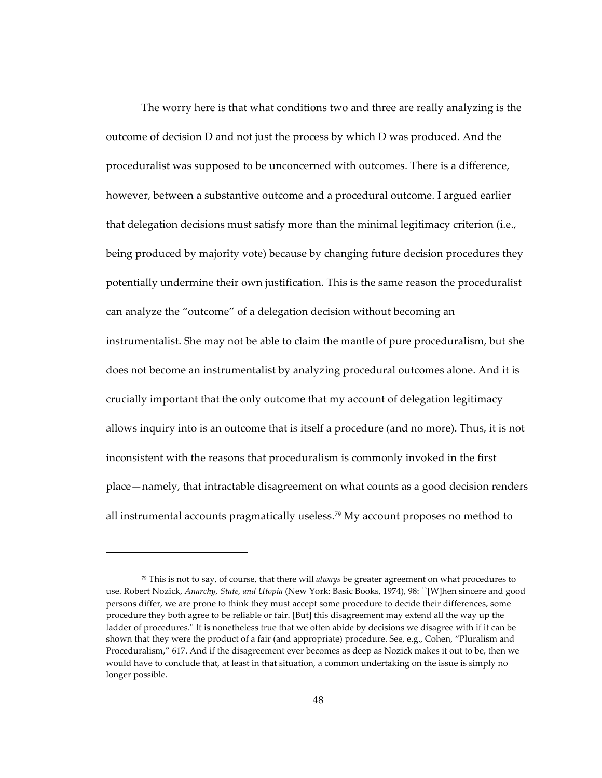The worry here is that what conditions two and three are really analyzing is the outcome of decision  $D$  and not just the process by which  $D$  was produced. And the proceduralist was supposed to be unconcerned with outcomes. There is a difference, however, between a substantive outcome and a procedural outcome. I argued earlier that delegation decisions must satisfy more than the minimal legitimacy criterion (i.e., being produced by majority vote) because by changing future decision procedures they potentially undermine their own justification. This is the same reason the proceduralist can analyze the "outcome" of a delegation decision without becoming an instrumentalist. She may not be able to claim the mantle of pure proceduralism, but she does not become an instrumentalist by analyzing procedural outcomes alone. And it is crucially important that the only outcome that my account of delegation legitimacy allows inquiry into is an outcome that is itself a procedure (and no more). Thus, it is not inconsistent with the reasons that proceduralism is commonly invoked in the first place—namely, that intractable disagreement on what counts as a good decision renders all instrumental accounts pragmatically useless.<sup>79</sup> My account proposes no method to

<sup>&</sup>lt;sup>79</sup> This is not to say, of course, that there will *always* be greater agreement on what procedures to use. Robert Nozick, Anarchy, State, and Utopia (New York: Basic Books, 1974), 98: ``[W]hen sincere and good persons differ, we are prone to think they must accept some procedure to decide their differences, some procedure they both agree to be reliable or fair. [But] this disagreement may extend all the way up the ladder of procedures." It is nonetheless true that we often abide by decisions we disagree with if it can be shown that they were the product of a fair (and appropriate) procedure. See, e.g., Cohen, "Pluralism and Proceduralism," 617. And if the disagreement ever becomes as deep as Nozick makes it out to be, then we would have to conclude that, at least in that situation, a common undertaking on the issue is simply no longer possible.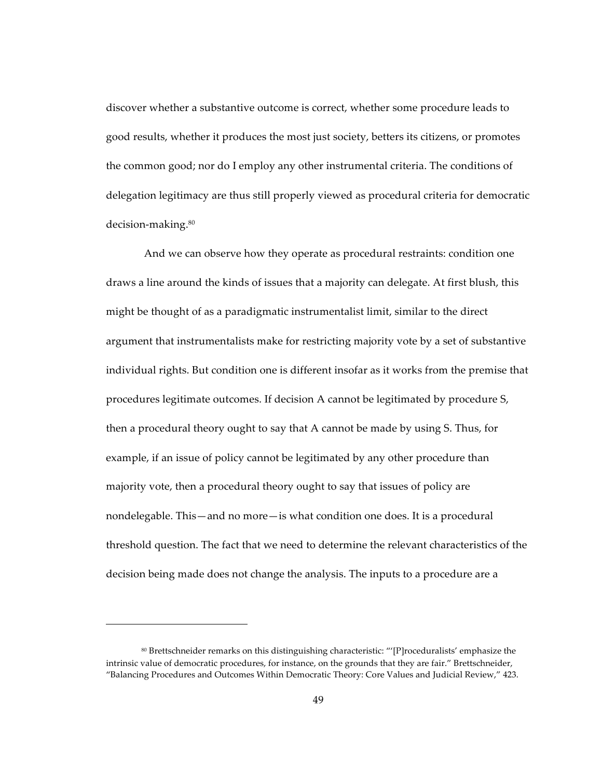discover whether a substantive outcome is correct, whether some procedure leads to good results, whether it produces the most just society, betters its citizens, or promotes the common good; nor do I employ any other instrumental criteria. The conditions of delegation legitimacy are thus still properly viewed as procedural criteria for democratic decision-making.<sup>80</sup>

And we can observe how they operate as procedural restraints: condition one draws a line around the kinds of issues that a majority can delegate. At first blush, this might be thought of as a paradigmatic instrumentalist limit, similar to the direct argument that instrumentalists make for restricting majority vote by a set of substantive individual rights. But condition one is different insofar as it works from the premise that procedures legitimate outcomes. If decision A cannot be legitimated by procedure S, then a procedural theory ought to say that A cannot be made by using S. Thus, for example, if an issue of policy cannot be legitimated by any other procedure than majority vote, then a procedural theory ought to say that issues of policy are nondelegable. This—and no more—is what condition one does. It is a procedural threshold question. The fact that we need to determine the relevant characteristics of the decision being made does not change the analysis. The inputs to a procedure are a

<sup>80</sup> Brettschneider remarks on this distinguishing characteristic: "'[P]roceduralists' emphasize the intrinsic value of democratic procedures, for instance, on the grounds that they are fair." Brettschneider, "Balancing Procedures and Outcomes Within Democratic Theory: Core Values and Judicial Review," 423.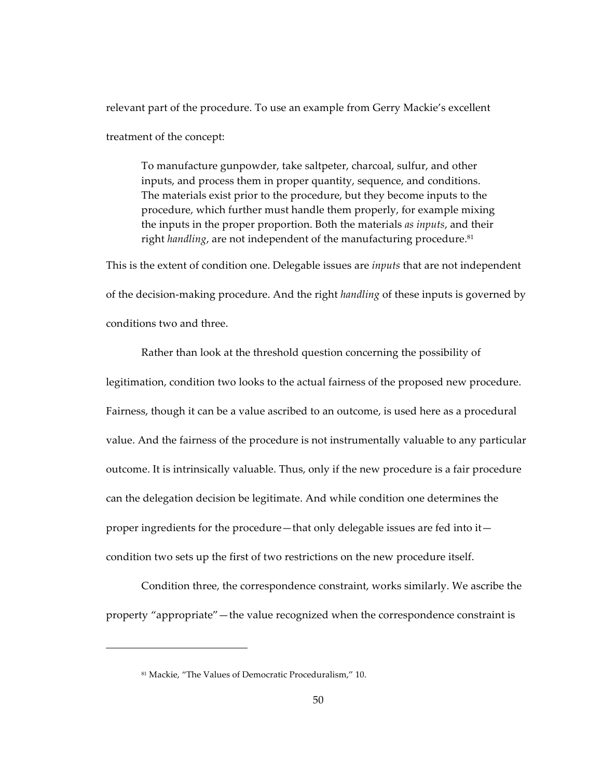relevant part of the procedure. To use an example from Gerry Mackie's excellent treatment of the concept:

To manufacture gunpowder, take saltpeter, charcoal, sulfur, and other inputs, and process them in proper quantity, sequence, and conditions. The materials exist prior to the procedure, but they become inputs to the procedure, which further must handle them properly, for example mixing the inputs in the proper proportion. Both the materials *as inputs*, and their right *handling*, are not independent of the manufacturing procedure.<sup>81</sup>

This is the extent of condition one. Delegable issues are *inputs* that are not independent of the decision-making procedure. And the right *handling* of these inputs is governed by conditions two and three.

Rather than look at the threshold question concerning the possibility of legitimation, condition two looks to the actual fairness of the proposed new procedure. Fairness, though it can be a value ascribed to an outcome, is used here as a procedural value. And the fairness of the procedure is not instrumentally valuable to any particular outcome. It is intrinsically valuable. Thus, only if the new procedure is a fair procedure can the delegation decision be legitimate. And while condition one determines the proper ingredients for the procedure—that only delegable issues are fed into it condition two sets up the first of two restrictions on the new procedure itself.

Condition three, the correspondence constraint, works similarly. We ascribe the property "appropriate"—the value recognized when the correspondence constraint is

<sup>&</sup>lt;sup>81</sup> Mackie, "The Values of Democratic Proceduralism," 10.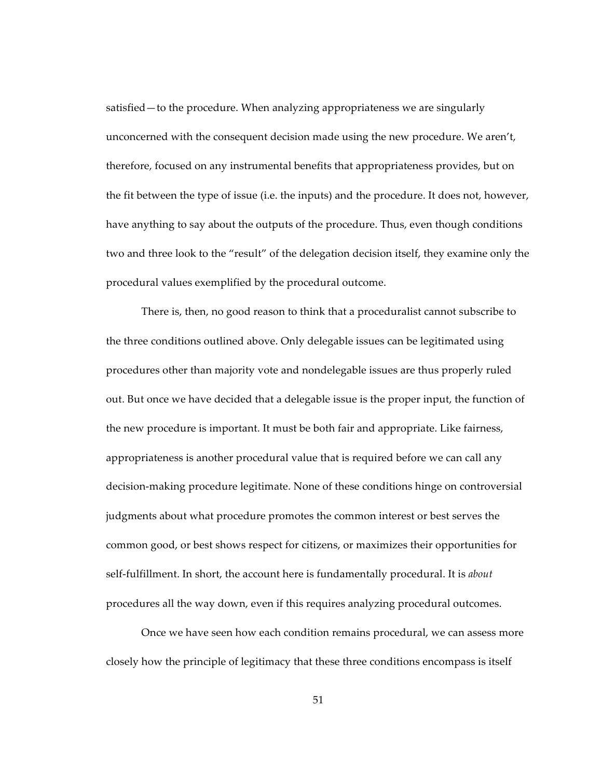satisfied—to the procedure. When analyzing appropriateness we are singularly unconcerned with the consequent decision made using the new procedure. We aren't, therefore, focused on any instrumental benefits that appropriateness provides, but on the fit between the type of issue (i.e. the inputs) and the procedure. It does not, however, have anything to say about the outputs of the procedure. Thus, even though conditions two and three look to the "result" of the delegation decision itself, they examine only the procedural values exemplified by the procedural outcome.

There is, then, no good reason to think that a proceduralist cannot subscribe to the three conditions outlined above. Only delegable issues can be legitimated using procedures other than majority vote and nondelegable issues are thus properly ruled out. But once we have decided that a delegable issue is the proper input, the function of the new procedure is important. It must be both fair and appropriate. Like fairness, appropriateness is another procedural value that is required before we can call any decision-making procedure legitimate. None of these conditions hinge on controversial judgments about what procedure promotes the common interest or best serves the common good, or best shows respect for citizens, or maximizes their opportunities for self-fulfillment. In short, the account here is fundamentally procedural. It is *about* procedures all the way down, even if this requires analyzing procedural outcomes.

Once we have seen how each condition remains procedural, we can assess more closely how the principle of legitimacy that these three conditions encompass is itself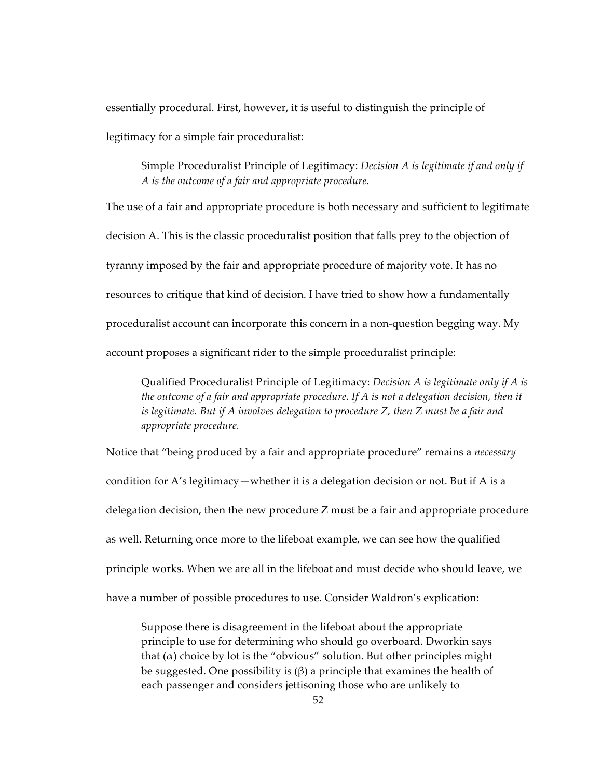essentially procedural. First, however, it is useful to distinguish the principle of legitimacy for a simple fair proceduralist:

Simple Proceduralist Principle of Legitimacy: *Decision A is legitimate if and only if* A is the outcome of a fair and appropriate procedure.

The use of a fair and appropriate procedure is both necessary and sufficient to legitimate decision A. This is the classic proceduralist position that falls prey to the objection of tyranny imposed by the fair and appropriate procedure of majority vote. It has no resources to critique that kind of decision. I have tried to show how a fundamentally proceduralist account can incorporate this concern in a non-question begging way. My account proposes a significant rider to the simple proceduralist principle:

Qualified Proceduralist Principle of Legitimacy: *Decision A is legitimate only if A is* the outcome of a fair and appropriate procedure. If  $A$  is not a delegation decision, then it is legitimate. But if A involves delegation to procedure  $Z$ , then  $Z$  must be a fair and appropriate procedure.

Notice that "being produced by a fair and appropriate procedure" remains a necessary condition for A's legitimacy — whether it is a delegation decision or not. But if A is a delegation decision, then the new procedure Z must be a fair and appropriate procedure as well. Returning once more to the lifeboat example, we can see how the qualified principle works. When we are all in the lifeboat and must decide who should leave, we have a number of possible procedures to use. Consider Waldron's explication:

Suppose there is disagreement in the lifeboat about the appropriate principle to use for determining who should go overboard. Dworkin says that  $(\alpha)$  choice by lot is the "obvious" solution. But other principles might be suggested. One possibility is  $(\beta)$  a principle that examines the health of each passenger and considers jettisoning those who are unlikely to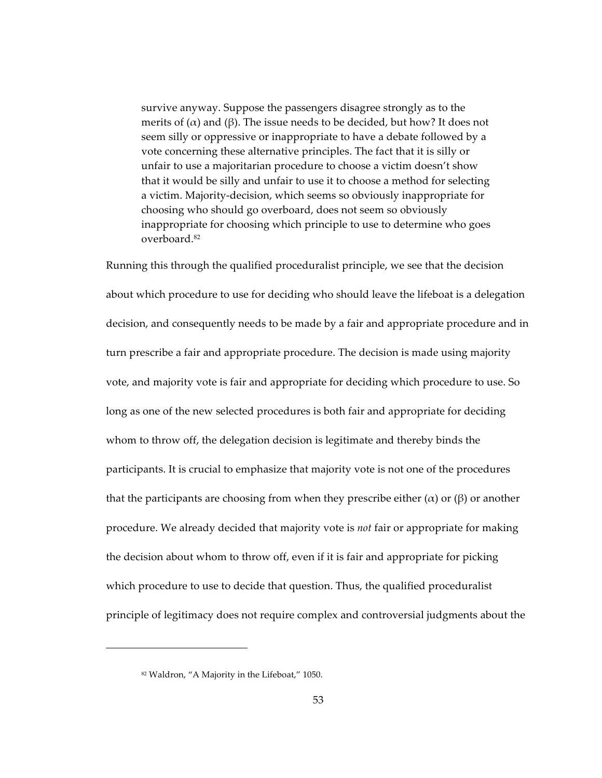survive anyway. Suppose the passengers disagree strongly as to the merits of ( $\alpha$ ) and ( $\beta$ ). The issue needs to be decided, but how? It does not seem silly or oppressive or inappropriate to have a debate followed by a vote concerning these alternative principles. The fact that it is silly or unfair to use a majoritarian procedure to choose a victim doesn't show that it would be silly and unfair to use it to choose a method for selecting a victim. Majority-decision, which seems so obviously inappropriate for choosing who should go overboard, does not seem so obviously inappropriate for choosing which principle to use to determine who goes overboard.82

Running this through the qualified proceduralist principle, we see that the decision about which procedure to use for deciding who should leave the lifeboat is a delegation decision, and consequently needs to be made by a fair and appropriate procedure and in turn prescribe a fair and appropriate procedure. The decision is made using majority vote, and majority vote is fair and appropriate for deciding which procedure to use. So long as one of the new selected procedures is both fair and appropriate for deciding whom to throw off, the delegation decision is legitimate and thereby binds the participants. It is crucial to emphasize that majority vote is not one of the procedures that the participants are choosing from when they prescribe either ( $\alpha$ ) or ( $\beta$ ) or another procedure. We already decided that majority vote is *not* fair or appropriate for making the decision about whom to throw off, even if it is fair and appropriate for picking which procedure to use to decide that question. Thus, the qualified proceduralist principle of legitimacy does not require complex and controversial judgments about the

<sup>82</sup> Waldron, "A Majority in the Lifeboat," 1050.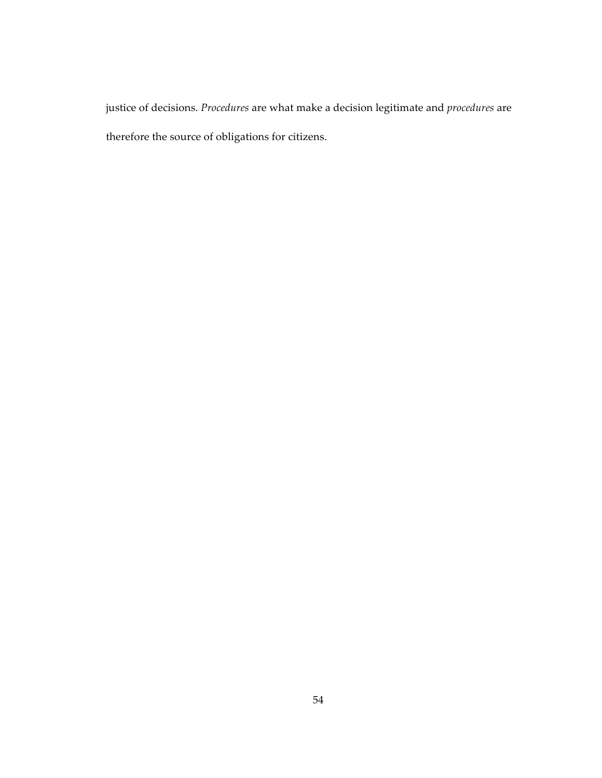justice of decisions. *Procedures* are what make a decision legitimate and *procedures* are therefore the source of obligations for citizens.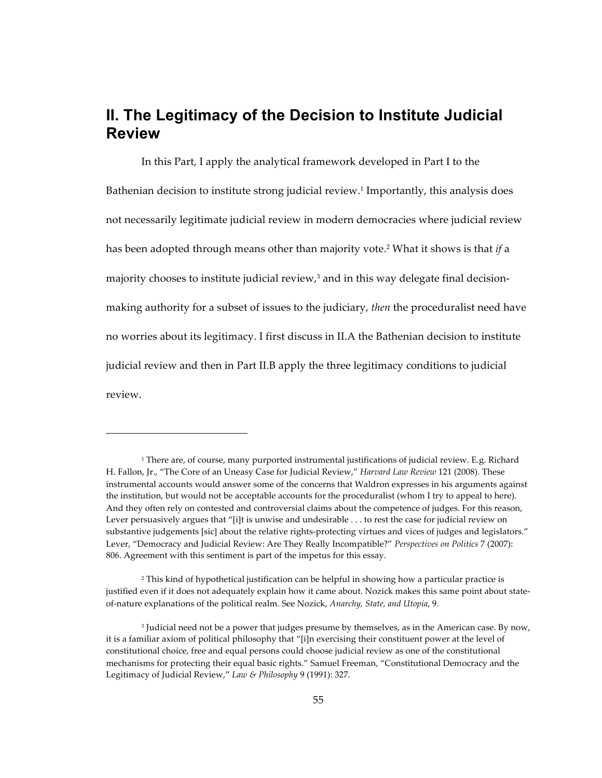# II. The Legitimacy of the Decision to Institute Judicial **Review**

In this Part, I apply the analytical framework developed in Part I to the Bathenian decision to institute strong judicial review.<sup>1</sup> Importantly, this analysis does not necessarily legitimate judicial review in modern democracies where judicial review has been adopted through means other than majority vote.<sup>2</sup> What it shows is that if a majority chooses to institute judicial review,<sup>3</sup> and in this way delegate final decisionmaking authority for a subset of issues to the judiciary, then the proceduralist need have no worries about its legitimacy. I first discuss in II.A the Bathenian decision to institute judicial review and then in Part II.B apply the three legitimacy conditions to judicial review.

<sup>&</sup>lt;sup>1</sup> There are, of course, many purported instrumental justifications of judicial review. E.g. Richard H. Fallon, Jr., "The Core of an Uneasy Case for Judicial Review," Harvard Law Review 121 (2008). These instrumental accounts would answer some of the concerns that Waldron expresses in his arguments against the institution, but would not be acceptable accounts for the proceduralist (whom I try to appeal to here). And they often rely on contested and controversial claims about the competence of judges. For this reason, Lever persuasively argues that "[i]t is unwise and undesirable . . . to rest the case for judicial review on substantive judgements [sic] about the relative rights-protecting virtues and vices of judges and legislators." Lever, "Democracy and Judicial Review: Are They Really Incompatible?" Perspectives on Politics 7 (2007): 806. Agreement with this sentiment is part of the impetus for this essay.

<sup>&</sup>lt;sup>2</sup> This kind of hypothetical justification can be helpful in showing how a particular practice is justified even if it does not adequately explain how it came about. Nozick makes this same point about stateof-nature explanations of the political realm. See Nozick, Anarchy, State, and Utopia, 9.

<sup>&</sup>lt;sup>3</sup> Judicial need not be a power that judges presume by themselves, as in the American case. By now, it is a familiar axiom of political philosophy that "[i]n exercising their constituent power at the level of constitutional choice, free and equal persons could choose judicial review as one of the constitutional mechanisms for protecting their equal basic rights." Samuel Freeman, "Constitutional Democracy and the Legitimacy of Judicial Review," Law & Philosophy 9 (1991): 327.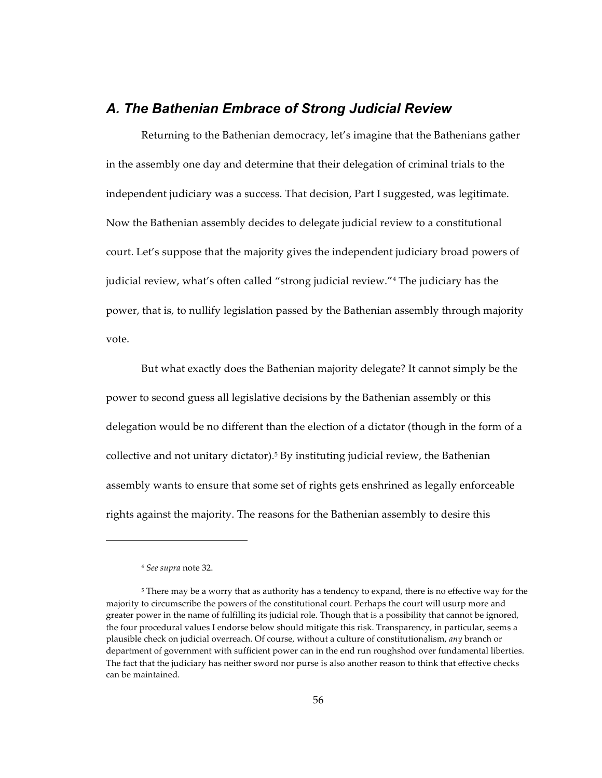### A. The Bathenian Embrace of Strong Judicial Review

Returning to the Bathenian democracy, let's imagine that the Bathenians gather in the assembly one day and determine that their delegation of criminal trials to the independent judiciary was a success. That decision, Part I suggested, was legitimate. Now the Bathenian assembly decides to delegate judicial review to a constitutional court. Let's suppose that the majority gives the independent judiciary broad powers of judicial review, what's often called "strong judicial review."<sup>4</sup> The judiciary has the power, that is, to nullify legislation passed by the Bathenian assembly through majority vote.

But what exactly does the Bathenian majority delegate? It cannot simply be the power to second guess all legislative decisions by the Bathenian assembly or this delegation would be no different than the election of a dictator (though in the form of a collective and not unitary dictator).<sup>5</sup> By instituting judicial review, the Bathenian assembly wants to ensure that some set of rights gets enshrined as legally enforceable rights against the majority. The reasons for the Bathenian assembly to desire this

<sup>&</sup>lt;sup>4</sup> See supra note 32.

<sup>&</sup>lt;sup>5</sup> There may be a worry that as authority has a tendency to expand, there is no effective way for the majority to circumscribe the powers of the constitutional court. Perhaps the court will usurp more and greater power in the name of fulfilling its judicial role. Though that is a possibility that cannot be ignored, the four procedural values I endorse below should mitigate this risk. Transparency, in particular, seems a plausible check on judicial overreach. Of course, without a culture of constitutionalism, any branch or department of government with sufficient power can in the end run roughshod over fundamental liberties. The fact that the judiciary has neither sword nor purse is also another reason to think that effective checks can be maintained.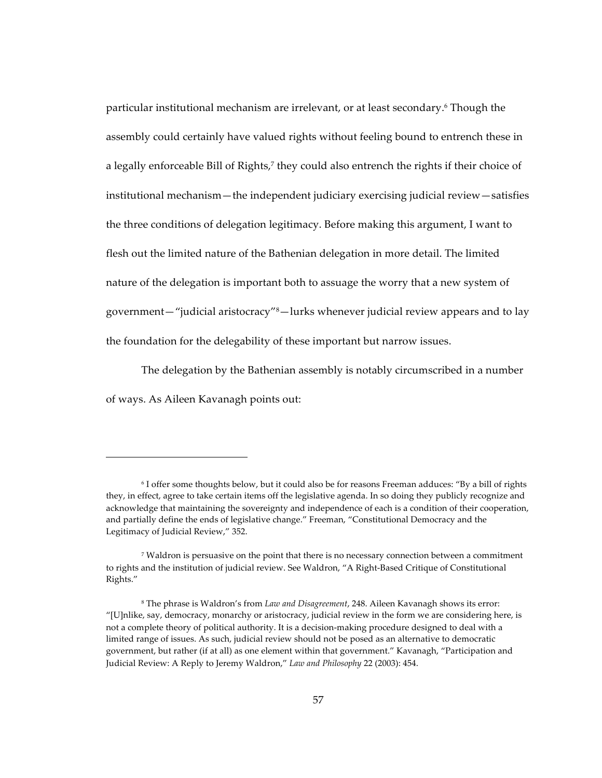particular institutional mechanism are irrelevant, or at least secondary.<sup>6</sup> Though the assembly could certainly have valued rights without feeling bound to entrench these in a legally enforceable Bill of Rights,<sup>7</sup> they could also entrench the rights if their choice of institutional mechanism—the independent judiciary exercising judicial review—satisfies the three conditions of delegation legitimacy. Before making this argument, I want to flesh out the limited nature of the Bathenian delegation in more detail. The limited nature of the delegation is important both to assuage the worry that a new system of government—"judicial aristocracy"<sup>8</sup>—lurks whenever judicial review appears and to lay the foundation for the delegability of these important but narrow issues.

The delegation by the Bathenian assembly is notably circumscribed in a number of ways. As Aileen Kavanagh points out:

<sup>&</sup>lt;sup>6</sup> I offer some thoughts below, but it could also be for reasons Freeman adduces: "By a bill of rights they, in effect, agree to take certain items off the legislative agenda. In so doing they publicly recognize and acknowledge that maintaining the sovereignty and independence of each is a condition of their cooperation, and partially define the ends of legislative change." Freeman, "Constitutional Democracy and the Legitimacy of Judicial Review," 352.

<sup>&</sup>lt;sup>7</sup> Waldron is persuasive on the point that there is no necessary connection between a commitment to rights and the institution of judicial review. See Waldron, "A Right-Based Critique of Constitutional Rights."

<sup>&</sup>lt;sup>8</sup> The phrase is Waldron's from Law and Disagreement, 248. Aileen Kavanagh shows its error: "[U]nlike, say, democracy, monarchy or aristocracy, judicial review in the form we are considering here, is not a complete theory of political authority. It is a decision-making procedure designed to deal with a limited range of issues. As such, judicial review should not be posed as an alternative to democratic government, but rather (if at all) as one element within that government." Kavanagh, "Participation and Judicial Review: A Reply to Jeremy Waldron," Law and Philosophy 22 (2003): 454.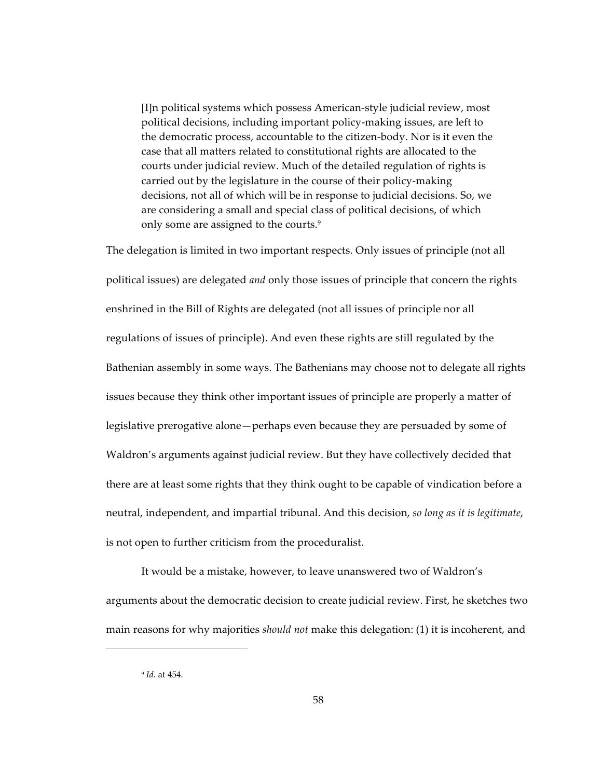[I]n political systems which possess American-style judicial review, most political decisions, including important policy-making issues, are left to the democratic process, accountable to the citizen-body. Nor is it even the case that all matters related to constitutional rights are allocated to the courts under judicial review. Much of the detailed regulation of rights is carried out by the legislature in the course of their policy-making decisions, not all of which will be in response to judicial decisions. So, we are considering a small and special class of political decisions, of which only some are assigned to the courts.<sup>9</sup>

The delegation is limited in two important respects. Only issues of principle (not all political issues) are delegated *and* only those issues of principle that concern the rights enshrined in the Bill of Rights are delegated (not all issues of principle nor all regulations of issues of principle). And even these rights are still regulated by the Bathenian assembly in some ways. The Bathenians may choose not to delegate all rights issues because they think other important issues of principle are properly a matter of legislative prerogative alone—perhaps even because they are persuaded by some of Waldron's arguments against judicial review. But they have collectively decided that there are at least some rights that they think ought to be capable of vindication before a neutral, independent, and impartial tribunal. And this decision, so long as it is legitimate, is not open to further criticism from the proceduralist.

It would be a mistake, however, to leave unanswered two of Waldron's arguments about the democratic decision to create judicial review. First, he sketches two main reasons for why majorities *should not* make this delegation: (1) it is incoherent, and

<sup>&</sup>lt;sup>9</sup> *Id.* at 454.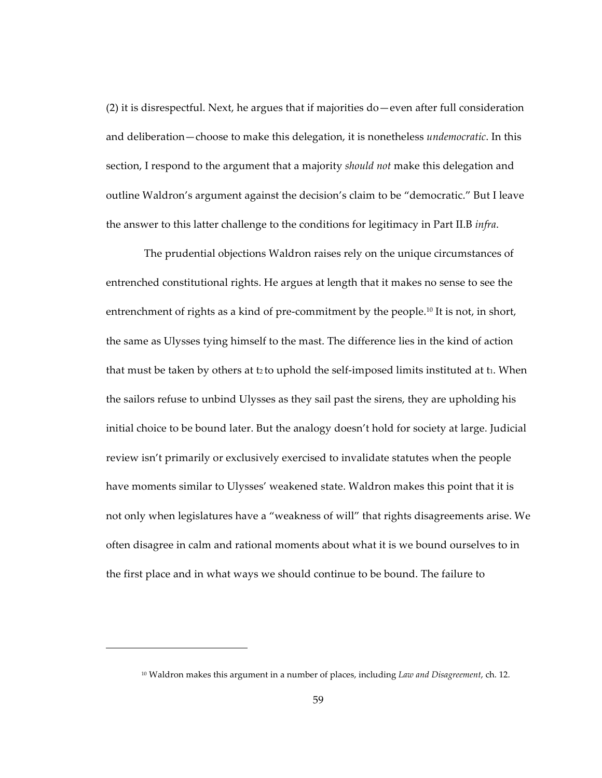(2) it is disrespectful. Next, he argues that if majorities do—even after full consideration and deliberation—choose to make this delegation, it is nonetheless *undemocratic*. In this section, I respond to the argument that a majority *should not* make this delegation and outline Waldron's argument against the decision's claim to be "democratic." But I leave the answer to this latter challenge to the conditions for legitimacy in Part II.B *infra*.

The prudential objections Waldron raises rely on the unique circumstances of entrenched constitutional rights. He argues at length that it makes no sense to see the entrenchment of rights as a kind of pre-commitment by the people.<sup>10</sup> It is not, in short, the same as Ulysses tying himself to the mast. The difference lies in the kind of action that must be taken by others at t<sub>2</sub> to uphold the self-imposed limits instituted at t<sub>1</sub>. When the sailors refuse to unbind Ulysses as they sail past the sirens, they are upholding his initial choice to be bound later. But the analogy doesn't hold for society at large. Judicial review isn't primarily or exclusively exercised to invalidate statutes when the people have moments similar to Ulysses' weakened state. Waldron makes this point that it is not only when legislatures have a "weakness of will" that rights disagreements arise. We often disagree in calm and rational moments about what it is we bound ourselves to in the first place and in what ways we should continue to be bound. The failure to

<sup>&</sup>lt;sup>10</sup> Waldron makes this argument in a number of places, including *Law and Disagreement*, ch. 12.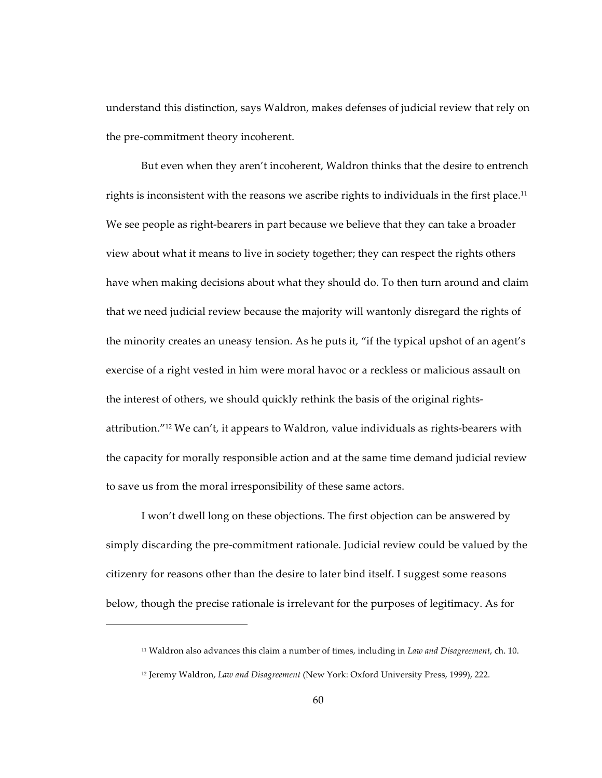understand this distinction, says Waldron, makes defenses of judicial review that rely on the pre-commitment theory incoherent.

But even when they aren't incoherent, Waldron thinks that the desire to entrench rights is inconsistent with the reasons we ascribe rights to individuals in the first place.<sup>11</sup> We see people as right-bearers in part because we believe that they can take a broader view about what it means to live in society together; they can respect the rights others have when making decisions about what they should do. To then turn around and claim that we need judicial review because the majority will wantonly disregard the rights of the minority creates an uneasy tension. As he puts it, "if the typical upshot of an agent's exercise of a right vested in him were moral havoc or a reckless or malicious assault on the interest of others, we should quickly rethink the basis of the original rightsattribution."<sup>12</sup> We can't, it appears to Waldron, value individuals as rights-bearers with the capacity for morally responsible action and at the same time demand judicial review to save us from the moral irresponsibility of these same actors.

I won't dwell long on these objections. The first objection can be answered by simply discarding the pre-commitment rationale. Judicial review could be valued by the citizenry for reasons other than the desire to later bind itself. I suggest some reasons below, though the precise rationale is irrelevant for the purposes of legitimacy. As for

<sup>&</sup>lt;sup>11</sup> Waldron also advances this claim a number of times, including in *Law and Disagreement*, ch. 10.

<sup>&</sup>lt;sup>12</sup> Jeremy Waldron, *Law and Disagreement* (New York: Oxford University Press, 1999), 222.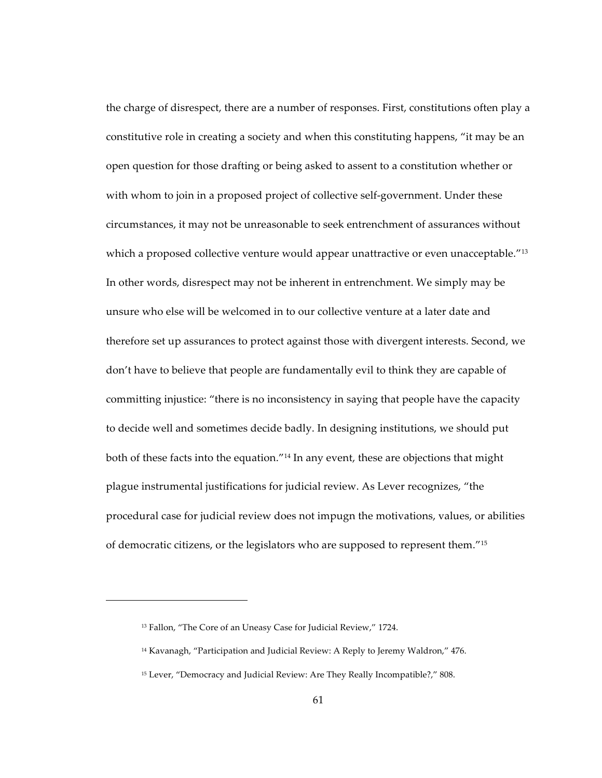the charge of disrespect, there are a number of responses. First, constitutions often play a constitutive role in creating a society and when this constituting happens, "it may be an open question for those drafting or being asked to assent to a constitution whether or with whom to join in a proposed project of collective self-government. Under these circumstances, it may not be unreasonable to seek entrenchment of assurances without which a proposed collective venture would appear unattractive or even unacceptable." $13$ In other words, disrespect may not be inherent in entrenchment. We simply may be unsure who else will be welcomed in to our collective venture at a later date and therefore set up assurances to protect against those with divergent interests. Second, we don't have to believe that people are fundamentally evil to think they are capable of committing injustice: "there is no inconsistency in saying that people have the capacity to decide well and sometimes decide badly. In designing institutions, we should put both of these facts into the equation."<sup>14</sup> In any event, these are objections that might plague instrumental justifications for judicial review. As Lever recognizes, "the procedural case for judicial review does not impugn the motivations, values, or abilities of democratic citizens, or the legislators who are supposed to represent them."15

<sup>&</sup>lt;sup>13</sup> Fallon, "The Core of an Uneasy Case for Judicial Review," 1724.

<sup>&</sup>lt;sup>14</sup> Kavanagh, "Participation and Judicial Review: A Reply to Jeremy Waldron," 476.

<sup>&</sup>lt;sup>15</sup> Lever, "Democracy and Judicial Review: Are They Really Incompatible?," 808.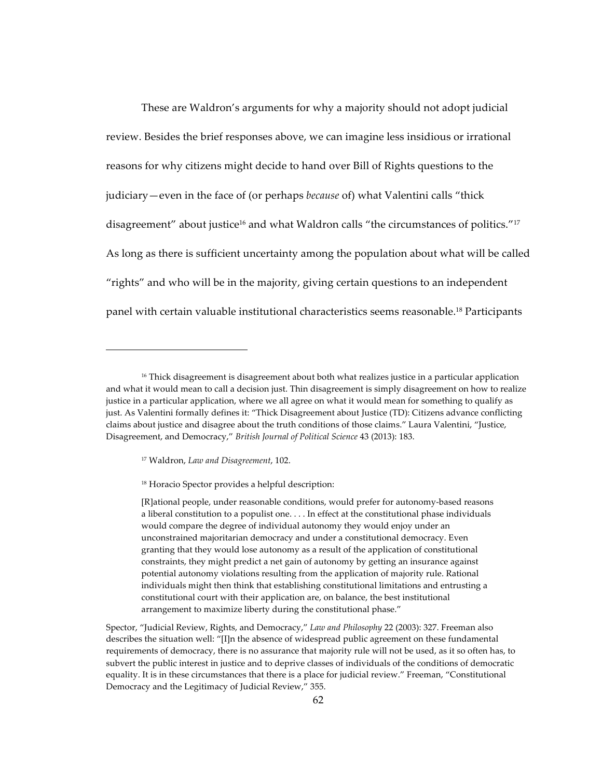These are Waldron's arguments for why a majority should not adopt judicial review. Besides the brief responses above, we can imagine less insidious or irrational reasons for why citizens might decide to hand over Bill of Rights questions to the judiciary—even in the face of (or perhaps *because* of) what Valentini calls "thick disagreement" about justice<sup>16</sup> and what Waldron calls "the circumstances of politics."<sup>17</sup> As long as there is sufficient uncertainty among the population about what will be called "rights" and who will be in the majority, giving certain questions to an independent panel with certain valuable institutional characteristics seems reasonable.<sup>18</sup> Participants

<sup>&</sup>lt;sup>16</sup> Thick disagreement is disagreement about both what realizes justice in a particular application and what it would mean to call a decision just. Thin disagreement is simply disagreement on how to realize justice in a particular application, where we all agree on what it would mean for something to qualify as just. As Valentini formally defines it: "Thick Disagreement about Justice (TD): Citizens advance conflicting claims about justice and disagree about the truth conditions of those claims." Laura Valentini, "Justice, Disagreement, and Democracy," *British Journal of Political Science* 43 (2013): 183.

<sup>&</sup>lt;sup>17</sup> Waldron, Law and Disagreement, 102.

<sup>&</sup>lt;sup>18</sup> Horacio Spector provides a helpful description:

<sup>[</sup>R]ational people, under reasonable conditions, would prefer for autonomy-based reasons a liberal constitution to a populist one. . . . In effect at the constitutional phase individuals would compare the degree of individual autonomy they would enjoy under an unconstrained majoritarian democracy and under a constitutional democracy. Even granting that they would lose autonomy as a result of the application of constitutional constraints, they might predict a net gain of autonomy by getting an insurance against potential autonomy violations resulting from the application of majority rule. Rational individuals might then think that establishing constitutional limitations and entrusting a constitutional court with their application are, on balance, the best institutional arrangement to maximize liberty during the constitutional phase."

Spector, "Judicial Review, Rights, and Democracy," *Law and Philosophy* 22 (2003): 327. Freeman also describes the situation well: "[I]n the absence of widespread public agreement on these fundamental requirements of democracy, there is no assurance that majority rule will not be used, as it so often has, to subvert the public interest in justice and to deprive classes of individuals of the conditions of democratic equality. It is in these circumstances that there is a place for judicial review." Freeman, "Constitutional Democracy and the Legitimacy of Judicial Review," 355.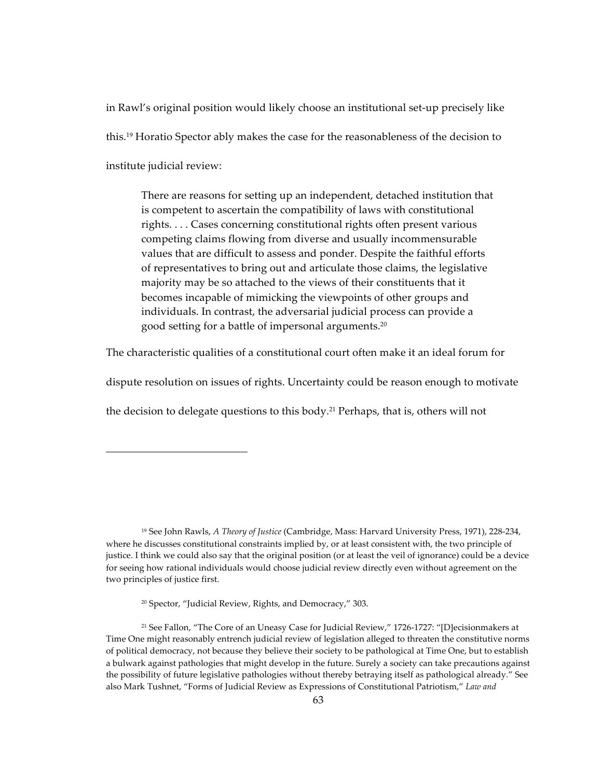in Rawl's original position would likely choose an institutional set-up precisely like this.<sup>19</sup> Horatio Spector ably makes the case for the reasonableness of the decision to institute judicial review:

There are reasons for setting up an independent, detached institution that is competent to ascertain the compatibility of laws with constitutional rights.... Cases concerning constitutional rights often present various competing claims flowing from diverse and usually incommensurable values that are difficult to assess and ponder. Despite the faithful efforts of representatives to bring out and articulate those claims, the legislative majority may be so attached to the views of their constituents that it becomes incapable of mimicking the viewpoints of other groups and individuals. In contrast, the adversarial judicial process can provide a good setting for a battle of impersonal arguments.<sup>20</sup>

The characteristic qualities of a constitutional court often make it an ideal forum for

dispute resolution on issues of rights. Uncertainty could be reason enough to motivate

the decision to delegate questions to this body.<sup>21</sup> Perhaps, that is, others will not

<sup>&</sup>lt;sup>19</sup> See John Rawls, *A Theory of Justice* (Cambridge, Mass: Harvard University Press, 1971), 228-234, where he discusses constitutional constraints implied by, or at least consistent with, the two principle of justice. I think we could also say that the original position (or at least the veil of ignorance) could be a device for seeing how rational individuals would choose judicial review directly even without agreement on the two principles of justice first.

<sup>&</sup>lt;sup>20</sup> Spector, "Judicial Review, Rights, and Democracy," 303.

<sup>&</sup>lt;sup>21</sup> See Fallon, "The Core of an Uneasy Case for Judicial Review," 1726-1727: "[D]ecisionmakers at Time One might reasonably entrench judicial review of legislation alleged to threaten the constitutive norms of political democracy, not because they believe their society to be pathological at Time One, but to establish a bulwark against pathologies that might develop in the future. Surely a society can take precautions against the possibility of future legislative pathologies without thereby betraying itself as pathological already." See also Mark Tushnet, "Forms of Judicial Review as Expressions of Constitutional Patriotism," Law and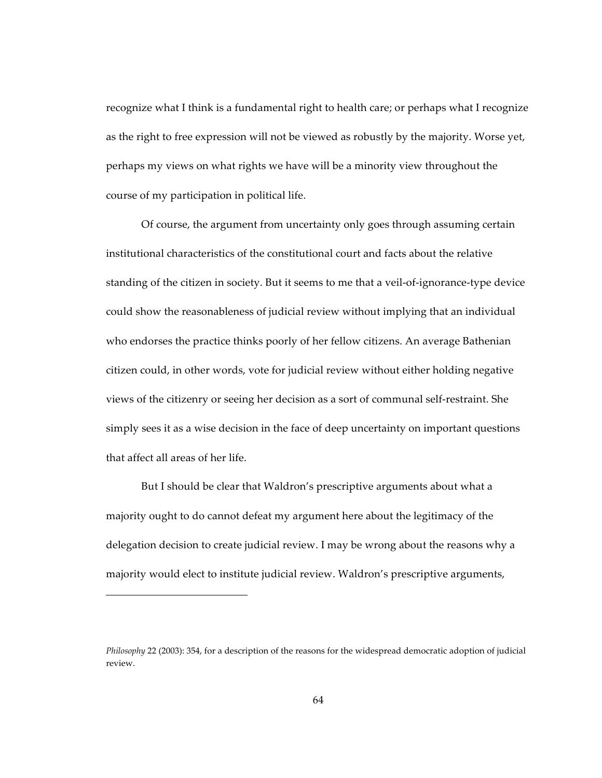recognize what I think is a fundamental right to health care; or perhaps what I recognize as the right to free expression will not be viewed as robustly by the majority. Worse yet, perhaps my views on what rights we have will be a minority view throughout the course of my participation in political life.

Of course, the argument from uncertainty only goes through assuming certain institutional characteristics of the constitutional court and facts about the relative standing of the citizen in society. But it seems to me that a veil-of-ignorance-type device could show the reasonableness of judicial review without implying that an individual who endorses the practice thinks poorly of her fellow citizens. An average Bathenian citizen could, in other words, vote for judicial review without either holding negative views of the citizenry or seeing her decision as a sort of communal self-restraint. She simply sees it as a wise decision in the face of deep uncertainty on important questions that affect all areas of her life.

But I should be clear that Waldron's prescriptive arguments about what a majority ought to do cannot defeat my argument here about the legitimacy of the delegation decision to create judicial review. I may be wrong about the reasons why a majority would elect to institute judicial review. Waldron's prescriptive arguments,

*Philosophy* 22 (2003): 354, for a description of the reasons for the widespread democratic adoption of judicial review.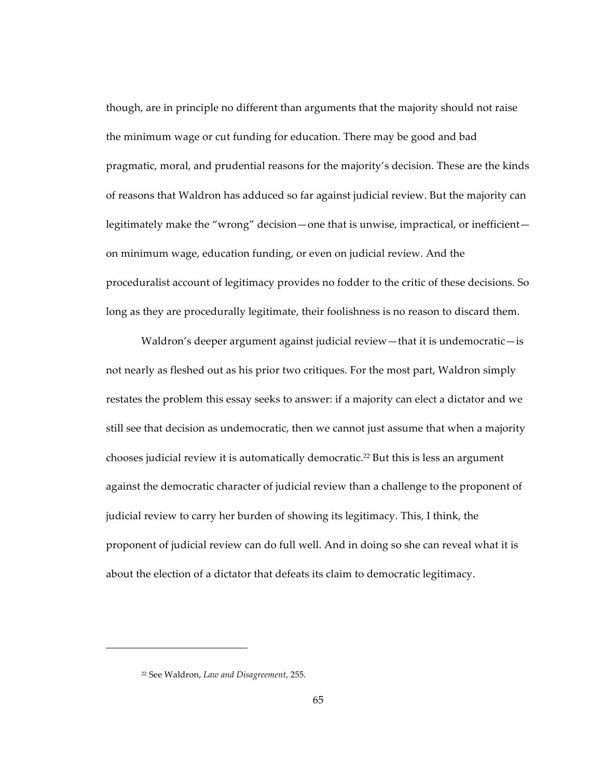though, are in principle no different than arguments that the majority should not raise the minimum wage or cut funding for education. There may be good and bad pragmatic, moral, and prudential reasons for the majority's decision. These are the kinds of reasons that Waldron has adduced so far against judicial review. But the majority can legitimately make the "wrong" decision—one that is unwise, impractical, or inefficient on minimum wage, education funding, or even on judicial review. And the proceduralist account of legitimacy provides no fodder to the critic of these decisions. So long as they are procedurally legitimate, their foolishness is no reason to discard them.

Waldron's deeper argument against judicial review—that it is undemocratic—is not nearly as fleshed out as his prior two critiques. For the most part, Waldron simply restates the problem this essay seeks to answer: if a majority can elect a dictator and we still see that decision as undemocratic, then we cannot just assume that when a majority chooses judicial review it is automatically democratic.<sup>22</sup> But this is less an argument against the democratic character of judicial review than a challenge to the proponent of judicial review to carry her burden of showing its legitimacy. This, I think, the proponent of judicial review can do full well. And in doing so she can reveal what it is about the election of a dictator that defeats its claim to democratic legitimacy.

<sup>&</sup>lt;sup>22</sup> See Waldron, Law and Disagreement, 255.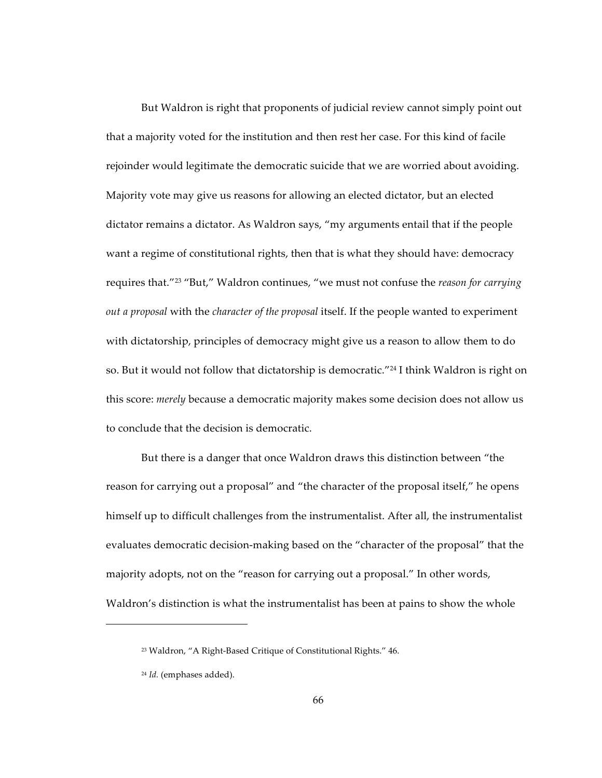But Waldron is right that proponents of judicial review cannot simply point out that a majority voted for the institution and then rest her case. For this kind of facile rejoinder would legitimate the democratic suicide that we are worried about avoiding. Majority vote may give us reasons for allowing an elected dictator, but an elected dictator remains a dictator. As Waldron says, "my arguments entail that if the people want a regime of constitutional rights, then that is what they should have: democracy requires that."<sup>23</sup> "But," Waldron continues, "we must not confuse the *reason for carrying out a proposal with the <i>character of the proposal* itself. If the people wanted to experiment with dictatorship, principles of democracy might give us a reason to allow them to do so. But it would not follow that dictatorship is democratic."<sup>24</sup> I think Waldron is right on this score: *merely* because a democratic majority makes some decision does not allow us to conclude that the decision is democratic.

But there is a danger that once Waldron draws this distinction between "the reason for carrying out a proposal" and "the character of the proposal itself," he opens himself up to difficult challenges from the instrumentalist. After all, the instrumentalist evaluates democratic decision-making based on the "character of the proposal" that the majority adopts, not on the "reason for carrying out a proposal." In other words, Waldron's distinction is what the instrumentalist has been at pains to show the whole

<sup>&</sup>lt;sup>23</sup> Waldron, "A Right-Based Critique of Constitutional Rights." 46.

<sup>&</sup>lt;sup>24</sup> *Id.* (emphases added).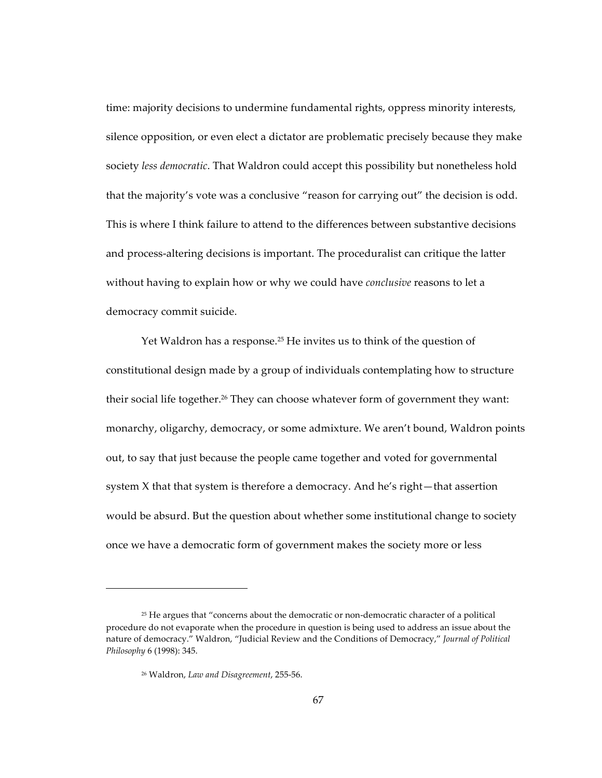time: majority decisions to undermine fundamental rights, oppress minority interests, silence opposition, or even elect a dictator are problematic precisely because they make society *less democratic*. That Waldron could accept this possibility but nonetheless hold that the majority's vote was a conclusive "reason for carrying out" the decision is odd. This is where I think failure to attend to the differences between substantive decisions and process-altering decisions is important. The proceduralist can critique the latter without having to explain how or why we could have *conclusive* reasons to let a democracy commit suicide.

Yet Waldron has a response.<sup>25</sup> He invites us to think of the question of constitutional design made by a group of individuals contemplating how to structure their social life together.<sup>26</sup> They can choose whatever form of government they want: monarchy, oligarchy, democracy, or some admixture. We aren't bound, Waldron points out, to say that just because the people came together and voted for governmental system X that that system is therefore a democracy. And he's right—that assertion would be absurd. But the question about whether some institutional change to society once we have a democratic form of government makes the society more or less

<sup>&</sup>lt;sup>25</sup> He argues that "concerns about the democratic or non-democratic character of a political procedure do not evaporate when the procedure in question is being used to address an issue about the nature of democracy." Waldron, "Judicial Review and the Conditions of Democracy," *Journal of Political* Philosophy 6 (1998): 345.

<sup>&</sup>lt;sup>26</sup> Waldron, Law and Disagreement, 255-56.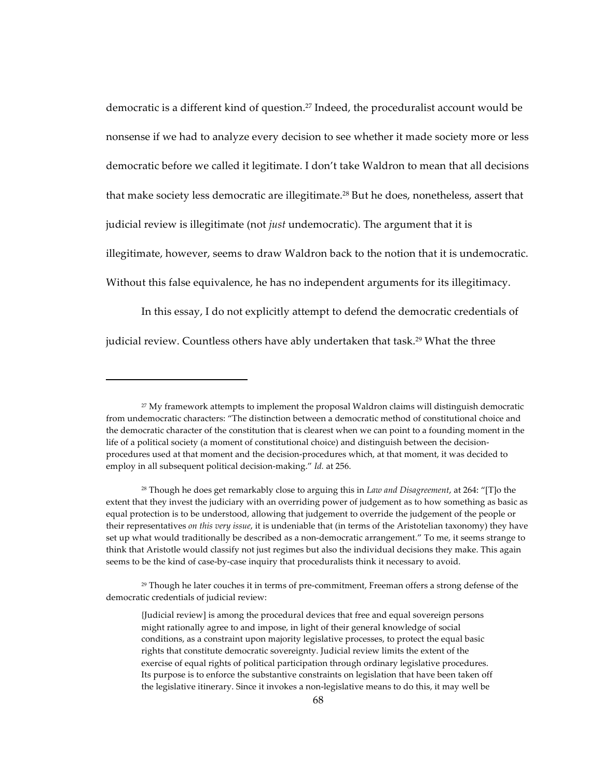democratic is a different kind of question.<sup>27</sup> Indeed, the proceduralist account would be nonsense if we had to analyze every decision to see whether it made society more or less democratic before we called it legitimate. I don't take Waldron to mean that all decisions that make society less democratic are illegitimate.<sup>28</sup> But he does, nonetheless, assert that judicial review is illegitimate (not *just* undemocratic). The argument that it is illegitimate, however, seems to draw Waldron back to the notion that it is undemocratic. Without this false equivalence, he has no independent arguments for its illegitimacy.

In this essay, I do not explicitly attempt to defend the democratic credentials of judicial review. Countless others have ably undertaken that task.<sup>29</sup> What the three

<sup>&</sup>lt;sup>27</sup> My framework attempts to implement the proposal Waldron claims will distinguish democratic from undemocratic characters: "The distinction between a democratic method of constitutional choice and the democratic character of the constitution that is clearest when we can point to a founding moment in the life of a political society (a moment of constitutional choice) and distinguish between the decisionprocedures used at that moment and the decision-procedures which, at that moment, it was decided to employ in all subsequent political decision-making." Id. at 256.

<sup>&</sup>lt;sup>28</sup> Though he does get remarkably close to arguing this in *Law and Disagreement*, at 264: "[T]o the extent that they invest the judiciary with an overriding power of judgement as to how something as basic as equal protection is to be understood, allowing that judgement to override the judgement of the people or their representatives on this very issue, it is undeniable that (in terms of the Aristotelian taxonomy) they have set up what would traditionally be described as a non-democratic arrangement." To me, it seems strange to think that Aristotle would classify not just regimes but also the individual decisions they make. This again seems to be the kind of case-by-case inquiry that proceduralists think it necessary to avoid.

<sup>&</sup>lt;sup>29</sup> Though he later couches it in terms of pre-commitment, Freeman offers a strong defense of the democratic credentials of judicial review:

<sup>{</sup>Judicial review] is among the procedural devices that free and equal sovereign persons might rationally agree to and impose, in light of their general knowledge of social conditions, as a constraint upon majority legislative processes, to protect the equal basic rights that constitute democratic sovereignty. Judicial review limits the extent of the exercise of equal rights of political participation through ordinary legislative procedures. Its purpose is to enforce the substantive constraints on legislation that have been taken off the legislative itinerary. Since it invokes a non-legislative means to do this, it may well be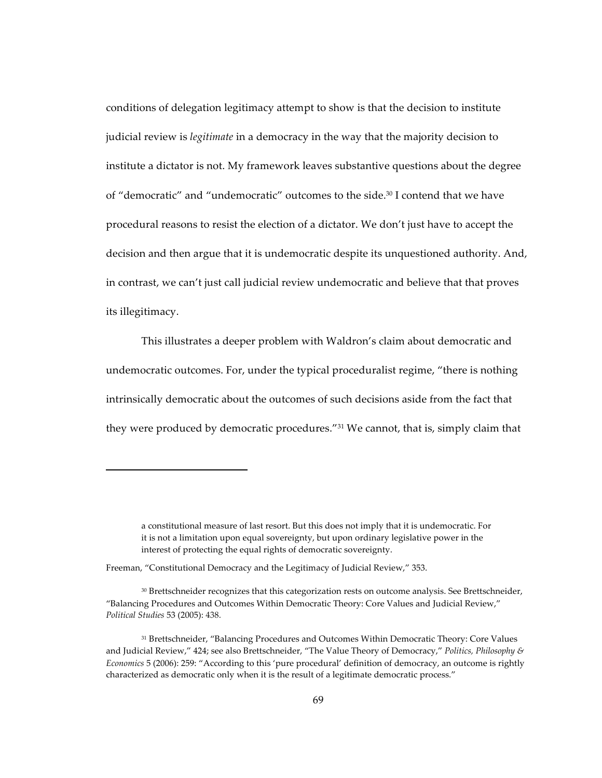conditions of delegation legitimacy attempt to show is that the decision to institute judicial review is *legitimate* in a democracy in the way that the majority decision to institute a dictator is not. My framework leaves substantive questions about the degree of "democratic" and "undemocratic" outcomes to the side.<sup>30</sup> I contend that we have procedural reasons to resist the election of a dictator. We don't just have to accept the decision and then argue that it is undemocratic despite its unquestioned authority. And, in contrast, we can't just call judicial review undemocratic and believe that that proves its illegitimacy.

This illustrates a deeper problem with Waldron's claim about democratic and undemocratic outcomes. For, under the typical proceduralist regime, "there is nothing intrinsically democratic about the outcomes of such decisions aside from the fact that they were produced by democratic procedures."<sup>31</sup> We cannot, that is, simply claim that

a constitutional measure of last resort. But this does not imply that it is undemocratic. For it is not a limitation upon equal sovereignty, but upon ordinary legislative power in the interest of protecting the equal rights of democratic sovereignty.

Freeman, "Constitutional Democracy and the Legitimacy of Judicial Review," 353.

<sup>&</sup>lt;sup>30</sup> Brettschneider recognizes that this categorization rests on outcome analysis. See Brettschneider, "Balancing Procedures and Outcomes Within Democratic Theory: Core Values and Judicial Review," Political Studies 53 (2005): 438.

<sup>&</sup>lt;sup>31</sup> Brettschneider, "Balancing Procedures and Outcomes Within Democratic Theory: Core Values and Judicial Review," 424; see also Brettschneider, "The Value Theory of Democracy," Politics, Philosophy & Economics 5 (2006): 259: "According to this 'pure procedural' definition of democracy, an outcome is rightly characterized as democratic only when it is the result of a legitimate democratic process."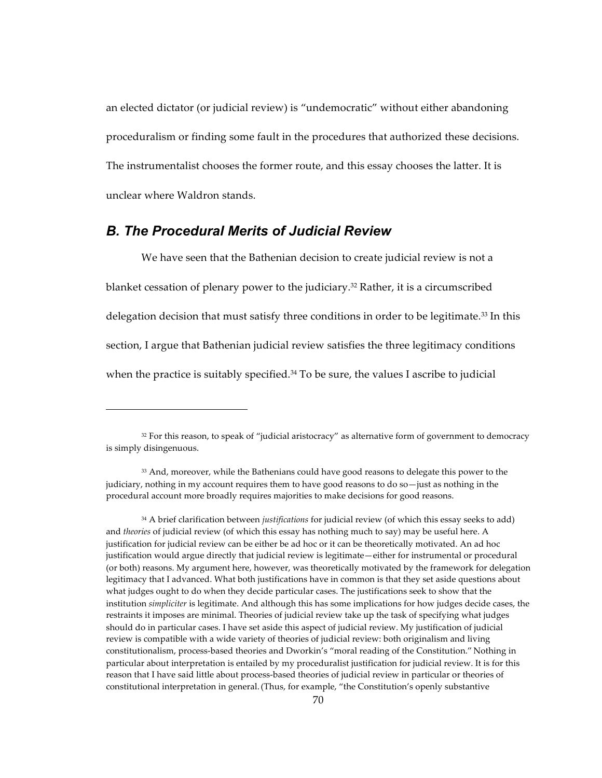an elected dictator (or judicial review) is "undemocratic" without either abandoning proceduralism or finding some fault in the procedures that authorized these decisions. The instrumentalist chooses the former route, and this essay chooses the latter. It is unclear where Waldron stands.

## **B. The Procedural Merits of Judicial Review**

We have seen that the Bathenian decision to create judicial review is not a blanket cessation of plenary power to the judiciary.<sup>32</sup> Rather, it is a circumscribed delegation decision that must satisfy three conditions in order to be legitimate.<sup>33</sup> In this section, I argue that Bathenian judicial review satisfies the three legitimacy conditions when the practice is suitably specified.<sup>34</sup> To be sure, the values I ascribe to judicial

<sup>&</sup>lt;sup>32</sup> For this reason, to speak of "judicial aristocracy" as alternative form of government to democracy is simply disingenuous.

<sup>33</sup> And, moreover, while the Bathenians could have good reasons to delegate this power to the judiciary, nothing in my account requires them to have good reasons to do so-just as nothing in the procedural account more broadly requires majorities to make decisions for good reasons.

<sup>&</sup>lt;sup>34</sup> A brief clarification between *justifications* for judicial review (of which this essay seeks to add) and *theories* of judicial review (of which this essay has nothing much to say) may be useful here. A justification for judicial review can be either be ad hoc or it can be theoretically motivated. An ad hoc justification would argue directly that judicial review is legitimate—either for instrumental or procedural (or both) reasons. My argument here, however, was theoretically motivated by the framework for delegation legitimacy that I advanced. What both justifications have in common is that they set aside questions about what judges ought to do when they decide particular cases. The justifications seek to show that the institution simpliciter is legitimate. And although this has some implications for how judges decide cases, the restraints it imposes are minimal. Theories of judicial review take up the task of specifying what judges should do in particular cases. I have set aside this aspect of judicial review. My justification of judicial review is compatible with a wide variety of theories of judicial review: both originalism and living constitutionalism, process-based theories and Dworkin's "moral reading of the Constitution." Nothing in particular about interpretation is entailed by my proceduralist justification for judicial review. It is for this reason that I have said little about process-based theories of judicial review in particular or theories of constitutional interpretation in general. (Thus, for example, "the Constitution's openly substantive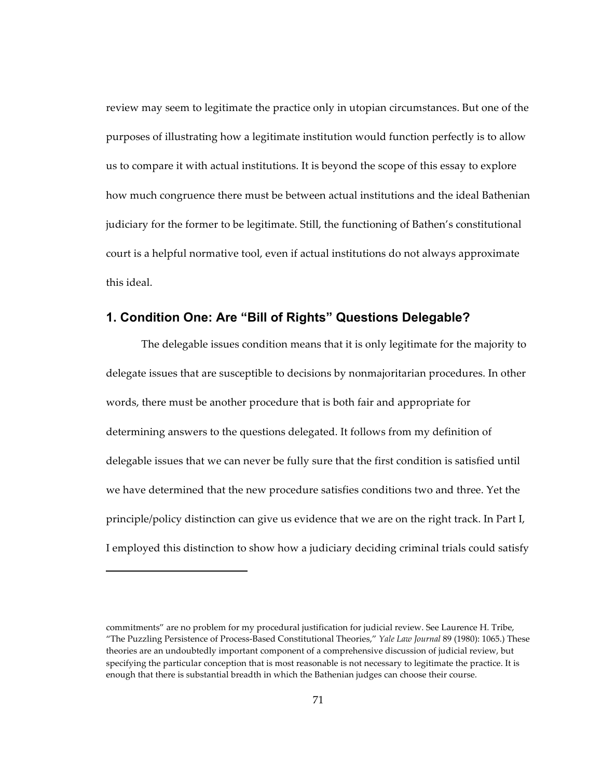review may seem to legitimate the practice only in utopian circumstances. But one of the purposes of illustrating how a legitimate institution would function perfectly is to allow us to compare it with actual institutions. It is beyond the scope of this essay to explore how much congruence there must be between actual institutions and the ideal Bathenian judiciary for the former to be legitimate. Still, the functioning of Bathen's constitutional court is a helpful normative tool, even if actual institutions do not always approximate this ideal.

## **1. Condition One: Are "Bill of Rights" Questions Delegable?**

The delegable issues condition means that it is only legitimate for the majority to delegate issues that are susceptible to decisions by nonmajoritarian procedures. In other words, there must be another procedure that is both fair and appropriate for determining answers to the questions delegated. It follows from my definition of delegable issues that we can never be fully sure that the first condition is satisfied until we have determined that the new procedure satisfies conditions two and three. Yet the principle/policy distinction can give us evidence that we are on the right track. In Part I, I employed this distinction to show how a judiciary deciding criminal trials could satisfy

commitments" are no problem for my procedural justification for judicial review. See Laurence H. Tribe, "The Puzzling Persistence of Process-Based Constitutional Theories," Yale Law Journal 89 (1980): 1065.) These theories are an undoubtedly important component of a comprehensive discussion of judicial review, but specifying the particular conception that is most reasonable is not necessary to legitimate the practice. It is enough that there is substantial breadth in which the Bathenian judges can choose their course.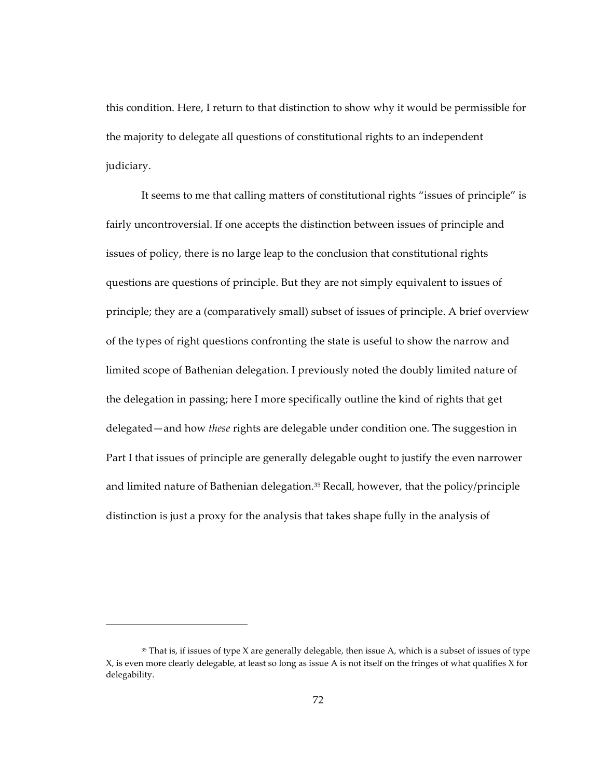this condition. Here, I return to that distinction to show why it would be permissible for the majority to delegate all questions of constitutional rights to an independent judiciary.

It seems to me that calling matters of constitutional rights "issues of principle" is fairly uncontroversial. If one accepts the distinction between issues of principle and issues of policy, there is no large leap to the conclusion that constitutional rights questions are questions of principle. But they are not simply equivalent to issues of principle; they are a (comparatively small) subset of issues of principle. A brief overview of the types of right questions confronting the state is useful to show the narrow and limited scope of Bathenian delegation. I previously noted the doubly limited nature of the delegation in passing; here I more specifically outline the kind of rights that get delegated—and how *these* rights are delegable under condition one. The suggestion in Part I that issues of principle are generally delegable ought to justify the even narrower and limited nature of Bathenian delegation.<sup>35</sup> Recall, however, that the policy/principle distinction is just a proxy for the analysis that takes shape fully in the analysis of

 $35$  That is, if issues of type X are generally delegable, then issue A, which is a subset of issues of type X, is even more clearly delegable, at least so long as issue A is not itself on the fringes of what qualifies X for delegability.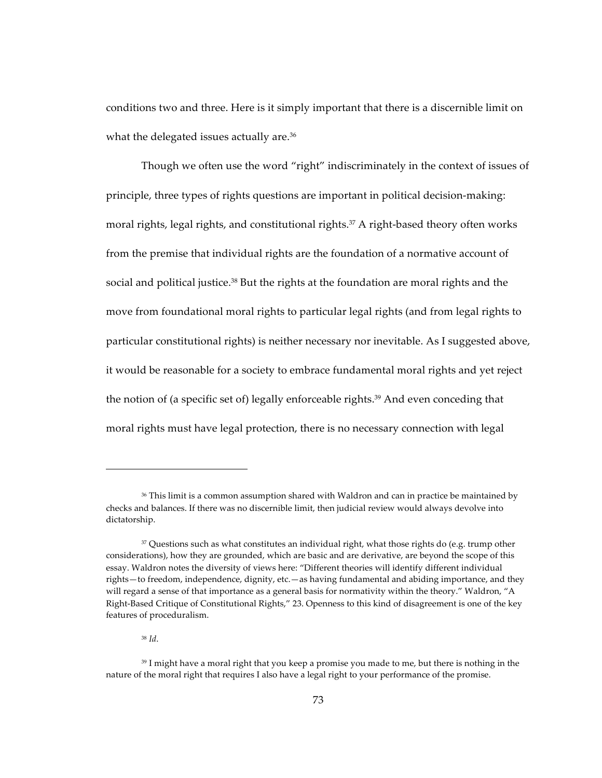conditions two and three. Here is it simply important that there is a discernible limit on what the delegated issues actually are.<sup>36</sup>

Though we often use the word "right" indiscriminately in the context of issues of principle, three types of rights questions are important in political decision-making: moral rights, legal rights, and constitutional rights.<sup>37</sup> A right-based theory often works from the premise that individual rights are the foundation of a normative account of social and political justice.<sup>38</sup> But the rights at the foundation are moral rights and the move from foundational moral rights to particular legal rights (and from legal rights to particular constitutional rights) is neither necessary nor inevitable. As I suggested above, it would be reasonable for a society to embrace fundamental moral rights and yet reject the notion of (a specific set of) legally enforceable rights.<sup>39</sup> And even conceding that moral rights must have legal protection, there is no necessary connection with legal

 $38$  *Id.* 

<sup>&</sup>lt;sup>36</sup> This limit is a common assumption shared with Waldron and can in practice be maintained by checks and balances. If there was no discernible limit, then judicial review would always devolve into dictatorship.

<sup>&</sup>lt;sup>37</sup> Questions such as what constitutes an individual right, what those rights do (e.g. trump other considerations), how they are grounded, which are basic and are derivative, are beyond the scope of this essay. Waldron notes the diversity of views here: "Different theories will identify different individual rights-to freedom, independence, dignity, etc.-as having fundamental and abiding importance, and they will regard a sense of that importance as a general basis for normativity within the theory." Waldron, "A Right-Based Critique of Constitutional Rights," 23. Openness to this kind of disagreement is one of the key features of proceduralism.

<sup>39</sup> I might have a moral right that you keep a promise you made to me, but there is nothing in the nature of the moral right that requires I also have a legal right to your performance of the promise.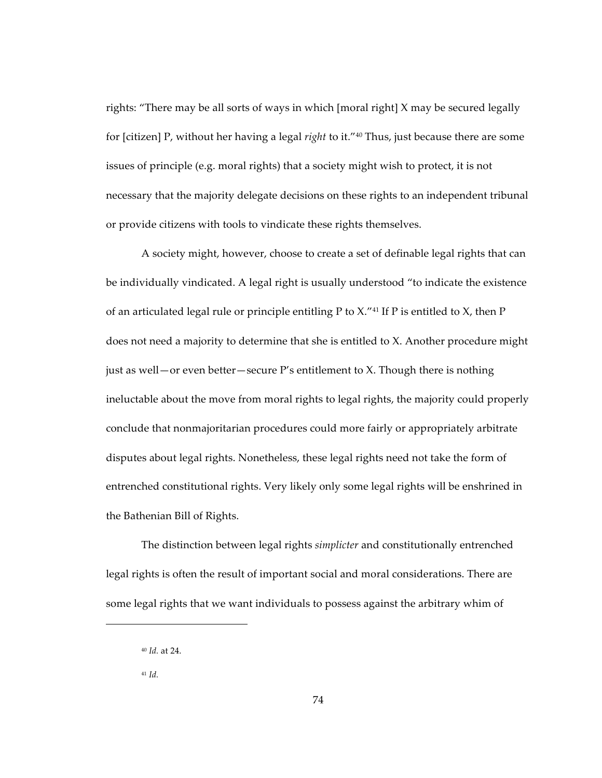rights: "There may be all sorts of ways in which [moral right] X may be secured legally for [citizen] P, without her having a legal right to it."<sup>40</sup> Thus, just because there are some issues of principle (e.g. moral rights) that a society might wish to protect, it is not necessary that the majority delegate decisions on these rights to an independent tribunal or provide citizens with tools to vindicate these rights themselves.

A society might, however, choose to create a set of definable legal rights that can be individually vindicated. A legal right is usually understood "to indicate the existence" of an articulated legal rule or principle entitling P to  $X$ ."<sup>41</sup> If P is entitled to  $X$ , then P does not need a majority to determine that she is entitled to X. Another procedure might just as well — or even better — secure  $P'$ s entitlement to X. Though there is nothing ineluctable about the move from moral rights to legal rights, the majority could properly conclude that nonmajoritarian procedures could more fairly or appropriately arbitrate disputes about legal rights. Nonetheless, these legal rights need not take the form of entrenched constitutional rights. Very likely only some legal rights will be enshrined in the Bathenian Bill of Rights.

The distinction between legal rights simplicter and constitutionally entrenched legal rights is often the result of important social and moral considerations. There are some legal rights that we want individuals to possess against the arbitrary whim of

 $40$  *Id.* at 24.

 $41$  *Id.*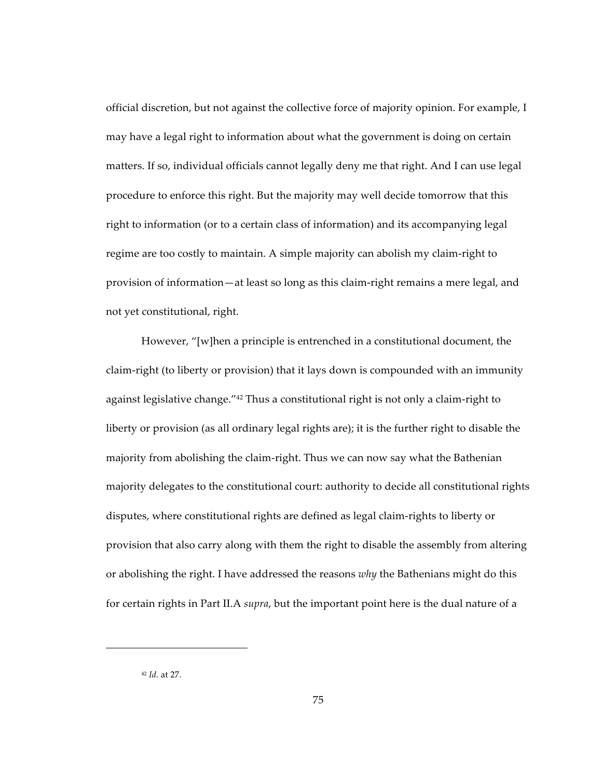official discretion, but not against the collective force of majority opinion. For example, I may have a legal right to information about what the government is doing on certain matters. If so, individual officials cannot legally deny me that right. And I can use legal procedure to enforce this right. But the majority may well decide tomorrow that this right to information (or to a certain class of information) and its accompanying legal regime are too costly to maintain. A simple majority can abolish my claim-right to provision of information—at least so long as this claim-right remains a mere legal, and not yet constitutional, right.

However, "[w]hen a principle is entrenched in a constitutional document, the claim-right (to liberty or provision) that it lays down is compounded with an immunity against legislative change."<sup>42</sup> Thus a constitutional right is not only a claim-right to liberty or provision (as all ordinary legal rights are); it is the further right to disable the majority from abolishing the claim-right. Thus we can now say what the Bathenian majority delegates to the constitutional court: authority to decide all constitutional rights disputes, where constitutional rights are defined as legal claim-rights to liberty or provision that also carry along with them the right to disable the assembly from altering or abolishing the right. I have addressed the reasons *why* the Bathenians might do this for certain rights in Part II.A *supra*, but the important point here is the dual nature of a

<sup>&</sup>lt;sup>42</sup> *Id.* at 27.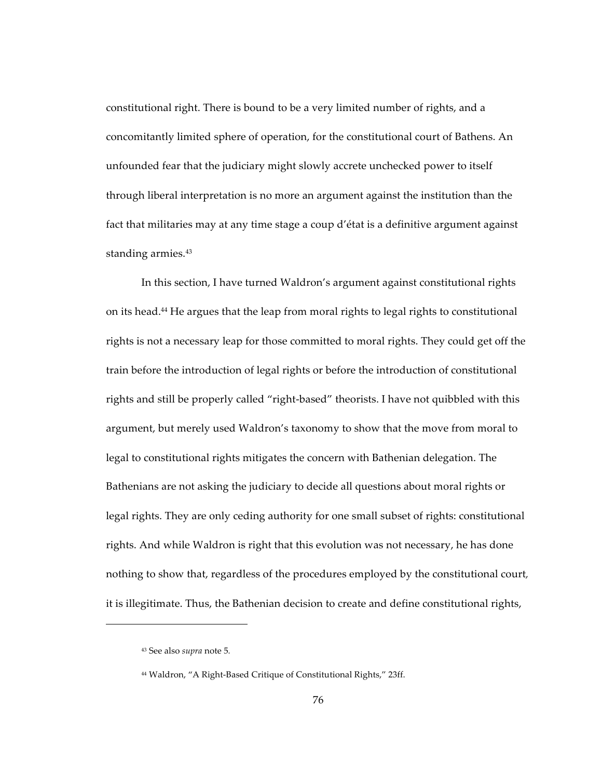constitutional right. There is bound to be a very limited number of rights, and a concomitantly limited sphere of operation, for the constitutional court of Bathens. An unfounded fear that the judiciary might slowly accrete unchecked power to itself through liberal interpretation is no more an argument against the institution than the fact that militaries may at any time stage a coup d'état is a definitive argument against standing armies.<sup>43</sup>

In this section, I have turned Waldron's argument against constitutional rights on its head.<sup>44</sup> He argues that the leap from moral rights to legal rights to constitutional rights is not a necessary leap for those committed to moral rights. They could get off the train before the introduction of legal rights or before the introduction of constitutional rights and still be properly called "right-based" theorists. I have not quibbled with this argument, but merely used Waldron's taxonomy to show that the move from moral to legal to constitutional rights mitigates the concern with Bathenian delegation. The Bathenians are not asking the judiciary to decide all questions about moral rights or legal rights. They are only ceding authority for one small subset of rights: constitutional rights. And while Waldron is right that this evolution was not necessary, he has done nothing to show that, regardless of the procedures employed by the constitutional court, it is illegitimate. Thus, the Bathenian decision to create and define constitutional rights,

<sup>&</sup>lt;sup>43</sup> See also *supra* note 5.

<sup>&</sup>lt;sup>44</sup> Waldron, "A Right-Based Critique of Constitutional Rights," 23ff.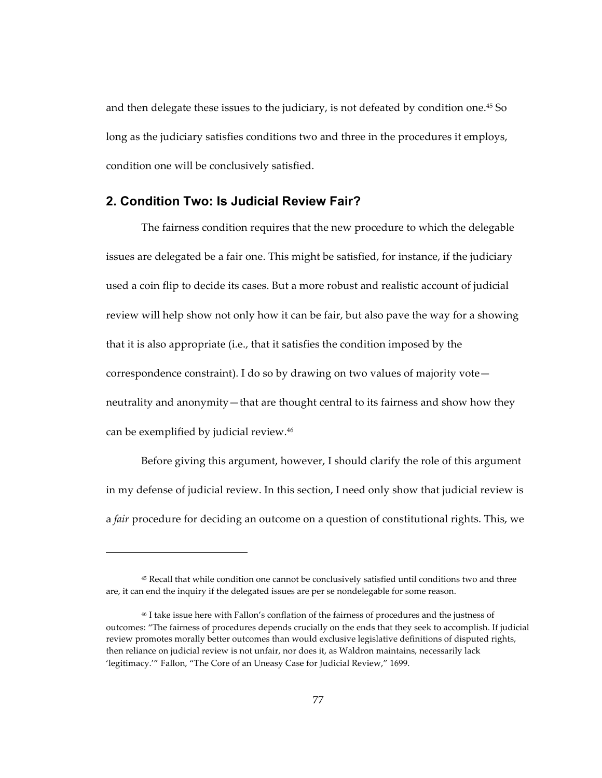and then delegate these issues to the judiciary, is not defeated by condition one.<sup>45</sup> So long as the judiciary satisfies conditions two and three in the procedures it employs, condition one will be conclusively satisfied.

## **2. Condition Two: Is Judicial Review Fair?**

!!!!!!!!!!!!!!!!!!!!!!!!!!!!!!!!!!!!!!!!!!!!!!!!!!!!!!

The fairness condition requires that the new procedure to which the delegable issues are delegated be a fair one. This might be satisfied, for instance, if the judiciary used a coin flip to decide its cases. But a more robust and realistic account of judicial review will help show not only how it can be fair, but also pave the way for a showing that it is also appropriate (i.e., that it satisfies the condition imposed by the correspondence constraint). I do so by drawing on two values of majority vote neutrality and anonymity—that are thought central to its fairness and show how they can be exemplified by judicial review.<sup>46</sup>

Before giving this argument, however, I should clarify the role of this argument in my defense of judicial review. In this section, I need only show that judicial review is a *fair* procedure for deciding an outcome on a question of constitutional rights. This, we

<sup>&</sup>lt;sup>45</sup> Recall that while condition one cannot be conclusively satisfied until conditions two and three are, it can end the inquiry if the delegated issues are per se nondelegable for some reason.

<sup>&</sup>lt;sup>46</sup> I take issue here with Fallon's conflation of the fairness of procedures and the justness of outcomes: "The fairness of procedures depends crucially on the ends that they seek to accomplish. If judicial review promotes morally better outcomes than would exclusive legislative definitions of disputed rights, then reliance on judicial review is not unfair, nor does it, as Waldron maintains, necessarily lack 'legitimacy.'" Fallon, "The Core of an Uneasy Case for Judicial Review," 1699.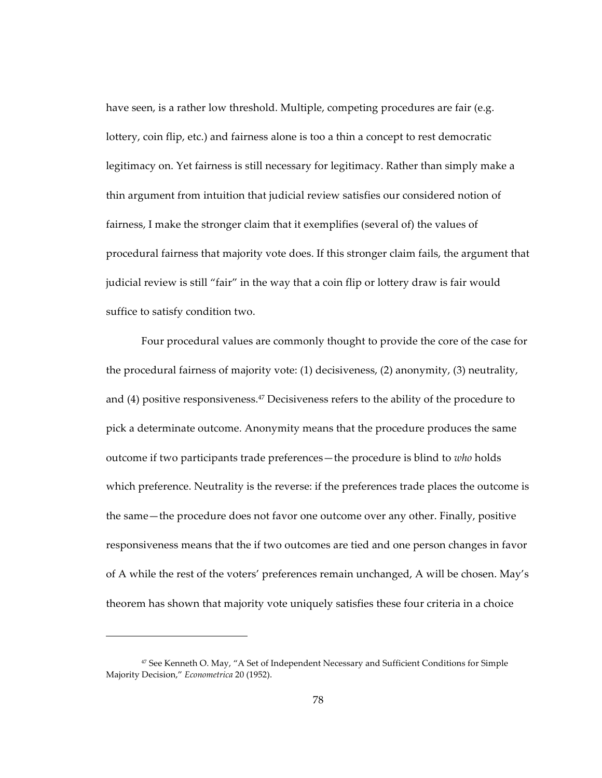have seen, is a rather low threshold. Multiple, competing procedures are fair (e.g. lottery, coin flip, etc.) and fairness alone is too a thin a concept to rest democratic legitimacy on. Yet fairness is still necessary for legitimacy. Rather than simply make a thin argument from intuition that judicial review satisfies our considered notion of fairness, I make the stronger claim that it exemplifies (several of) the values of procedural fairness that majority vote does. If this stronger claim fails, the argument that judicial review is still "fair" in the way that a coin flip or lottery draw is fair would suffice to satisfy condition two.

Four procedural values are commonly thought to provide the core of the case for the procedural fairness of majority vote:  $(1)$  decisiveness,  $(2)$  anonymity,  $(3)$  neutrality, and (4) positive responsiveness.<sup>47</sup> Decisiveness refers to the ability of the procedure to pick a determinate outcome. Anonymity means that the procedure produces the same outcome if two participants trade preferences—the procedure is blind to *who* holds which preference. Neutrality is the reverse: if the preferences trade places the outcome is the same—the procedure does not favor one outcome over any other. Finally, positive responsiveness means that the if two outcomes are tied and one person changes in favor of A while the rest of the voters' preferences remain unchanged, A will be chosen. May's theorem has shown that majority vote uniquely satisfies these four criteria in a choice

<sup>&</sup>lt;sup>47</sup> See Kenneth O. May, "A Set of Independent Necessary and Sufficient Conditions for Simple Majority Decision," *Econometrica* 20 (1952).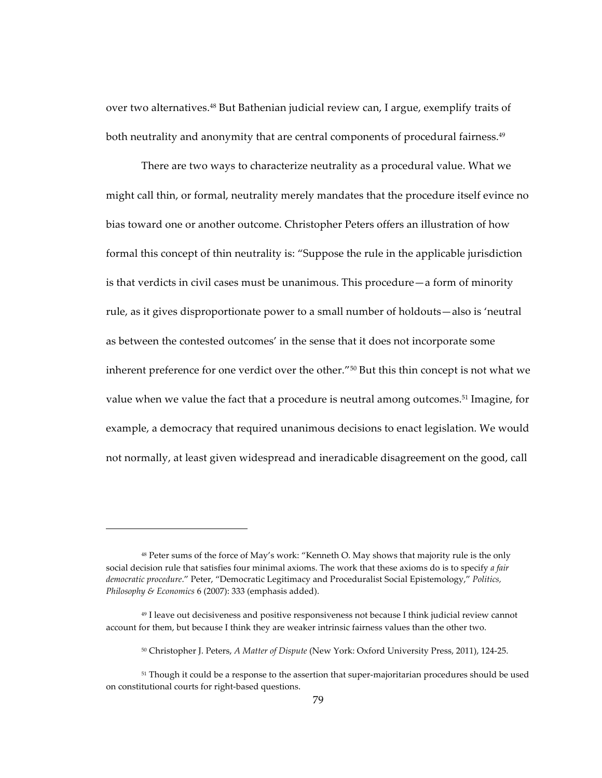over two alternatives.<sup>48</sup> But Bathenian judicial review can, I argue, exemplify traits of both neutrality and anonymity that are central components of procedural fairness.<sup>49</sup>

There are two ways to characterize neutrality as a procedural value. What we might call thin, or formal, neutrality merely mandates that the procedure itself evince no bias toward one or another outcome. Christopher Peters offers an illustration of how formal this concept of thin neutrality is: "Suppose the rule in the applicable jurisdiction is that verdicts in civil cases must be unanimous. This procedure  $-a$  form of minority rule, as it gives disproportionate power to a small number of holdouts—also is 'neutral as between the contested outcomes' in the sense that it does not incorporate some inherent preference for one verdict over the other."<sup>50</sup> But this thin concept is not what we value when we value the fact that a procedure is neutral among outcomes.<sup>51</sup> Imagine, for example, a democracy that required unanimous decisions to enact legislation. We would not normally, at least given widespread and ineradicable disagreement on the good, call

<sup>&</sup>lt;sup>48</sup> Peter sums of the force of May's work: "Kenneth O. May shows that majority rule is the only social decision rule that satisfies four minimal axioms. The work that these axioms do is to specify a fair democratic procedure." Peter, "Democratic Legitimacy and Proceduralist Social Epistemology," Politics, Philosophy & Economics 6 (2007): 333 (emphasis added).

<sup>&</sup>lt;sup>49</sup> I leave out decisiveness and positive responsiveness not because I think judicial review cannot account for them, but because I think they are weaker intrinsic fairness values than the other two.

<sup>&</sup>lt;sup>50</sup> Christopher J. Peters, A Matter of Dispute (New York: Oxford University Press, 2011), 124-25.

<sup>&</sup>lt;sup>51</sup> Though it could be a response to the assertion that super-majoritarian procedures should be used on constitutional courts for right-based questions.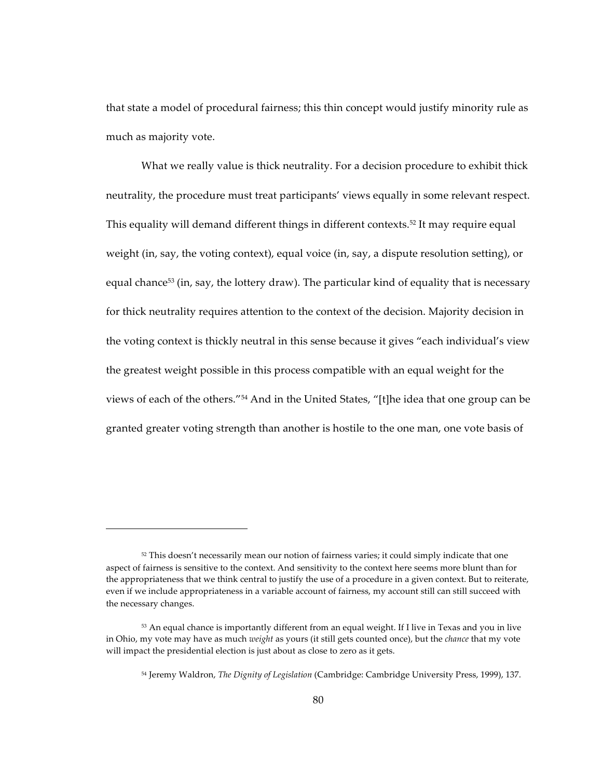that state a model of procedural fairness; this thin concept would justify minority rule as much as majority vote.

What we really value is thick neutrality. For a decision procedure to exhibit thick neutrality, the procedure must treat participants' views equally in some relevant respect. This equality will demand different things in different contexts.<sup>52</sup> It may require equal weight (in, say, the voting context), equal voice (in, say, a dispute resolution setting), or equal chance<sup>53</sup> (in, say, the lottery draw). The particular kind of equality that is necessary for thick neutrality requires attention to the context of the decision. Majority decision in the voting context is thickly neutral in this sense because it gives "each individual's view the greatest weight possible in this process compatible with an equal weight for the views of each of the others."<sup>54</sup> And in the United States, "[t]he idea that one group can be granted greater voting strength than another is hostile to the one man, one vote basis of

<sup>52</sup> This doesn't necessarily mean our notion of fairness varies; it could simply indicate that one aspect of fairness is sensitive to the context. And sensitivity to the context here seems more blunt than for the appropriateness that we think central to justify the use of a procedure in a given context. But to reiterate, even if we include appropriateness in a variable account of fairness, my account still can still succeed with the necessary changes.

 $53$  An equal chance is importantly different from an equal weight. If I live in Texas and you in live in Ohio, my vote may have as much *weight* as yours (it still gets counted once), but the *chance* that my vote will impact the presidential election is just about as close to zero as it gets.

<sup>54</sup> Jeremy Waldron, *The Dignity of Legislation* (Cambridge: Cambridge University Press, 1999), 137.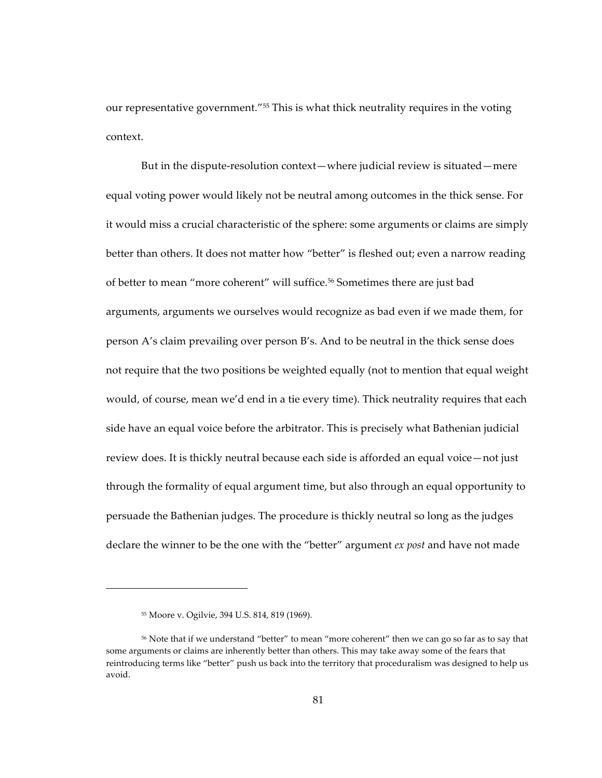our representative government."<sup>55</sup> This is what thick neutrality requires in the voting context.

But in the dispute-resolution context—where judicial review is situated—mere equal voting power would likely not be neutral among outcomes in the thick sense. For it would miss a crucial characteristic of the sphere: some arguments or claims are simply better than others. It does not matter how "better" is fleshed out; even a narrow reading of better to mean "more coherent" will suffice.<sup>56</sup> Sometimes there are just bad arguments, arguments we ourselves would recognize as bad even if we made them, for person A's claim prevailing over person B's. And to be neutral in the thick sense does not require that the two positions be weighted equally (not to mention that equal weight would, of course, mean we'd end in a tie every time). Thick neutrality requires that each side have an equal voice before the arbitrator. This is precisely what Bathenian judicial review does. It is thickly neutral because each side is afforded an equal voice—not just through the formality of equal argument time, but also through an equal opportunity to persuade the Bathenian judges. The procedure is thickly neutral so long as the judges declare the winner to be the one with the "better" argument *ex post* and have not made

<sup>&</sup>lt;sup>55</sup> Moore v. Ogilvie, 394 U.S. 814, 819 (1969).

<sup>&</sup>lt;sup>56</sup> Note that if we understand "better" to mean "more coherent" then we can go so far as to say that some arguments or claims are inherently better than others. This may take away some of the fears that reintroducing terms like "better" push us back into the territory that proceduralism was designed to help us avoid.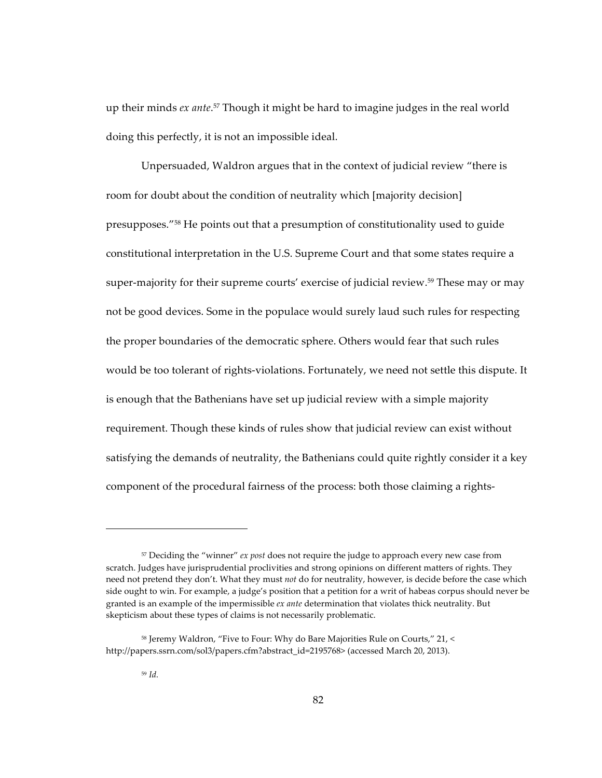up their minds *ex ante*.<sup>57</sup> Though it might be hard to imagine judges in the real world doing this perfectly, it is not an impossible ideal.

Unpersuaded, Waldron argues that in the context of judicial review "there is room for doubt about the condition of neutrality which [majority decision] presupposes."<sup>58</sup> He points out that a presumption of constitutionality used to guide constitutional interpretation in the U.S. Supreme Court and that some states require a super-majority for their supreme courts' exercise of judicial review.<sup>59</sup> These may or may not be good devices. Some in the populace would surely laud such rules for respecting the proper boundaries of the democratic sphere. Others would fear that such rules would be too tolerant of rights-violations. Fortunately, we need not settle this dispute. It is enough that the Bathenians have set up judicial review with a simple majority requirement. Though these kinds of rules show that judicial review can exist without satisfying the demands of neutrality, the Bathenians could quite rightly consider it a key component of the procedural fairness of the process: both those claiming a rights-

 $57$  Deciding the "winner" *ex post* does not require the judge to approach every new case from scratch. Judges have jurisprudential proclivities and strong opinions on different matters of rights. They need not pretend they don't. What they must *not* do for neutrality, however, is decide before the case which side ought to win. For example, a judge's position that a petition for a writ of habeas corpus should never be granted is an example of the impermissible *ex ante* determination that violates thick neutrality. But skepticism about these types of claims is not necessarily problematic.

<sup>58</sup> Jeremy Waldron, "Five to Four: Why do Bare Majorities Rule on Courts," 21, < http://papers.ssrn.com/sol3/papers.cfm?abstract\_id=2195768> (accessed March 20, 2013).

<sup>59</sup> *Id.*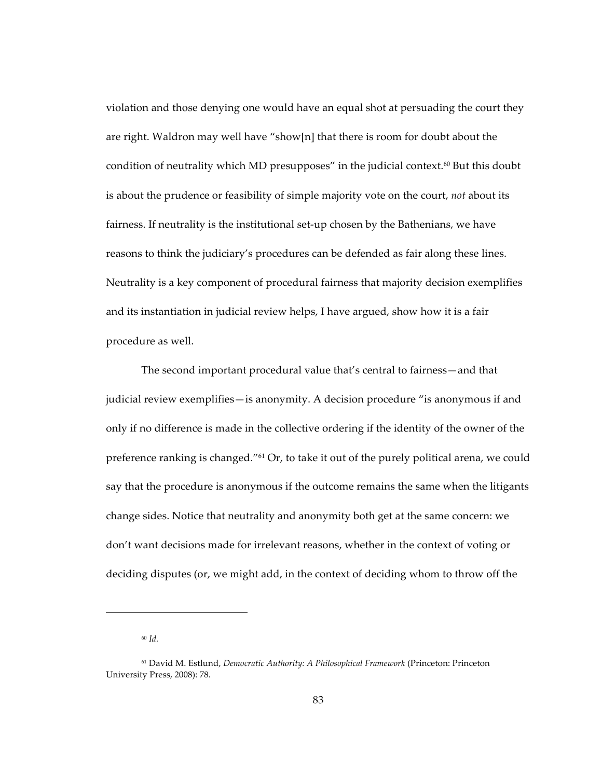violation and those denying one would have an equal shot at persuading the court they are right. Waldron may well have "show[n] that there is room for doubt about the condition of neutrality which MD presupposes" in the judicial context.<sup>60</sup> But this doubt is about the prudence or feasibility of simple majority vote on the court, *not* about its fairness. If neutrality is the institutional set-up chosen by the Bathenians, we have reasons to think the judiciary's procedures can be defended as fair along these lines. Neutrality is a key component of procedural fairness that majority decision exemplifies and its instantiation in judicial review helps, I have argued, show how it is a fair procedure as well.

The second important procedural value that's central to fairness—and that judicial review exemplifies—is anonymity. A decision procedure "is anonymous if and only if no difference is made in the collective ordering if the identity of the owner of the preference ranking is changed."<sup>61</sup> Or, to take it out of the purely political arena, we could say that the procedure is anonymous if the outcome remains the same when the litigants change sides. Notice that neutrality and anonymity both get at the same concern: we don't want decisions made for irrelevant reasons, whether in the context of voting or deciding disputes (or, we might add, in the context of deciding whom to throw off the

<sup>60</sup> *Id.*

<sup>&</sup>lt;sup>61</sup> David M. Estlund, *Democratic Authority: A Philosophical Framework* (Princeton: Princeton University Press, 2008): 78.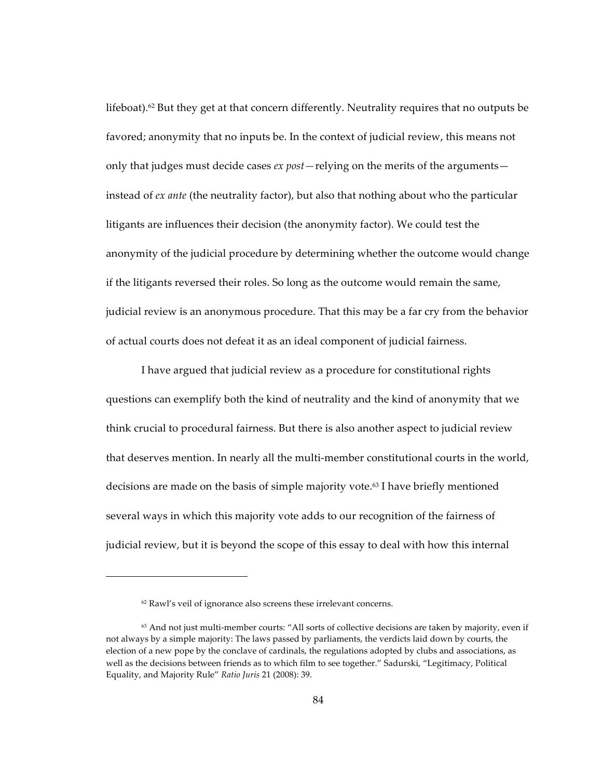lifeboat).<sup>62</sup> But they get at that concern differently. Neutrality requires that no outputs be favored; anonymity that no inputs be. In the context of judicial review, this means not only that judges must decide cases *ex post* — relying on the merits of the arguments instead of ex ante (the neutrality factor), but also that nothing about who the particular litigants are influences their decision (the anonymity factor). We could test the anonymity of the judicial procedure by determining whether the outcome would change if the litigants reversed their roles. So long as the outcome would remain the same, judicial review is an anonymous procedure. That this may be a far cry from the behavior of actual courts does not defeat it as an ideal component of judicial fairness.

I have argued that judicial review as a procedure for constitutional rights questions can exemplify both the kind of neutrality and the kind of anonymity that we think crucial to procedural fairness. But there is also another aspect to judicial review that deserves mention. In nearly all the multi-member constitutional courts in the world, decisions are made on the basis of simple majority vote.<sup>63</sup> I have briefly mentioned several ways in which this majority vote adds to our recognition of the fairness of judicial review, but it is beyond the scope of this essay to deal with how this internal

<sup>&</sup>lt;sup>62</sup> Rawl's veil of ignorance also screens these irrelevant concerns.

 $63$  And not just multi-member courts: "All sorts of collective decisions are taken by majority, even if not always by a simple majority: The laws passed by parliaments, the verdicts laid down by courts, the election of a new pope by the conclave of cardinals, the regulations adopted by clubs and associations, as well as the decisions between friends as to which film to see together." Sadurski, "Legitimacy, Political Equality, and Majority Rule" Ratio Juris 21 (2008): 39.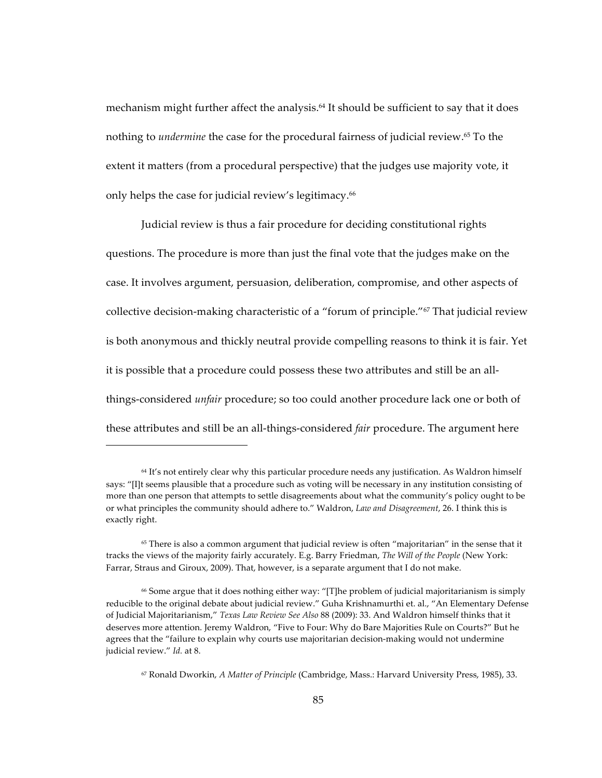mechanism might further affect the analysis.<sup>64</sup> It should be sufficient to say that it does nothing to *undermine* the case for the procedural fairness of judicial review.<sup>65</sup> To the extent it matters (from a procedural perspective) that the judges use majority vote, it only helps the case for judicial review's legitimacy.<sup>66</sup>

Judicial review is thus a fair procedure for deciding constitutional rights questions. The procedure is more than just the final vote that the judges make on the case. It involves argument, persuasion, deliberation, compromise, and other aspects of collective decision-making characteristic of a "forum of principle." $67$  That judicial review is both anonymous and thickly neutral provide compelling reasons to think it is fair. Yet it is possible that a procedure could possess these two attributes and still be an allthings-considered *unfair* procedure; so too could another procedure lack one or both of these attributes and still be an all-things-considered *fair* procedure. The argument here

 $64$  It's not entirely clear why this particular procedure needs any justification. As Waldron himself says: "[I]t seems plausible that a procedure such as voting will be necessary in any institution consisting of more than one person that attempts to settle disagreements about what the community's policy ought to be or what principles the community should adhere to." Waldron, *Law and Disagreement*, 26. I think this is exactly right.

 $65$  There is also a common argument that judicial review is often "majoritarian" in the sense that it tracks the views of the majority fairly accurately. E.g. Barry Friedman, *The Will of the People* (New York: Farrar, Straus and Giroux, 2009). That, however, is a separate argument that I do not make.

 $66$  Some argue that it does nothing either way: "[T]he problem of judicial majoritarianism is simply reducible to the original debate about judicial review." Guha Krishnamurthi et. al., "An Elementary Defense of Judicial Majoritarianism," Texas Law Review See Also 88 (2009): 33. And Waldron himself thinks that it deserves more attention. Jeremy Waldron, "Five to Four: Why do Bare Majorities Rule on Courts?" But he agrees that the "failure to explain why courts use majoritarian decision-making would not undermine judicial review." *Id.* at 8.

<sup>&</sup>lt;sup>67</sup> Ronald Dworkin, *A Matter of Principle* (Cambridge, Mass.: Harvard University Press, 1985), 33.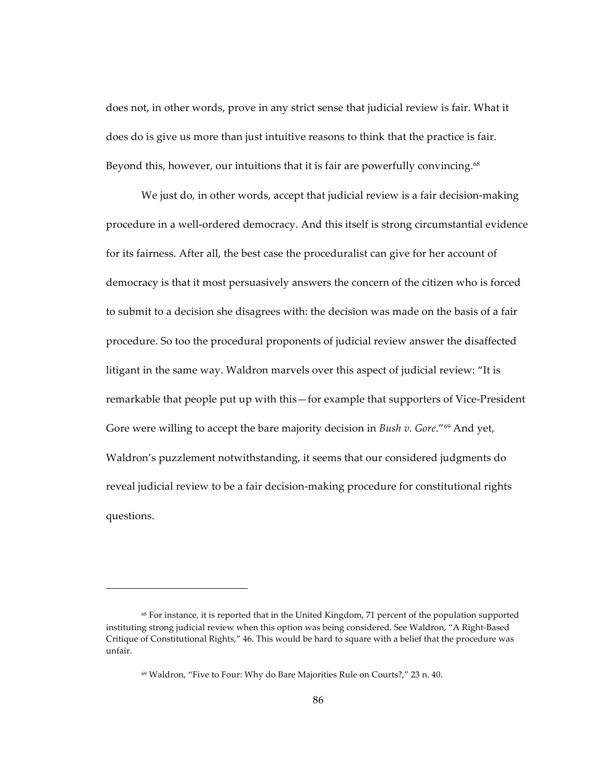does not, in other words, prove in any strict sense that judicial review is fair. What it does do is give us more than just intuitive reasons to think that the practice is fair. Beyond this, however, our intuitions that it is fair are powerfully convincing. $68$ 

We just do, in other words, accept that judicial review is a fair decision-making procedure in a well-ordered democracy. And this itself is strong circumstantial evidence for its fairness. After all, the best case the proceduralist can give for her account of democracy is that it most persuasively answers the concern of the citizen who is forced to submit to a decision she disagrees with: the decision was made on the basis of a fair procedure. So too the procedural proponents of judicial review answer the disaffected litigant in the same way. Waldron marvels over this aspect of judicial review: "It is remarkable that people put up with this—for example that supporters of Vice-President Gore were willing to accept the bare majority decision in *Bush v. Gore.*"<sup>69</sup> And yet, Waldron's puzzlement notwithstanding, it seems that our considered judgments do reveal judicial review to be a fair decision-making procedure for constitutional rights questions.

<sup>&</sup>lt;sup>68</sup> For instance, it is reported that in the United Kingdom, 71 percent of the population supported instituting strong judicial review when this option was being considered. See Waldron, "A Right-Based Critique of Constitutional Rights," 46. This would be hard to square with a belief that the procedure was unfair.

<sup>69</sup> Waldron, "Five to Four: Why do Bare Majorities Rule on Courts?," 23 n. 40.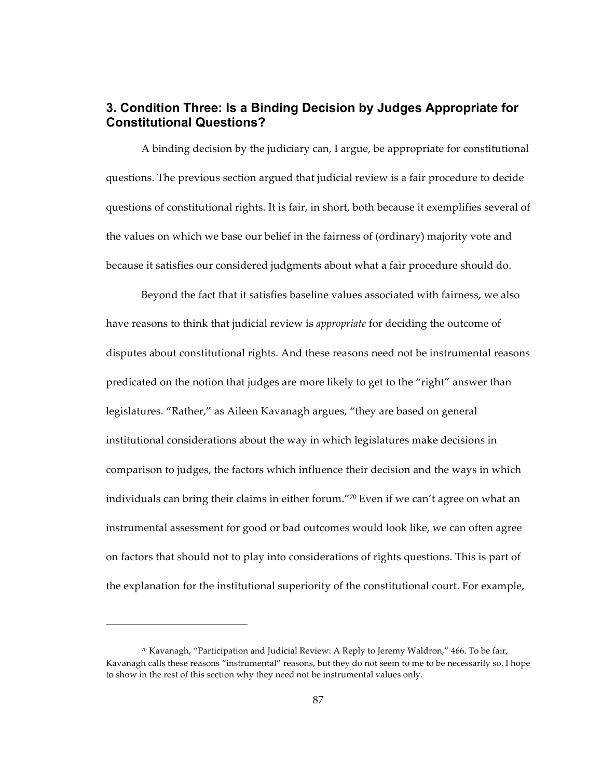## **3. Condition Three: Is a Binding Decision by Judges Appropriate for Constitutional Questions?**

A binding decision by the judiciary can, I argue, be appropriate for constitutional questions. The previous section argued that judicial review is a fair procedure to decide questions of constitutional rights. It is fair, in short, both because it exemplifies several of the values on which we base our belief in the fairness of (ordinary) majority vote and because it satisfies our considered judgments about what a fair procedure should do.

Beyond the fact that it satisfies baseline values associated with fairness, we also have reasons to think that judicial review is *appropriate* for deciding the outcome of disputes about constitutional rights. And these reasons need not be instrumental reasons predicated on the notion that judges are more likely to get to the "right" answer than legislatures. "Rather," as Aileen Kavanagh argues, "they are based on general institutional considerations about the way in which legislatures make decisions in comparison to judges, the factors which influence their decision and the ways in which individuals can bring their claims in either forum."70 Even if we can't agree on what an instrumental assessment for good or bad outcomes would look like, we can often agree on factors that should not to play into considerations of rights questions. This is part of the explanation for the institutional superiority of the constitutional court. For example,

 $70$  Kavanagh, "Participation and Judicial Review: A Reply to Jeremy Waldron," 466. To be fair, Kavanagh calls these reasons "instrumental" reasons, but they do not seem to me to be necessarily so. I hope to show in the rest of this section why they need not be instrumental values only.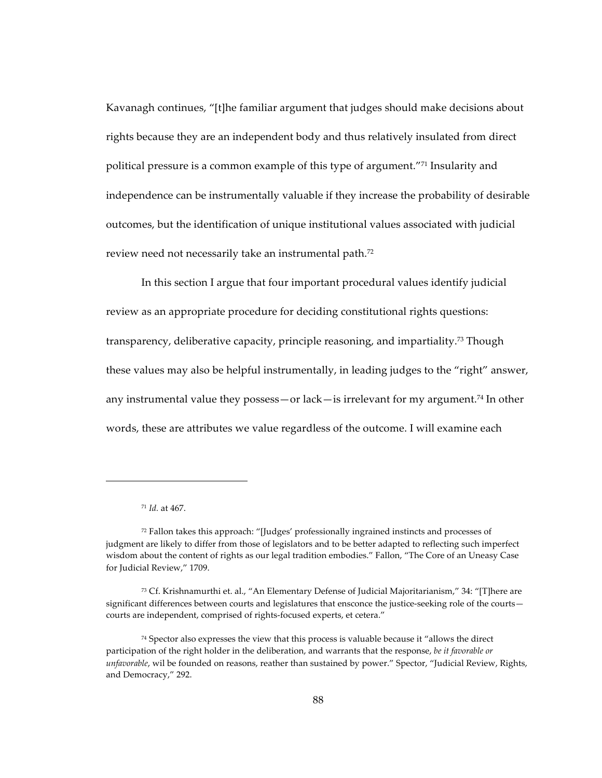Kavanagh continues, "[t]he familiar argument that judges should make decisions about rights because they are an independent body and thus relatively insulated from direct political pressure is a common example of this type of argument."71 Insularity and independence can be instrumentally valuable if they increase the probability of desirable outcomes, but the identification of unique institutional values associated with judicial review need not necessarily take an instrumental path.<sup>72</sup>

In this section I argue that four important procedural values identify judicial review as an appropriate procedure for deciding constitutional rights questions: transparency, deliberative capacity, principle reasoning, and impartiality.<sup>73</sup> Though these values may also be helpful instrumentally, in leading judges to the "right" answer, any instrumental value they possess—or lack—is irrelevant for my argument.<sup>74</sup> In other words, these are attributes we value regardless of the outcome. I will examine each

<sup>&</sup>lt;sup>71</sup> *Id.* at 467.

 $72$  Fallon takes this approach: "[Judges' professionally ingrained instincts and processes of judgment are likely to differ from those of legislators and to be better adapted to reflecting such imperfect wisdom about the content of rights as our legal tradition embodies." Fallon, "The Core of an Uneasy Case for Judicial Review," 1709.

<sup>73</sup> Cf. Krishnamurthi et. al., "An Elementary Defense of Judicial Majoritarianism," 34: "[T]here are significant differences between courts and legislatures that ensconce the justice-seeking role of the courts courts are independent, comprised of rights-focused experts, et cetera."

 $74$  Spector also expresses the view that this process is valuable because it "allows the direct" participation of the right holder in the deliberation, and warrants that the response, *be it favorable or unfavorable*, wil be founded on reasons, reather than sustained by power." Spector, "Judicial Review, Rights, and Democracy," 292.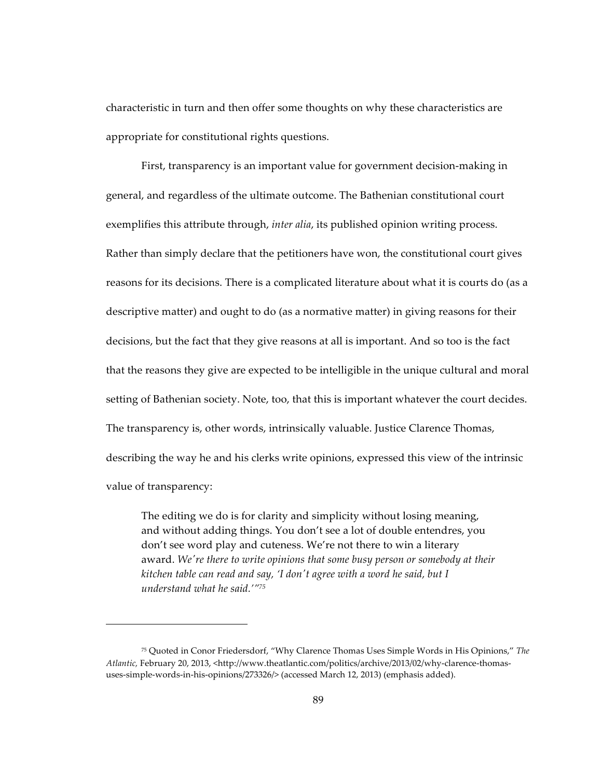characteristic in turn and then offer some thoughts on why these characteristics are appropriate for constitutional rights questions.

First, transparency is an important value for government decision-making in general, and regardless of the ultimate outcome. The Bathenian constitutional court exemplifies this attribute through, *inter alia*, its published opinion writing process. Rather than simply declare that the petitioners have won, the constitutional court gives reasons for its decisions. There is a complicated literature about what it is courts do (as a descriptive matter) and ought to do (as a normative matter) in giving reasons for their decisions, but the fact that they give reasons at all is important. And so too is the fact that the reasons they give are expected to be intelligible in the unique cultural and moral setting of Bathenian society. Note, too, that this is important whatever the court decides. The transparency is, other words, intrinsically valuable. Justice Clarence Thomas, describing the way he and his clerks write opinions, expressed this view of the intrinsic value of transparency:

The editing we do is for clarity and simplicity without losing meaning, and without adding things. You don't see a lot of double entendres, you don't see word play and cuteness. We're not there to win a literary award. We're there to write opinions that some busy person or somebody at their *kitchen table can read and say, 'I don't agree with a word he said, but I understand what he said.'"75* 

<sup>&</sup>lt;sup>75</sup> Quoted in Conor Friedersdorf, "Why Clarence Thomas Uses Simple Words in His Opinions," The Atlantic, February 20, 2013, <http://www.theatlantic.com/politics/archive/2013/02/why-clarence-thomasuses-simple-words-in-his-opinions/273326/> (accessed March 12, 2013) (emphasis added).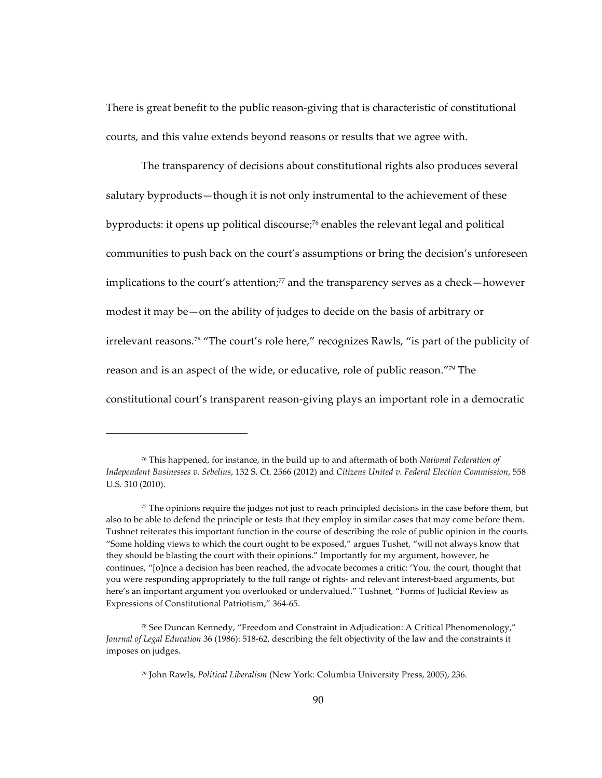There is great benefit to the public reason-giving that is characteristic of constitutional courts, and this value extends beyond reasons or results that we agree with.

The transparency of decisions about constitutional rights also produces several salutary byproducts—though it is not only instrumental to the achievement of these byproducts: it opens up political discourse;<sup>76</sup> enables the relevant legal and political communities to push back on the court's assumptions or bring the decision's unforeseen implications to the court's attention; $77$  and the transparency serves as a check—however modest it may be—on the ability of judges to decide on the basis of arbitrary or irrelevant reasons.<sup>78</sup> "The court's role here," recognizes Rawls, "is part of the publicity of reason and is an aspect of the wide, or educative, role of public reason."<sup>79</sup> The constitutional court's transparent reason-giving plays an important role in a democratic

<sup>&</sup>lt;sup>76</sup> This happened, for instance, in the build up to and aftermath of both *National Federation of Independent Businesses v. Sebelius, 132 S. Ct. 2566 (2012) and Citizens United v. Federal Election Commission, 558* U.S. 310 (2010).

 $77$  The opinions require the judges not just to reach principled decisions in the case before them, but also to be able to defend the principle or tests that they employ in similar cases that may come before them. Tushnet reiterates this important function in the course of describing the role of public opinion in the courts. "Some holding views to which the court ought to be exposed," argues Tushet, "will not always know that they should be blasting the court with their opinions." Importantly for my argument, however, he continues, "[o]nce a decision has been reached, the advocate becomes a critic: 'You, the court, thought that you were responding appropriately to the full range of rights- and relevant interest-baed arguments, but here's an important argument you overlooked or undervalued." Tushnet, "Forms of Judicial Review as Expressions of Constitutional Patriotism," 364-65.

<sup>&</sup>lt;sup>78</sup> See Duncan Kennedy, "Freedom and Constraint in Adjudication: A Critical Phenomenology," *Journal of Legal Education* 36 (1986): 518-62, describing the felt objectivity of the law and the constraints it imposes on judges.

<sup>&</sup>lt;sup>79</sup> John Rawls, *Political Liberalism* (New York: Columbia University Press, 2005), 236.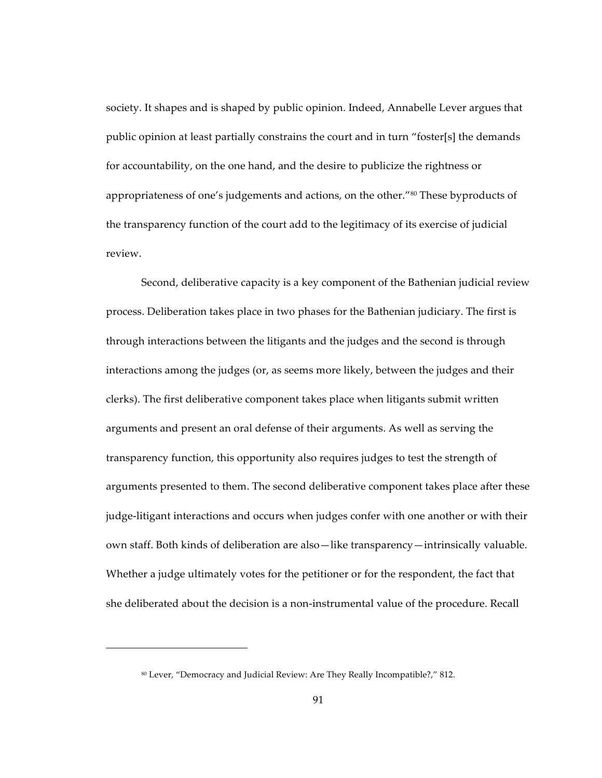society. It shapes and is shaped by public opinion. Indeed, Annabelle Lever argues that public opinion at least partially constrains the court and in turn "foster[s] the demands for accountability, on the one hand, and the desire to publicize the rightness or appropriateness of one's judgements and actions, on the other."80 These byproducts of the transparency function of the court add to the legitimacy of its exercise of judicial review.

Second, deliberative capacity is a key component of the Bathenian judicial review process. Deliberation takes place in two phases for the Bathenian judiciary. The first is through interactions between the litigants and the judges and the second is through interactions among the judges (or, as seems more likely, between the judges and their clerks). The first deliberative component takes place when litigants submit written arguments and present an oral defense of their arguments. As well as serving the transparency function, this opportunity also requires judges to test the strength of arguments presented to them. The second deliberative component takes place after these judge-litigant interactions and occurs when judges confer with one another or with their own staff. Both kinds of deliberation are also—like transparency—intrinsically valuable. Whether a judge ultimately votes for the petitioner or for the respondent, the fact that she deliberated about the decision is a non-instrumental value of the procedure. Recall

<sup>&</sup>lt;sup>80</sup> Lever, "Democracy and Judicial Review: Are They Really Incompatible?," 812.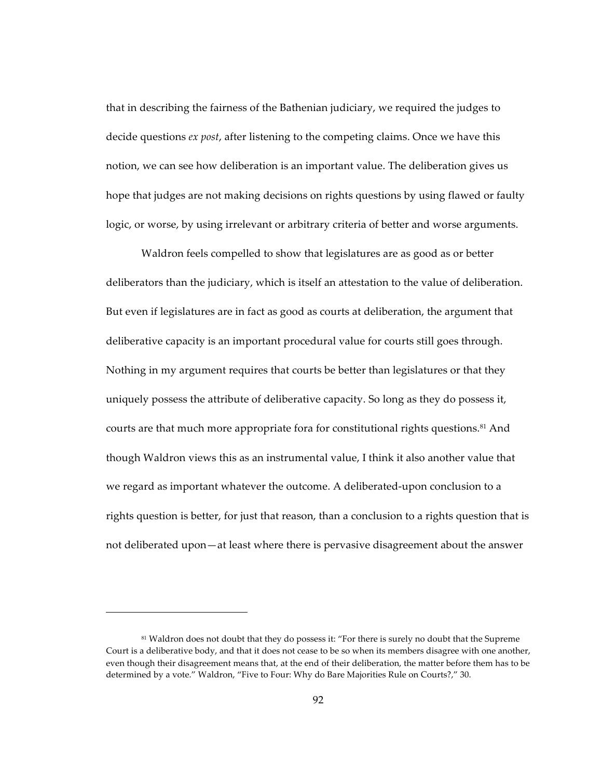that in describing the fairness of the Bathenian judiciary, we required the judges to decide questions *ex post*, after listening to the competing claims. Once we have this notion, we can see how deliberation is an important value. The deliberation gives us hope that judges are not making decisions on rights questions by using flawed or faulty logic, or worse, by using irrelevant or arbitrary criteria of better and worse arguments.

Waldron feels compelled to show that legislatures are as good as or better deliberators than the judiciary, which is itself an attestation to the value of deliberation. But even if legislatures are in fact as good as courts at deliberation, the argument that deliberative capacity is an important procedural value for courts still goes through. Nothing in my argument requires that courts be better than legislatures or that they uniquely possess the attribute of deliberative capacity. So long as they do possess it, courts are that much more appropriate fora for constitutional rights questions.<sup>81</sup> And though Waldron views this as an instrumental value, I think it also another value that we regard as important whatever the outcome. A deliberated-upon conclusion to a rights question is better, for just that reason, than a conclusion to a rights question that is not deliberated upon—at least where there is pervasive disagreement about the answer

<sup>81</sup> Waldron does not doubt that they do possess it: "For there is surely no doubt that the Supreme Court is a deliberative body, and that it does not cease to be so when its members disagree with one another, even though their disagreement means that, at the end of their deliberation, the matter before them has to be determined by a vote." Waldron, "Five to Four: Why do Bare Majorities Rule on Courts?," 30.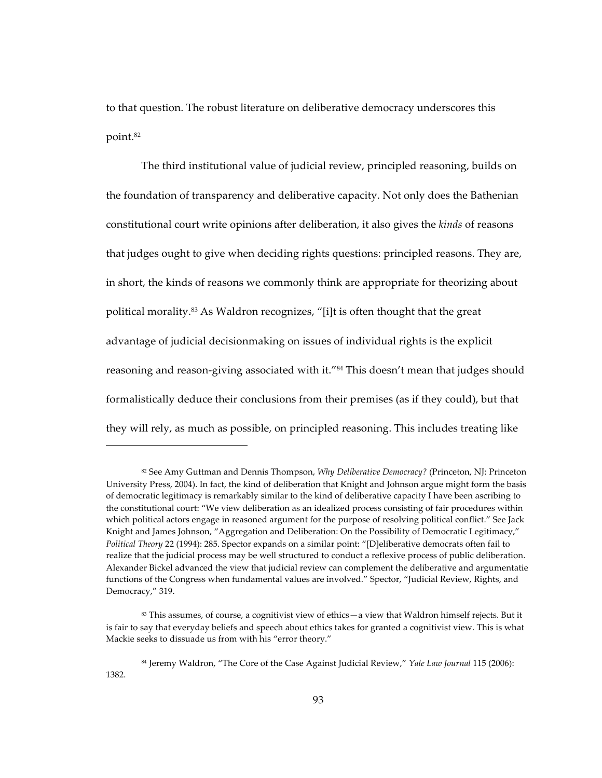to that question. The robust literature on deliberative democracy underscores this point.82

The third institutional value of judicial review, principled reasoning, builds on the foundation of transparency and deliberative capacity. Not only does the Bathenian constitutional court write opinions after deliberation, it also gives the *kinds* of reasons that judges ought to give when deciding rights questions: principled reasons. They are, in short, the kinds of reasons we commonly think are appropriate for theorizing about political morality.<sup>83</sup> As Waldron recognizes, "[i]t is often thought that the great advantage of judicial decisionmaking on issues of individual rights is the explicit reasoning and reason-giving associated with it."<sup>84</sup> This doesn't mean that judges should formalistically deduce their conclusions from their premises (as if they could), but that they will rely, as much as possible, on principled reasoning. This includes treating like

<sup>82</sup> See Amy Guttman and Dennis Thompson, *Why Deliberative Democracy?* (Princeton, NJ: Princeton University Press, 2004). In fact, the kind of deliberation that Knight and Johnson argue might form the basis of democratic legitimacy is remarkably similar to the kind of deliberative capacity I have been ascribing to the constitutional court: "We view deliberation as an idealized process consisting of fair procedures within which political actors engage in reasoned argument for the purpose of resolving political conflict." See Jack Knight and James Johnson, "Aggregation and Deliberation: On the Possibility of Democratic Legitimacy," *Political Theory 22 (1994): 285. Spector expands on a similar point: "[D]eliberative democrats often fail to* realize that the judicial process may be well structured to conduct a reflexive process of public deliberation. Alexander Bickel advanced the view that judicial review can complement the deliberative and argumentatie functions of the Congress when fundamental values are involved." Spector, "Judicial Review, Rights, and Democracy," 319.

<sup>83</sup> This assumes, of course, a cognitivist view of ethics—a view that Waldron himself rejects. But it is fair to say that everyday beliefs and speech about ethics takes for granted a cognitivist view. This is what Mackie seeks to dissuade us from with his "error theory."

<sup>84</sup> Jeremy Waldron, "The Core of the Case Against Judicial Review," *Yale Law Journal* 115 (2006): 1382.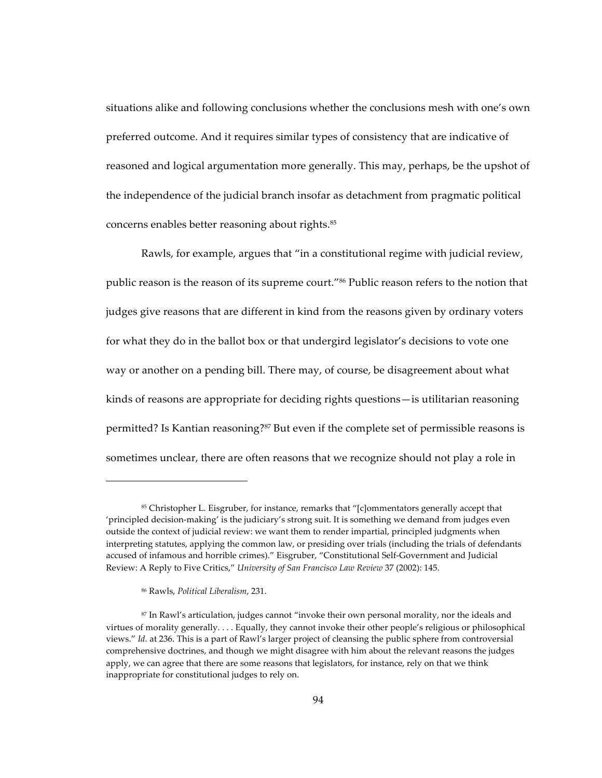situations alike and following conclusions whether the conclusions mesh with one's own preferred outcome. And it requires similar types of consistency that are indicative of reasoned and logical argumentation more generally. This may, perhaps, be the upshot of the independence of the judicial branch insofar as detachment from pragmatic political concerns enables better reasoning about rights.<sup>85</sup>

Rawls, for example, argues that "in a constitutional regime with judicial review, public reason is the reason of its supreme court."<sup>86</sup> Public reason refers to the notion that judges give reasons that are different in kind from the reasons given by ordinary voters for what they do in the ballot box or that undergird legislator's decisions to vote one way or another on a pending bill. There may, of course, be disagreement about what kinds of reasons are appropriate for deciding rights questions- is utilitarian reasoning permitted? Is Kantian reasoning?<sup>87</sup> But even if the complete set of permissible reasons is sometimes unclear, there are often reasons that we recognize should not play a role in

<sup>&</sup>lt;sup>85</sup> Christopher L. Eisgruber, for instance, remarks that "[c]ommentators generally accept that 'principled decision-making' is the judiciary's strong suit. It is something we demand from judges even outside the context of judicial review: we want them to render impartial, principled judgments when interpreting statutes, applying the common law, or presiding over trials (including the trials of defendants accused of infamous and horrible crimes)." Eisgruber, "Constitutional Self-Government and Judicial Review: A Reply to Five Critics," University of San Francisco Law Review 37 (2002): 145.

<sup>&</sup>lt;sup>86</sup> Rawls, Political Liberalism, 231.

<sup>&</sup>lt;sup>87</sup> In Rawl's articulation, judges cannot "invoke their own personal morality, nor the ideals and virtues of morality generally.... Equally, they cannot invoke their other people's religious or philosophical views." Id. at 236. This is a part of Rawl's larger project of cleansing the public sphere from controversial comprehensive doctrines, and though we might disagree with him about the relevant reasons the judges apply, we can agree that there are some reasons that legislators, for instance, rely on that we think inappropriate for constitutional judges to rely on.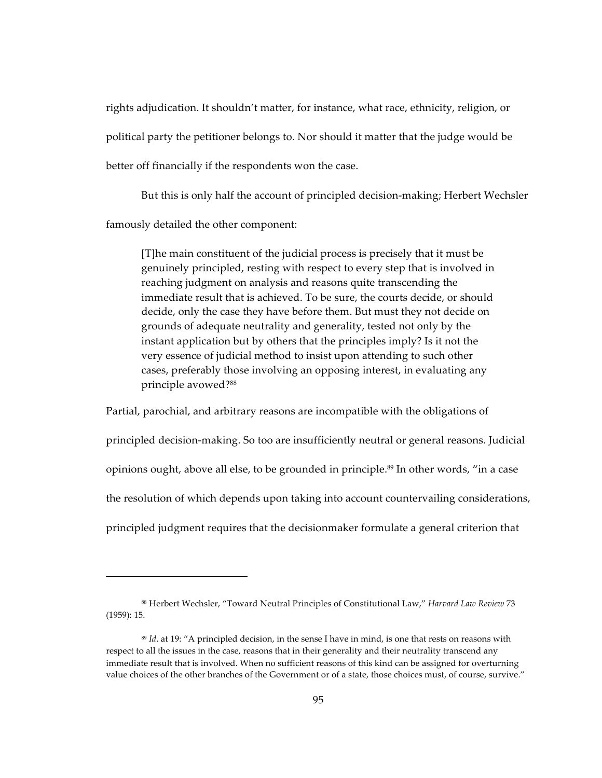rights adjudication. It shouldn't matter, for instance, what race, ethnicity, religion, or political party the petitioner belongs to. Nor should it matter that the judge would be better off financially if the respondents won the case.

But this is only half the account of principled decision-making; Herbert Wechsler famously detailed the other component:

[T]he main constituent of the judicial process is precisely that it must be genuinely principled, resting with respect to every step that is involved in reaching judgment on analysis and reasons quite transcending the immediate result that is achieved. To be sure, the courts decide, or should decide, only the case they have before them. But must they not decide on grounds of adequate neutrality and generality, tested not only by the instant application but by others that the principles imply? Is it not the very essence of judicial method to insist upon attending to such other cases, preferably those involving an opposing interest, in evaluating any principle avowed?88

Partial, parochial, and arbitrary reasons are incompatible with the obligations of principled decision-making. So too are insufficiently neutral or general reasons. Judicial opinions ought, above all else, to be grounded in principle.<sup>89</sup> In other words, "in a case the resolution of which depends upon taking into account countervailing considerations, principled judgment requires that the decisionmaker formulate a general criterion that

<sup>88</sup> Herbert Wechsler, "Toward Neutral Principles of Constitutional Law," Harvard Law Review 73  $(1959): 15.$ 

<sup>&</sup>lt;sup>89</sup> Id. at 19: "A principled decision, in the sense I have in mind, is one that rests on reasons with respect to all the issues in the case, reasons that in their generality and their neutrality transcend any immediate result that is involved. When no sufficient reasons of this kind can be assigned for overturning value choices of the other branches of the Government or of a state, those choices must, of course, survive."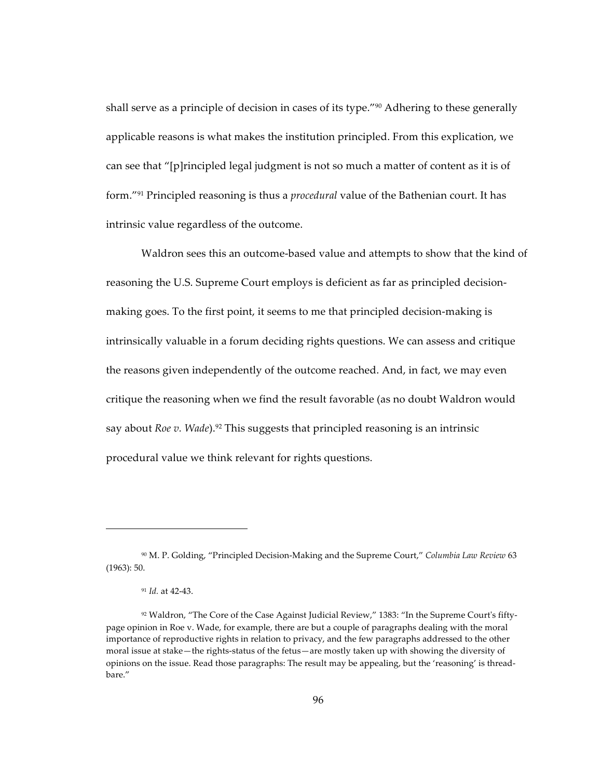shall serve as a principle of decision in cases of its type."<sup>90</sup> Adhering to these generally applicable reasons is what makes the institution principled. From this explication, we can see that "[p] rincipled legal judgment is not so much a matter of content as it is of form."<sup>91</sup> Principled reasoning is thus a *procedural* value of the Bathenian court. It has intrinsic value regardless of the outcome.

Waldron sees this an outcome-based value and attempts to show that the kind of reasoning the U.S. Supreme Court employs is deficient as far as principled decisionmaking goes. To the first point, it seems to me that principled decision-making is intrinsically valuable in a forum deciding rights questions. We can assess and critique the reasons given independently of the outcome reached. And, in fact, we may even critique the reasoning when we find the result favorable (as no doubt Waldron would say about Roe  $v$ . Wade).<sup>92</sup> This suggests that principled reasoning is an intrinsic procedural value we think relevant for rights questions.

<sup>&</sup>lt;sup>90</sup> M. P. Golding, "Principled Decision-Making and the Supreme Court," Columbia Law Review 63  $(1963): 50.$ 

 $91$  Id. at 42-43.

<sup>&</sup>lt;sup>92</sup> Waldron, "The Core of the Case Against Judicial Review," 1383: "In the Supreme Court's fiftypage opinion in Roe v. Wade, for example, there are but a couple of paragraphs dealing with the moral importance of reproductive rights in relation to privacy, and the few paragraphs addressed to the other moral issue at stake—the rights-status of the fetus—are mostly taken up with showing the diversity of opinions on the issue. Read those paragraphs: The result may be appealing, but the 'reasoning' is threadbare."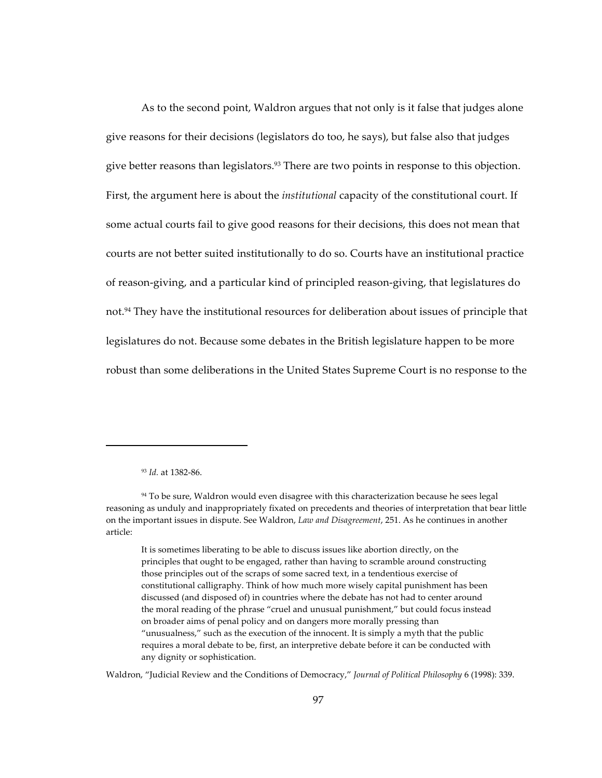As to the second point, Waldron argues that not only is it false that judges alone give reasons for their decisions (legislators do too, he says), but false also that judges give better reasons than legislators.<sup>93</sup> There are two points in response to this objection. First, the argument here is about the *institutional* capacity of the constitutional court. If some actual courts fail to give good reasons for their decisions, this does not mean that courts are not better suited institutionally to do so. Courts have an institutional practice of reason-giving, and a particular kind of principled reason-giving, that legislatures do not.<sup>94</sup> They have the institutional resources for deliberation about issues of principle that legislatures do not. Because some debates in the British legislature happen to be more robust than some deliberations in the United States Supreme Court is no response to the

Waldron, "Judicial Review and the Conditions of Democracy," Journal of Political Philosophy 6 (1998): 339.

<sup>93</sup> Id. at 1382-86.

<sup>&</sup>lt;sup>94</sup> To be sure, Waldron would even disagree with this characterization because he sees legal reasoning as unduly and inappropriately fixated on precedents and theories of interpretation that bear little on the important issues in dispute. See Waldron, Law and Disagreement, 251. As he continues in another article:

It is sometimes liberating to be able to discuss issues like abortion directly, on the principles that ought to be engaged, rather than having to scramble around constructing those principles out of the scraps of some sacred text, in a tendentious exercise of constitutional calligraphy. Think of how much more wisely capital punishment has been discussed (and disposed of) in countries where the debate has not had to center around the moral reading of the phrase "cruel and unusual punishment," but could focus instead on broader aims of penal policy and on dangers more morally pressing than "unusualness," such as the execution of the innocent. It is simply a myth that the public requires a moral debate to be, first, an interpretive debate before it can be conducted with any dignity or sophistication.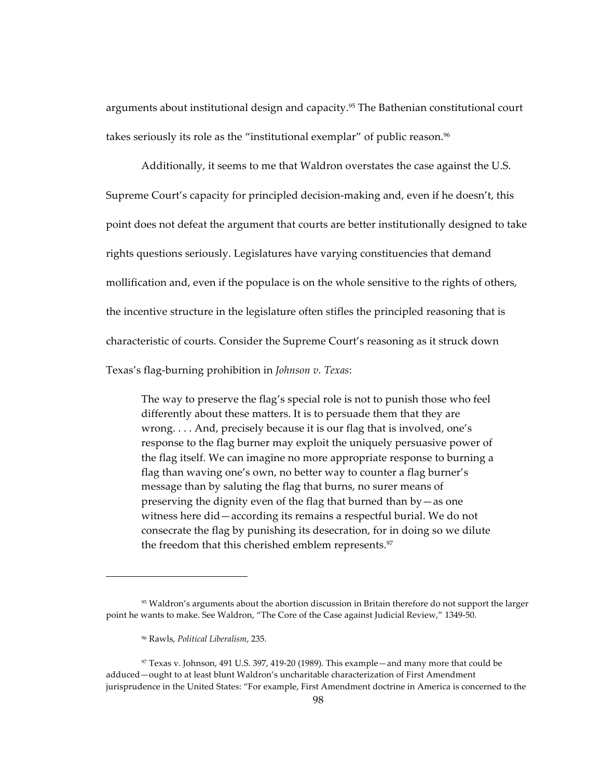arguments about institutional design and capacity.<sup>95</sup> The Bathenian constitutional court takes seriously its role as the "institutional exemplar" of public reason.<sup>96</sup>

Additionally, it seems to me that Waldron overstates the case against the U.S. Supreme Court's capacity for principled decision-making and, even if he doesn't, this point does not defeat the argument that courts are better institutionally designed to take rights questions seriously. Legislatures have varying constituencies that demand mollification and, even if the populace is on the whole sensitive to the rights of others, the incentive structure in the legislature often stifles the principled reasoning that is characteristic of courts. Consider the Supreme Court's reasoning as it struck down Texas's flag-burning prohibition in Johnson v. Texas:

The way to preserve the flag's special role is not to punish those who feel differently about these matters. It is to persuade them that they are wrong.... And, precisely because it is our flag that is involved, one's response to the flag burner may exploit the uniquely persuasive power of the flag itself. We can imagine no more appropriate response to burning a flag than waving one's own, no better way to counter a flag burner's message than by saluting the flag that burns, no surer means of preserving the dignity even of the flag that burned than  $by - as$  one witness here did - according its remains a respectful burial. We do not consecrate the flag by punishing its desecration, for in doing so we dilute the freedom that this cherished emblem represents.<sup>97</sup>

<sup>&</sup>lt;sup>95</sup> Waldron's arguments about the abortion discussion in Britain therefore do not support the larger point he wants to make. See Waldron, "The Core of the Case against Judicial Review," 1349-50.

<sup>&</sup>lt;sup>96</sup> Rawls, Political Liberalism, 235.

<sup>97</sup> Texas v. Johnson, 491 U.S. 397, 419-20 (1989). This example—and many more that could be adduced-ought to at least blunt Waldron's uncharitable characterization of First Amendment jurisprudence in the United States: "For example, First Amendment doctrine in America is concerned to the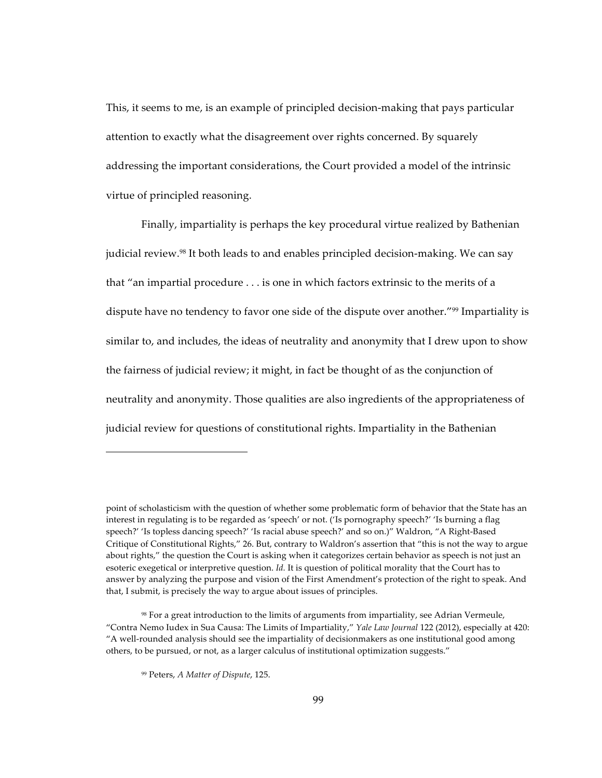This, it seems to me, is an example of principled decision-making that pays particular attention to exactly what the disagreement over rights concerned. By squarely addressing the important considerations, the Court provided a model of the intrinsic virtue of principled reasoning.

Finally, impartiality is perhaps the key procedural virtue realized by Bathenian judicial review.<sup>98</sup> It both leads to and enables principled decision-making. We can say that "an impartial procedure . . . is one in which factors extrinsic to the merits of a dispute have no tendency to favor one side of the dispute over another."<sup>99</sup> Impartiality is similar to, and includes, the ideas of neutrality and anonymity that I drew upon to show the fairness of judicial review; it might, in fact be thought of as the conjunction of neutrality and anonymity. Those qualities are also ingredients of the appropriateness of judicial review for questions of constitutional rights. Impartiality in the Bathenian

point of scholasticism with the question of whether some problematic form of behavior that the State has an interest in regulating is to be regarded as 'speech' or not. ('Is pornography speech?' 'Is burning a flag speech?' 'Is topless dancing speech?' 'Is racial abuse speech?' and so on.)" Waldron, "A Right-Based Critique of Constitutional Rights," 26. But, contrary to Waldron's assertion that "this is not the way to argue about rights," the question the Court is asking when it categorizes certain behavior as speech is not just an esoteric exegetical or interpretive question. *Id.* It is question of political morality that the Court has to answer by analyzing the purpose and vision of the First Amendment's protection of the right to speak. And that, I submit, is precisely the way to argue about issues of principles.

<sup>&</sup>lt;sup>98</sup> For a great introduction to the limits of arguments from impartiality, see Adrian Vermeule, "Contra Nemo Iudex in Sua Causa: The Limits of Impartiality," Yale Law Journal 122 (2012), especially at 420: "A well-rounded analysis should see the impartiality of decisionmakers as one institutional good among others, to be pursued, or not, as a larger calculus of institutional optimization suggests."

<sup>&</sup>lt;sup>99</sup> Peters, A Matter of Dispute, 125.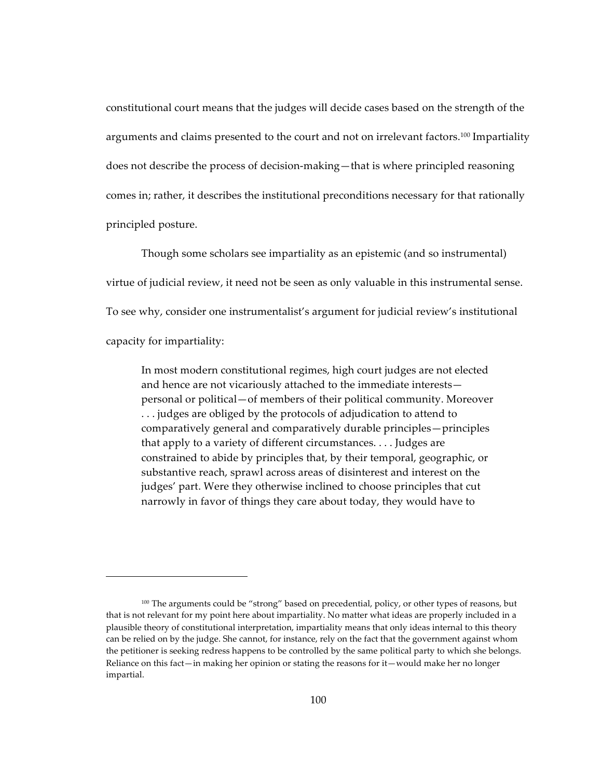constitutional court means that the judges will decide cases based on the strength of the arguments and claims presented to the court and not on irrelevant factors.<sup>100</sup> Impartiality does not describe the process of decision-making—that is where principled reasoning comes in; rather, it describes the institutional preconditions necessary for that rationally principled posture.

Though some scholars see impartiality as an epistemic (and so instrumental) virtue of judicial review, it need not be seen as only valuable in this instrumental sense. To see why, consider one instrumentalist's argument for judicial review's institutional capacity for impartiality:

In most modern constitutional regimes, high court judges are not elected and hence are not vicariously attached to the immediate interests personal or political—of members of their political community. Moreover ... judges are obliged by the protocols of adjudication to attend to comparatively general and comparatively durable principles—principles that apply to a variety of different circumstances.... Judges are constrained to abide by principles that, by their temporal, geographic, or substantive reach, sprawl across areas of disinterest and interest on the judges' part. Were they otherwise inclined to choose principles that cut narrowly in favor of things they care about today, they would have to

<sup>&</sup>lt;sup>100</sup> The arguments could be "strong" based on precedential, policy, or other types of reasons, but that is not relevant for my point here about impartiality. No matter what ideas are properly included in a plausible theory of constitutional interpretation, impartiality means that only ideas internal to this theory can be relied on by the judge. She cannot, for instance, rely on the fact that the government against whom the petitioner is seeking redress happens to be controlled by the same political party to which she belongs. Reliance on this fact—in making her opinion or stating the reasons for it—would make her no longer impartial.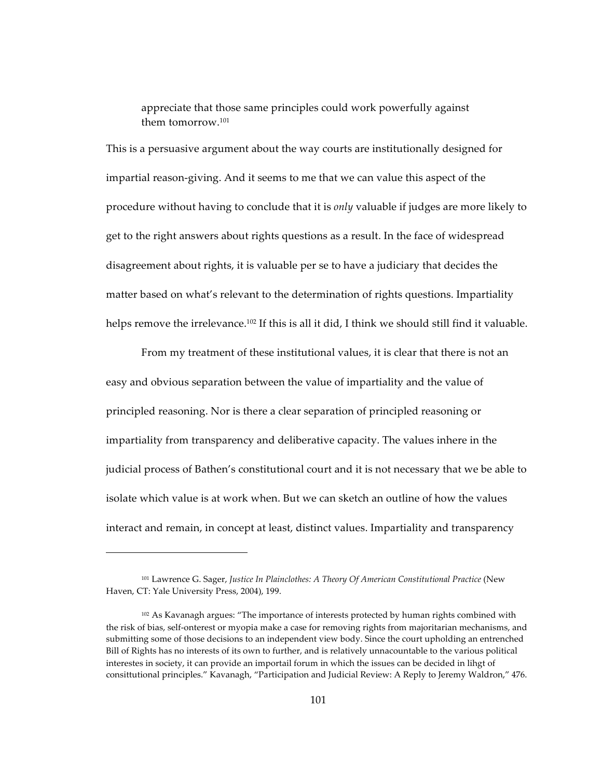appreciate that those same principles could work powerfully against them tomorrow.<sup>101</sup>

This is a persuasive argument about the way courts are institutionally designed for impartial reason-giving. And it seems to me that we can value this aspect of the procedure without having to conclude that it is *only* valuable if judges are more likely to get to the right answers about rights questions as a result. In the face of widespread disagreement about rights, it is valuable per se to have a judiciary that decides the matter based on what's relevant to the determination of rights questions. Impartiality helps remove the irrelevance.<sup>102</sup> If this is all it did, I think we should still find it valuable.

From my treatment of these institutional values, it is clear that there is not an easy and obvious separation between the value of impartiality and the value of principled reasoning. Nor is there a clear separation of principled reasoning or impartiality from transparency and deliberative capacity. The values inhere in the judicial process of Bathen's constitutional court and it is not necessary that we be able to isolate which value is at work when. But we can sketch an outline of how the values interact and remain, in concept at least, distinct values. Impartiality and transparency

<sup>&</sup>lt;sup>101</sup> Lawrence G. Sager, *Justice In Plainclothes: A Theory Of American Constitutional Practice* (New Haven, CT: Yale University Press, 2004), 199.

<sup>102</sup> As Kavanagh argues: "The importance of interests protected by human rights combined with the risk of bias, self-onterest or myopia make a case for removing rights from majoritarian mechanisms, and submitting some of those decisions to an independent view body. Since the court upholding an entrenched Bill of Rights has no interests of its own to further, and is relatively unnacountable to the various political interestes in society, it can provide an importail forum in which the issues can be decided in lihgt of consittutional principles." Kavanagh, "Participation and Judicial Review: A Reply to Jeremy Waldron," 476.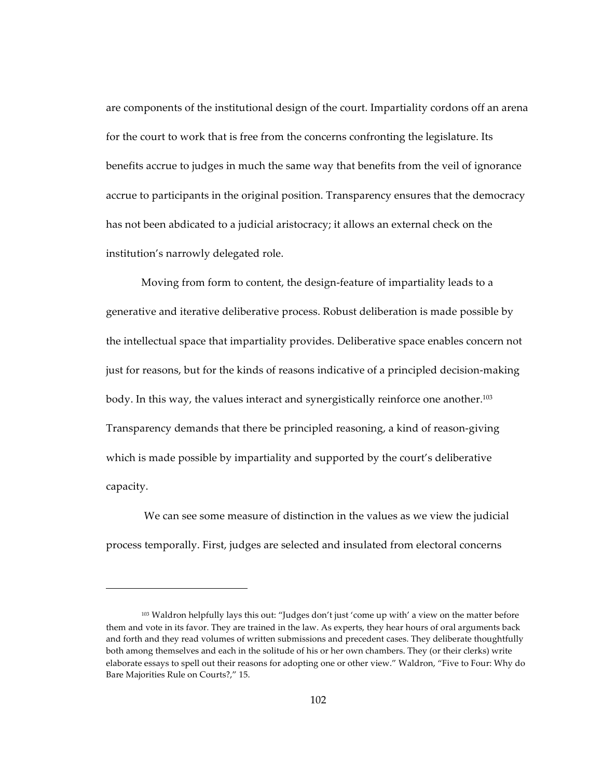are components of the institutional design of the court. Impartiality cordons off an arena for the court to work that is free from the concerns confronting the legislature. Its benefits accrue to judges in much the same way that benefits from the veil of ignorance accrue to participants in the original position. Transparency ensures that the democracy has not been abdicated to a judicial aristocracy; it allows an external check on the institution's narrowly delegated role.

Moving from form to content, the design-feature of impartiality leads to a generative and iterative deliberative process. Robust deliberation is made possible by the intellectual space that impartiality provides. Deliberative space enables concern not just for reasons, but for the kinds of reasons indicative of a principled decision-making body. In this way, the values interact and synergistically reinforce one another.<sup>103</sup> Transparency demands that there be principled reasoning, a kind of reason-giving which is made possible by impartiality and supported by the court's deliberative capacity.

We can see some measure of distinction in the values as we view the judicial process temporally. First, judges are selected and insulated from electoral concerns

<sup>103</sup> Waldron helpfully lays this out: "Judges don't just 'come up with' a view on the matter before them and vote in its favor. They are trained in the law. As experts, they hear hours of oral arguments back and forth and they read volumes of written submissions and precedent cases. They deliberate thoughtfully both among themselves and each in the solitude of his or her own chambers. They (or their clerks) write elaborate essays to spell out their reasons for adopting one or other view." Waldron, "Five to Four: Why do Bare Majorities Rule on Courts?," 15.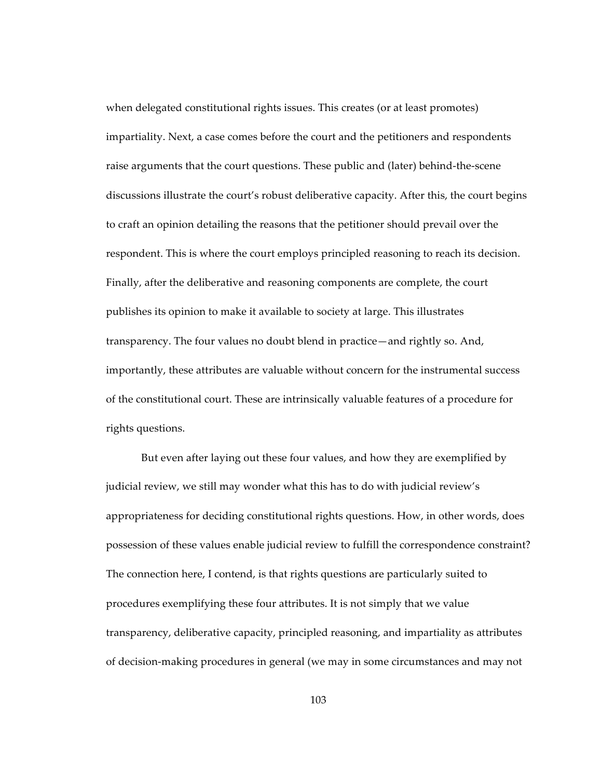when delegated constitutional rights issues. This creates (or at least promotes) impartiality. Next, a case comes before the court and the petitioners and respondents raise arguments that the court questions. These public and (later) behind-the-scene discussions illustrate the court's robust deliberative capacity. After this, the court begins to craft an opinion detailing the reasons that the petitioner should prevail over the respondent. This is where the court employs principled reasoning to reach its decision. Finally, after the deliberative and reasoning components are complete, the court publishes its opinion to make it available to society at large. This illustrates transparency. The four values no doubt blend in practice—and rightly so. And, importantly, these attributes are valuable without concern for the instrumental success of the constitutional court. These are intrinsically valuable features of a procedure for rights questions.

But even after laying out these four values, and how they are exemplified by judicial review, we still may wonder what this has to do with judicial review's appropriateness for deciding constitutional rights questions. How, in other words, does possession of these values enable judicial review to fulfill the correspondence constraint? The connection here, I contend, is that rights questions are particularly suited to procedures exemplifying these four attributes. It is not simply that we value transparency, deliberative capacity, principled reasoning, and impartiality as attributes of decision-making procedures in general (we may in some circumstances and may not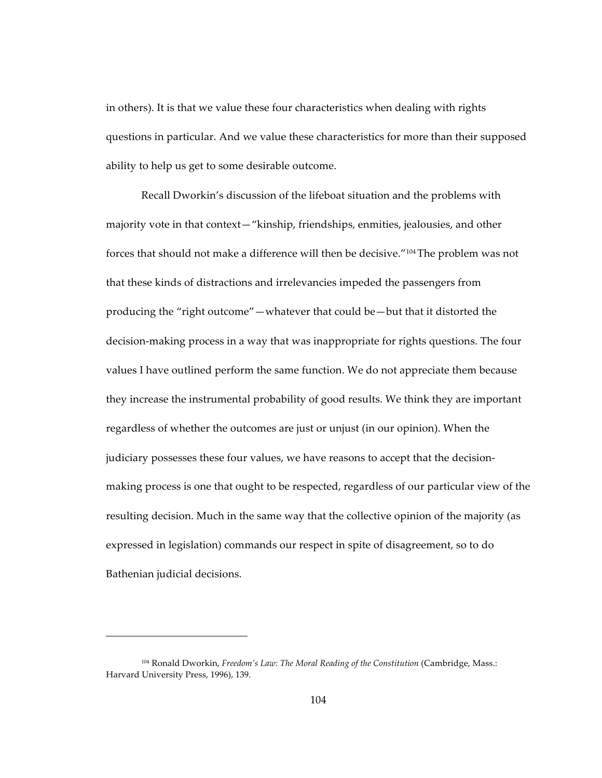in others). It is that we value these four characteristics when dealing with rights questions in particular. And we value these characteristics for more than their supposed ability to help us get to some desirable outcome.

Recall Dworkin's discussion of the lifeboat situation and the problems with majority vote in that context—"kinship, friendships, enmities, jealousies, and other forces that should not make a difference will then be decisive."<sup>104</sup>The problem was not that these kinds of distractions and irrelevancies impeded the passengers from producing the "right outcome"—whatever that could be—but that it distorted the decision-making process in a way that was inappropriate for rights questions. The four values I have outlined perform the same function. We do not appreciate them because they increase the instrumental probability of good results. We think they are important regardless of whether the outcomes are just or unjust (in our opinion). When the judiciary possesses these four values, we have reasons to accept that the decisionmaking process is one that ought to be respected, regardless of our particular view of the resulting decision. Much in the same way that the collective opinion of the majority (as expressed in legislation) commands our respect in spite of disagreement, so to do Bathenian judicial decisions.

<sup>104</sup> Ronald Dworkin, *Freedom's Law: The Moral Reading of the Constitution* (Cambridge, Mass.: Harvard University Press, 1996), 139.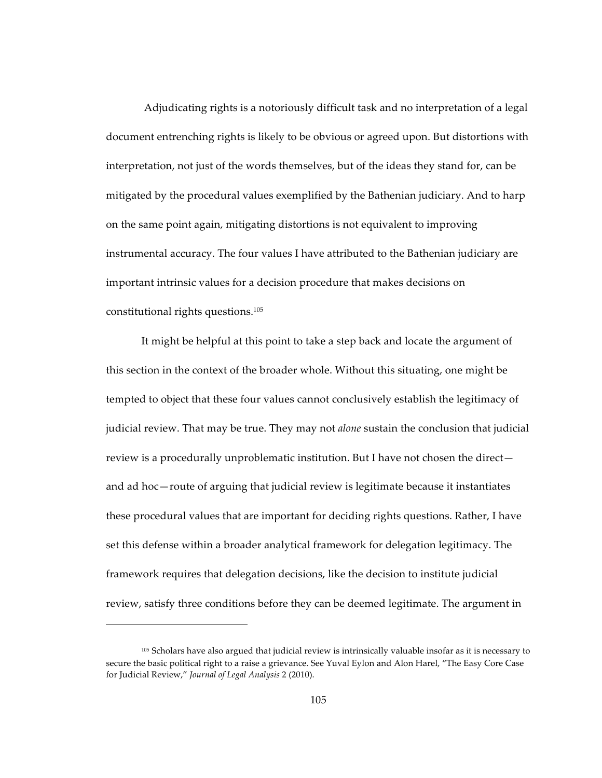Adjudicating rights is a notoriously difficult task and no interpretation of a legal document entrenching rights is likely to be obvious or agreed upon. But distortions with interpretation, not just of the words themselves, but of the ideas they stand for, can be mitigated by the procedural values exemplified by the Bathenian judiciary. And to harp on the same point again, mitigating distortions is not equivalent to improving instrumental accuracy. The four values I have attributed to the Bathenian judiciary are important intrinsic values for a decision procedure that makes decisions on constitutional rights questions.<sup>105</sup>

It might be helpful at this point to take a step back and locate the argument of this section in the context of the broader whole. Without this situating, one might be tempted to object that these four values cannot conclusively establish the legitimacy of judicial review. That may be true. They may not *alone* sustain the conclusion that judicial review is a procedurally unproblematic institution. But I have not chosen the direct and ad hoc—route of arguing that judicial review is legitimate because it instantiates these procedural values that are important for deciding rights questions. Rather, I have set this defense within a broader analytical framework for delegation legitimacy. The framework requires that delegation decisions, like the decision to institute judicial review, satisfy three conditions before they can be deemed legitimate. The argument in

<sup>105</sup> Scholars have also argued that judicial review is intrinsically valuable insofar as it is necessary to secure the basic political right to a raise a grievance. See Yuval Eylon and Alon Harel, "The Easy Core Case for Judicial Review," *Journal of Legal Analysis* 2 (2010).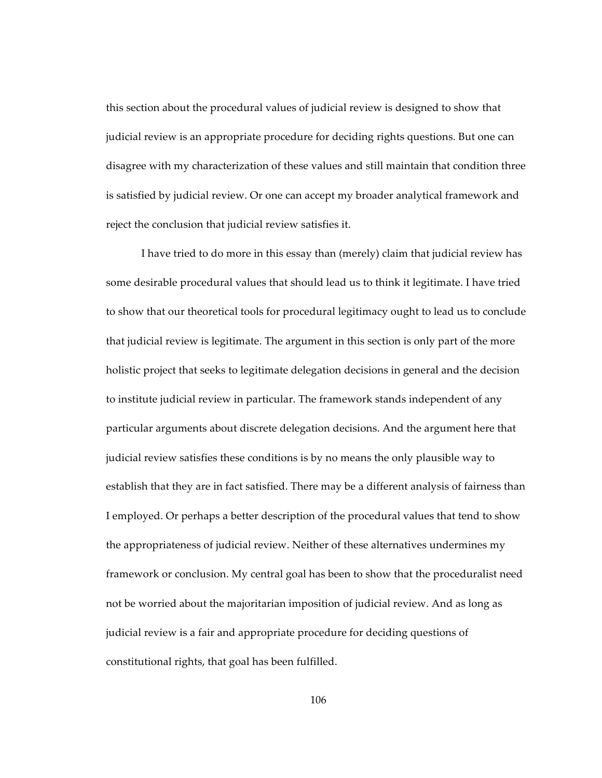this section about the procedural values of judicial review is designed to show that judicial review is an appropriate procedure for deciding rights questions. But one can disagree with my characterization of these values and still maintain that condition three is satisfied by judicial review. Or one can accept my broader analytical framework and reject the conclusion that judicial review satisfies it.

I have tried to do more in this essay than (merely) claim that judicial review has some desirable procedural values that should lead us to think it legitimate. I have tried to show that our theoretical tools for procedural legitimacy ought to lead us to conclude that judicial review is legitimate. The argument in this section is only part of the more holistic project that seeks to legitimate delegation decisions in general and the decision to institute judicial review in particular. The framework stands independent of any particular arguments about discrete delegation decisions. And the argument here that judicial review satisfies these conditions is by no means the only plausible way to establish that they are in fact satisfied. There may be a different analysis of fairness than I employed. Or perhaps a better description of the procedural values that tend to show the appropriateness of judicial review. Neither of these alternatives undermines my framework or conclusion. My central goal has been to show that the proceduralist need not be worried about the majoritarian imposition of judicial review. And as long as judicial review is a fair and appropriate procedure for deciding questions of constitutional rights, that goal has been fulfilled.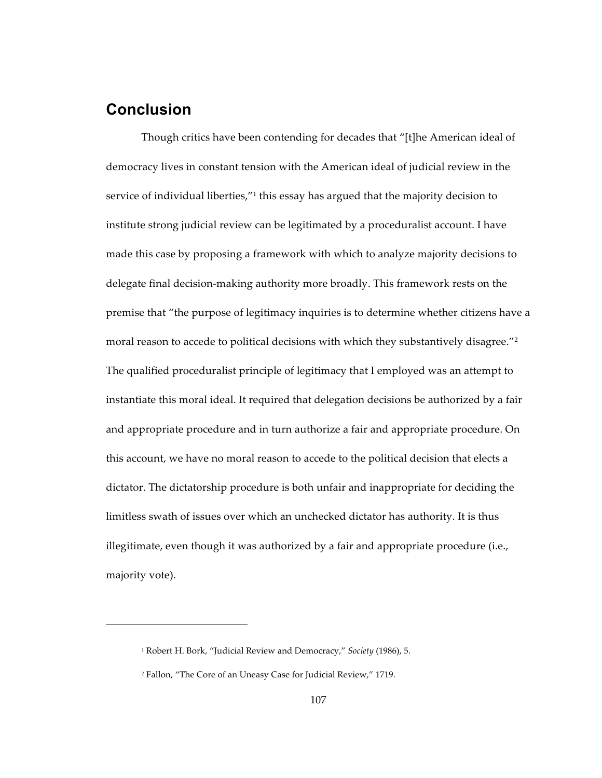## **Conclusion**

Though critics have been contending for decades that "[t]he American ideal of democracy lives in constant tension with the American ideal of judicial review in the service of individual liberties,"<sup>1</sup> this essay has argued that the majority decision to institute strong judicial review can be legitimated by a proceduralist account. I have made this case by proposing a framework with which to analyze majority decisions to delegate final decision-making authority more broadly. This framework rests on the premise that "the purpose of legitimacy inquiries is to determine whether citizens have a moral reason to accede to political decisions with which they substantively disagree."<sup>2</sup> The qualified proceduralist principle of legitimacy that I employed was an attempt to instantiate this moral ideal. It required that delegation decisions be authorized by a fair and appropriate procedure and in turn authorize a fair and appropriate procedure. On this account, we have no moral reason to accede to the political decision that elects a dictator. The dictatorship procedure is both unfair and inappropriate for deciding the limitless swath of issues over which an unchecked dictator has authority. It is thus illegitimate, even though it was authorized by a fair and appropriate procedure (i.e., majority vote).

<sup>&</sup>lt;sup>1</sup> Robert H. Bork, "Judicial Review and Democracy," *Society* (1986), 5.

<sup>&</sup>lt;sup>2</sup> Fallon, "The Core of an Uneasy Case for Judicial Review," 1719.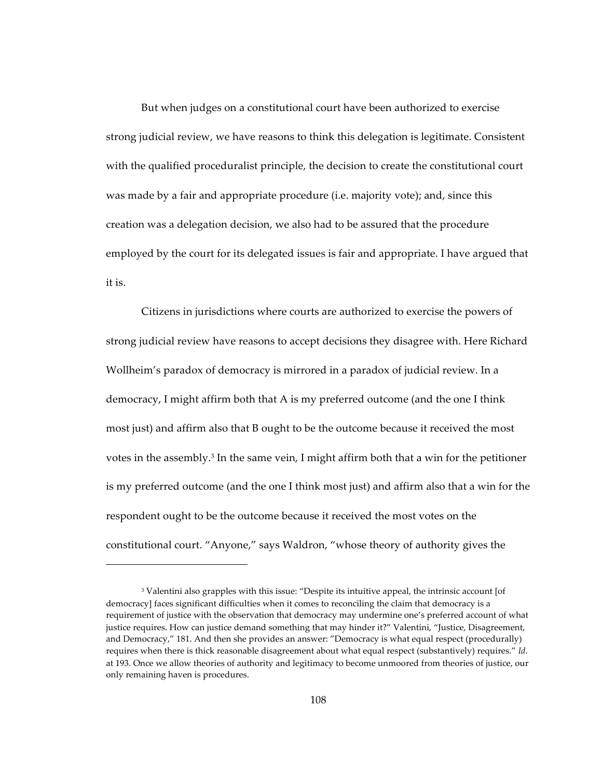But when judges on a constitutional court have been authorized to exercise strong judicial review, we have reasons to think this delegation is legitimate. Consistent with the qualified proceduralist principle, the decision to create the constitutional court was made by a fair and appropriate procedure (i.e. majority vote); and, since this creation was a delegation decision, we also had to be assured that the procedure employed by the court for its delegated issues is fair and appropriate. I have argued that it is.

Citizens in jurisdictions where courts are authorized to exercise the powers of strong judicial review have reasons to accept decisions they disagree with. Here Richard Wollheim's paradox of democracy is mirrored in a paradox of judicial review. In a democracy, I might affirm both that A is my preferred outcome (and the one I think most just) and affirm also that B ought to be the outcome because it received the most votes in the assembly.<sup>3</sup> In the same vein, I might affirm both that a win for the petitioner is my preferred outcome (and the one I think most just) and affirm also that a win for the respondent ought to be the outcome because it received the most votes on the constitutional court. "Anyone," says Waldron, "whose theory of authority gives the

<sup>&</sup>lt;sup>3</sup> Valentini also grapples with this issue: "Despite its intuitive appeal, the intrinsic account [of democracy] faces significant difficulties when it comes to reconciling the claim that democracy is a requirement of justice with the observation that democracy may undermine one's preferred account of what justice requires. How can justice demand something that may hinder it?" Valentini, "Justice, Disagreement, and Democracy," 181. And then she provides an answer: "Democracy is what equal respect (procedurally) requires when there is thick reasonable disagreement about what equal respect (substantively) requires." *Id.* at 193. Once we allow theories of authority and legitimacy to become unmoored from theories of justice, our only remaining haven is procedures.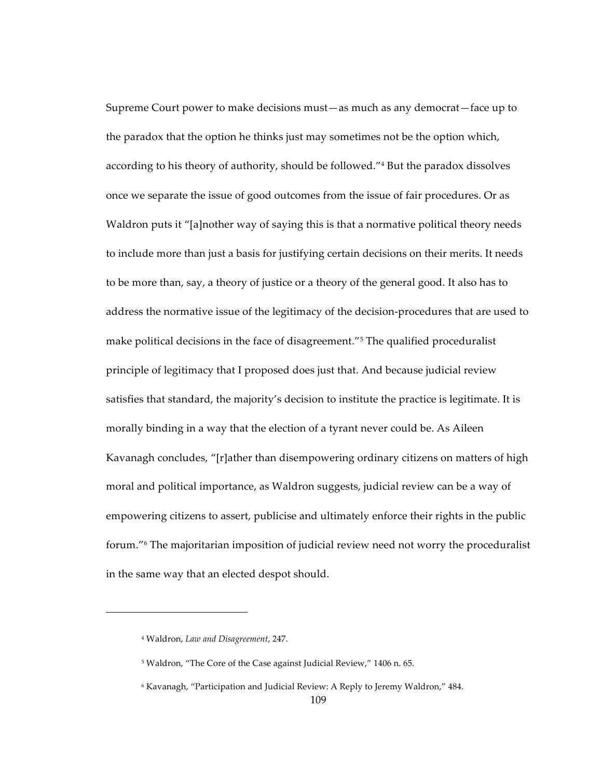Supreme Court power to make decisions must-as much as any democrat-face up to the paradox that the option he thinks just may sometimes not be the option which, according to his theory of authority, should be followed."<sup>4</sup> But the paradox dissolves once we separate the issue of good outcomes from the issue of fair procedures. Or as Waldron puts it "[a]nother way of saying this is that a normative political theory needs to include more than just a basis for justifying certain decisions on their merits. It needs to be more than, say, a theory of justice or a theory of the general good. It also has to address the normative issue of the legitimacy of the decision-procedures that are used to make political decisions in the face of disagreement."<sup>5</sup> The qualified proceduralist principle of legitimacy that I proposed does just that. And because judicial review satisfies that standard, the majority's decision to institute the practice is legitimate. It is morally binding in a way that the election of a tyrant never could be. As Aileen Kavanagh concludes, "[r]ather than disempowering ordinary citizens on matters of high moral and political importance, as Waldron suggests, judicial review can be a way of empowering citizens to assert, publicise and ultimately enforce their rights in the public forum."<sup>6</sup> The majoritarian imposition of judicial review need not worry the proceduralist in the same way that an elected despot should.

<sup>&</sup>lt;sup>4</sup> Waldron, Law and Disagreement, 247.

<sup>&</sup>lt;sup>5</sup> Waldron, "The Core of the Case against Judicial Review," 1406 n. 65.

<sup>&</sup>lt;sup>6</sup> Kavanagh, "Participation and Judicial Review: A Reply to Jeremy Waldron," 484.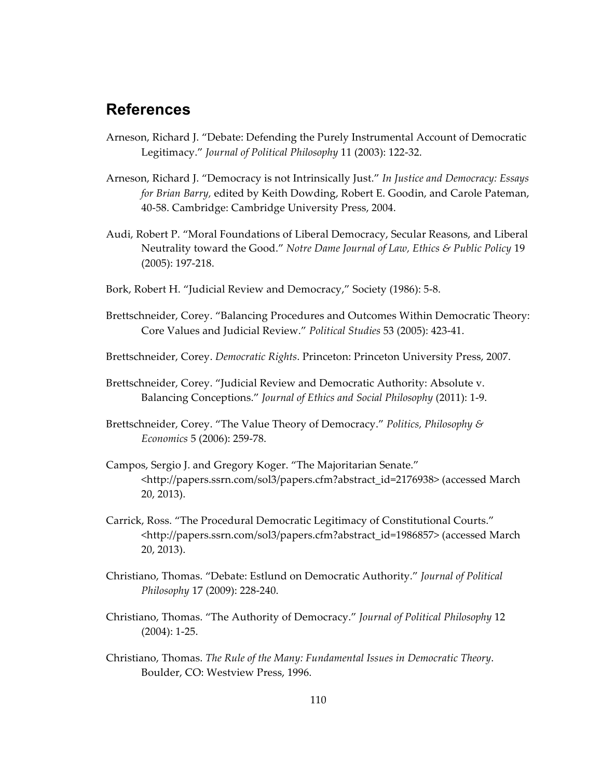## **References**

- Arneson, Richard J. "Debate: Defending the Purely Instrumental Account of Democratic Legitimacy." *Journal of Political Philosophy* 11 (2003): 122-32.
- Arneson, Richard J. "Democracy is not Intrinsically Just." *In Justice and Democracy: Essays for Brian Barry, edited by Keith Dowding, Robert E. Goodin, and Carole Pateman,* 40-58. Cambridge: Cambridge University Press, 2004.
- Audi, Robert P. "Moral Foundations of Liberal Democracy, Secular Reasons, and Liberal Neutrality toward the Good." *Notre Dame Journal of Law, Ethics & Public Policy* 19  $(2005): 197-218.$
- Bork, Robert H. "Judicial Review and Democracy," Society (1986): 5-8.
- Brettschneider, Corey. "Balancing Procedures and Outcomes Within Democratic Theory: Core Values and Judicial Review." Political Studies 53 (2005): 423-41.
- Brettschneider, Corey. *Democratic Rights*. Princeton: Princeton University Press, 2007.
- Brettschneider, Corey. "Judicial Review and Democratic Authority: Absolute v. Balancing Conceptions." *Journal of Ethics and Social Philosophy* (2011): 1-9.
- Brettschneider, Corey. "The Value Theory of Democracy." *Politics, Philosophy & Economics* 5 (2006): 259-78.
- Campos, Sergio J. and Gregory Koger. "The Majoritarian Senate." <http://papers.ssrn.com/sol3/papers.cfm?abstract\_id=2176938> (accessed March 20, 2013).
- Carrick, Ross. "The Procedural Democratic Legitimacy of Constitutional Courts." <http://papers.ssrn.com/sol3/papers.cfm?abstract\_id=1986857> (accessed March 20, 2013).
- Christiano, Thomas. "Debate: Estlund on Democratic Authority." *Journal of Political Philosophy* 17 (2009): 228-240.
- Christiano, Thomas. "The Authority of Democracy." *Journal of Political Philosophy* 12  $(2004): 1-25.$
- Christiano, Thomas. *The Rule of the Many: Fundamental Issues in Democratic Theory*. Boulder, CO: Westview Press, 1996.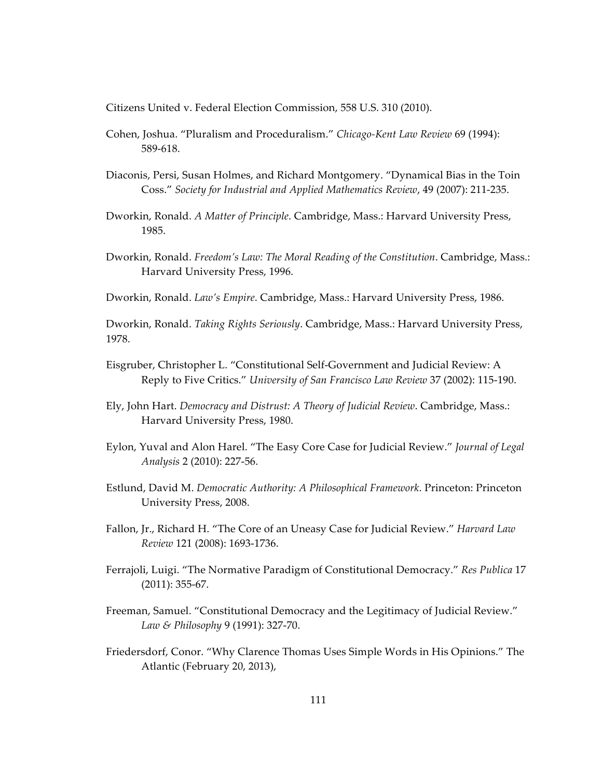Citizens United v. Federal Election Commission, 558 U.S. 310 (2010).

- Cohen, Joshua. "Pluralism and Proceduralism." Chicago-Kent Law Review 69 (1994): 589-618
- Diaconis, Persi, Susan Holmes, and Richard Montgomery. "Dynamical Bias in the Toin Coss." Society for Industrial and Applied Mathematics Review, 49 (2007): 211-235.
- Dworkin, Ronald. A Matter of Principle. Cambridge, Mass.: Harvard University Press, 1985.
- Dworkin, Ronald. Freedom's Law: The Moral Reading of the Constitution. Cambridge, Mass.: Harvard University Press, 1996.

Dworkin, Ronald. Law's Empire. Cambridge, Mass.: Harvard University Press, 1986.

Dworkin, Ronald. Taking Rights Seriously. Cambridge, Mass.: Harvard University Press, 1978.

- Eisgruber, Christopher L. "Constitutional Self-Government and Judicial Review: A Reply to Five Critics." University of San Francisco Law Review 37 (2002): 115-190.
- Ely, John Hart. Democracy and Distrust: A Theory of Judicial Review. Cambridge, Mass.: Harvard University Press, 1980.
- Eylon, Yuval and Alon Harel. "The Easy Core Case for Judicial Review." Journal of Legal Analysis 2 (2010): 227-56.
- Estlund, David M. Democratic Authority: A Philosophical Framework. Princeton: Princeton University Press, 2008.
- Fallon, Jr., Richard H. "The Core of an Uneasy Case for Judicial Review." Harvard Law Review 121 (2008): 1693-1736.
- Ferrajoli, Luigi. "The Normative Paradigm of Constitutional Democracy." Res Publica 17  $(2011): 355-67.$
- Freeman, Samuel. "Constitutional Democracy and the Legitimacy of Judicial Review." Law & Philosophy 9 (1991): 327-70.
- Friedersdorf, Conor. "Why Clarence Thomas Uses Simple Words in His Opinions." The Atlantic (February 20, 2013),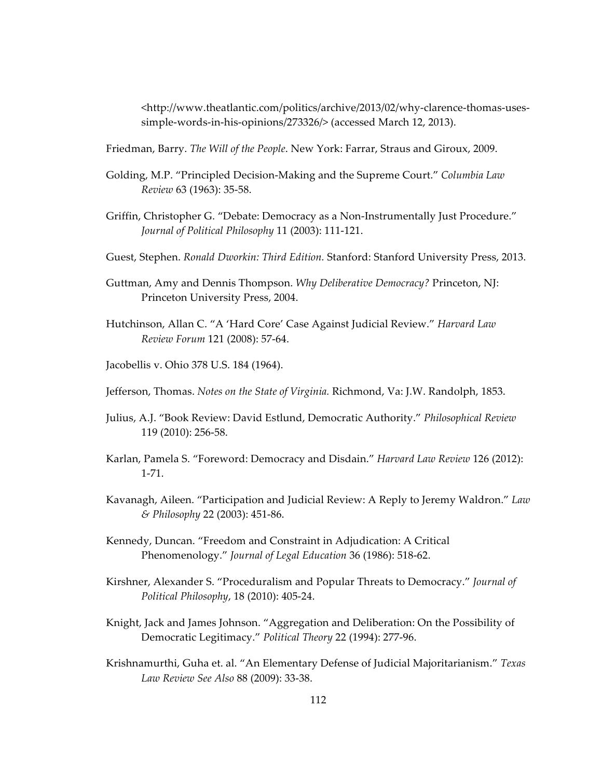<http://www.theatlantic.com/politics/archive/2013/02/why-clarence-thomas-usessimple-words-in-his-opinions/273326/> (accessed March 12, 2013).

Friedman, Barry. *The Will of the People*. New York: Farrar, Straus and Giroux, 2009.

- Golding, M.P. "Principled Decision-Making and the Supreme Court." *Columbia Law Review 63 (1963): 35-58.*
- Griffin, Christopher G. "Debate: Democracy as a Non-Instrumentally Just Procedure." *Journal of Political Philosophy* 11 (2003): 111-121.
- Guest, Stephen. *Ronald Dworkin: Third Edition.* Stanford: Stanford University Press, 2013.
- Guttman, Amy and Dennis Thompson. *Why Deliberative Democracy?* Princeton, NJ: Princeton University Press, 2004.
- Hutchinson, Allan C. "A 'Hard Core' Case Against Judicial Review." *Harvard Law Review Forum* 121 (2008): 57-64.
- Jacobellis v. Ohio 378 U.S. 184 (1964).
- Jefferson, Thomas. *Notes on the State of Virginia*. Richmond, Va: J.W. Randolph, 1853.
- Julius, A.J. "Book Review: David Estlund, Democratic Authority." *Philosophical Review* 119 (2010): 256-58.
- Karlan, Pamela S. "Foreword: Democracy and Disdain." *Harvard Law Review* 126 (2012):  $1 - 71$
- Kavanagh, Aileen. "Participation and Judicial Review: A Reply to Jeremy Waldron." *Law & Philosophy* 22 (2003): 451-86.
- Kennedy, Duncan. "Freedom and Constraint in Adjudication: A Critical Phenomenology." *Journal of Legal Education* 36 (1986): 518-62.
- Kirshner, Alexander S. "Proceduralism and Popular Threats to Democracy." *Journal of Political Philosophy*, 18 (2010): 405-24.
- Knight, Jack and James Johnson. "Aggregation and Deliberation: On the Possibility of Democratic Legitimacy." Political Theory 22 (1994): 277-96.
- Krishnamurthi, Guha et. al. "An Elementary Defense of Judicial Majoritarianism." *Texas Law Review See Also 88 (2009): 33-38.*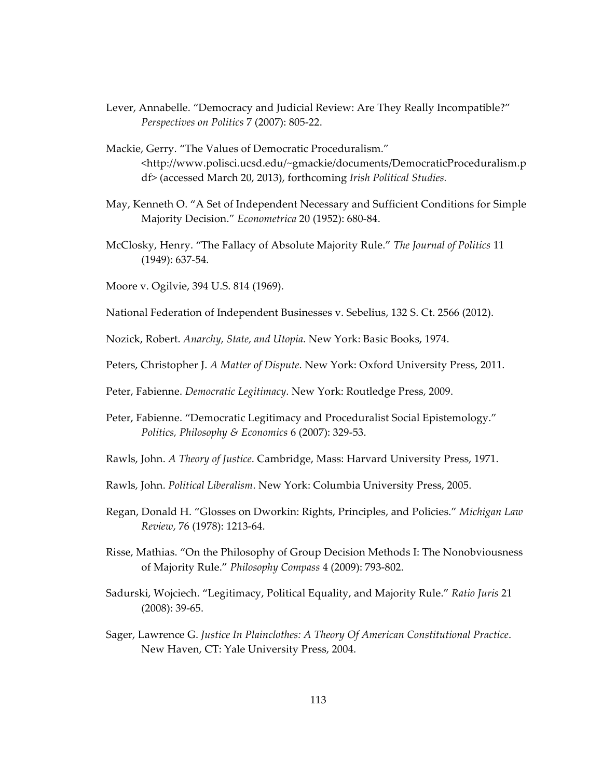- Lever, Annabelle. "Democracy and Judicial Review: Are They Really Incompatible?" *Perspectives on Politics 7 (2007): 805-22.*
- Mackie, Gerry. "The Values of Democratic Proceduralism." <http://www.polisci.ucsd.edu/~gmackie/documents/DemocraticProceduralism.p df> (accessed March 20, 2013), forthcoming *Irish Political Studies*.
- May, Kenneth O. "A Set of Independent Necessary and Sufficient Conditions for Simple Majority Decision." *Econometrica* 20 (1952): 680-84.
- McClosky, Henry. "The Fallacy of Absolute Majority Rule." *The Journal of Politics* 11  $(1949): 637-54.$
- Moore v. Ogilvie, 394 U.S. 814 (1969).
- National Federation of Independent Businesses v. Sebelius, 132 S. Ct. 2566 (2012).
- Nozick, Robert. *Anarchy, State, and Utopia*. New York: Basic Books, 1974.
- Peters, Christopher J. *A Matter of Dispute*. New York: Oxford University Press, 2011.
- Peter, Fabienne. *Democratic Legitimacy*. New York: Routledge Press, 2009.
- Peter, Fabienne. "Democratic Legitimacy and Proceduralist Social Epistemology." *Politics, Philosophy & Economics* 6 (2007): 329-53.
- Rawls, John. *A Theory of Justice*. Cambridge, Mass: Harvard University Press, 1971.
- Rawls, John. *Political Liberalism*. New York: Columbia University Press, 2005.
- Regan, Donald H. "Glosses on Dworkin: Rights, Principles, and Policies." *Michigan Law Review*, 76 (1978): 1213-64.
- Risse, Mathias. "On the Philosophy of Group Decision Methods I: The Nonobviousness of Majority Rule." *Philosophy Compass* 4 (2009): 793-802.
- Sadurski, Wojciech. "Legitimacy, Political Equality, and Majority Rule." *Ratio Juris* 21  $(2008): 39-65.$
- Sager, Lawrence G. *Justice In Plainclothes: A Theory Of American Constitutional Practice.* New Haven, CT: Yale University Press, 2004.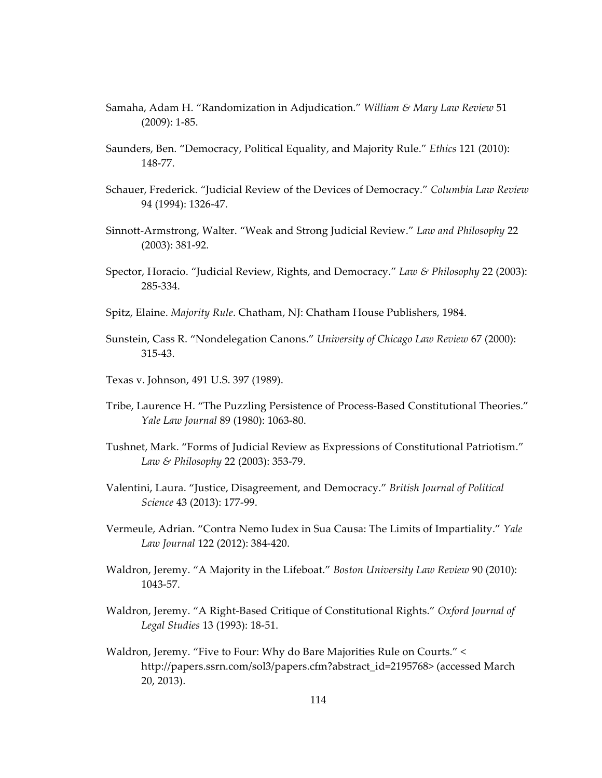- Samaha, Adam H. "Randomization in Adjudication." William & Mary Law Review 51  $(2009): 1-85.$
- Saunders, Ben. "Democracy, Political Equality, and Majority Rule." Ethics 121 (2010): 148-77.
- Schauer, Frederick. "Judicial Review of the Devices of Democracy." Columbia Law Review 94 (1994): 1326-47.
- Sinnott-Armstrong, Walter. "Weak and Strong Judicial Review." Law and Philosophy 22  $(2003): 381-92.$
- Spector, Horacio. "Judicial Review, Rights, and Democracy." Law & Philosophy 22 (2003): 285-334.
- Spitz, Elaine. Majority Rule. Chatham, NJ: Chatham House Publishers, 1984.
- Sunstein, Cass R. "Nondelegation Canons." University of Chicago Law Review 67 (2000):  $315 - 43$ .
- Texas v. Johnson, 491 U.S. 397 (1989).
- Tribe, Laurence H. "The Puzzling Persistence of Process-Based Constitutional Theories." Yale Law Journal 89 (1980): 1063-80.
- Tushnet, Mark. "Forms of Judicial Review as Expressions of Constitutional Patriotism." Law & Philosophy 22 (2003): 353-79.
- Valentini, Laura. "Justice, Disagreement, and Democracy." British Journal of Political Science 43 (2013): 177-99.
- Vermeule, Adrian. "Contra Nemo Iudex in Sua Causa: The Limits of Impartiality." Yale Law Journal 122 (2012): 384-420.
- Waldron, Jeremy. "A Majority in the Lifeboat." Boston University Law Review 90 (2010): 1043-57.
- Waldron, Jeremy. "A Right-Based Critique of Constitutional Rights." Oxford Journal of Legal Studies 13 (1993): 18-51.
- Waldron, Jeremy. "Five to Four: Why do Bare Majorities Rule on Courts." < http://papers.ssrn.com/sol3/papers.cfm?abstract\_id=2195768> (accessed March  $20, 2013$ ).